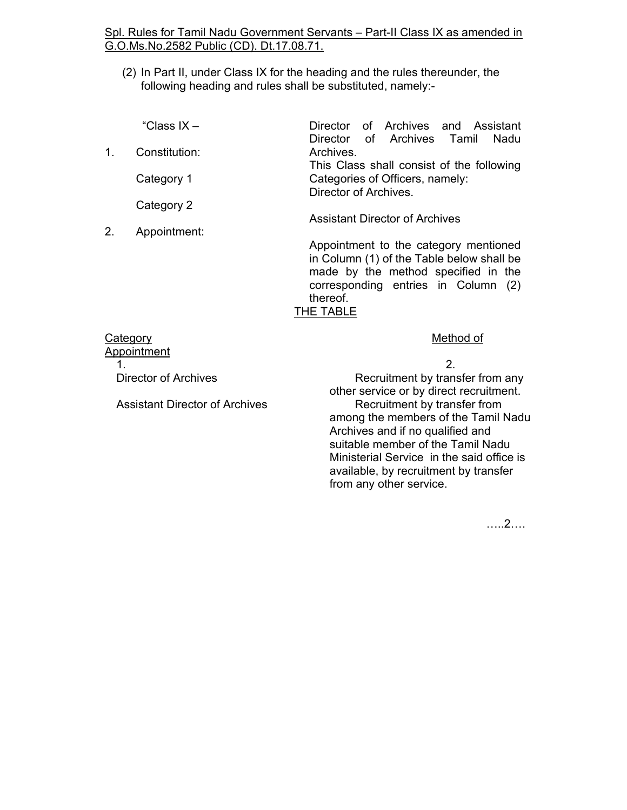#### Spl. Rules for Tamil Nadu Government Servants – Part-II Class IX as amended in G.O.Ms.No.2582 Public (CD). Dt.17.08.71.

(2) In Part II, under Class IX for the heading and the rules thereunder, the following heading and rules shall be substituted, namely:-

|    | "Class $IX -$ | Director of Archives and Assistant        |
|----|---------------|-------------------------------------------|
|    |               | Director of Archives Tamil<br>Nadu        |
| 1. | Constitution: | Archives.                                 |
|    |               | This Class shall consist of the following |
|    | Category 1    | Categories of Officers, namely:           |
|    |               | Director of Archives.                     |
|    | Category 2    |                                           |
|    |               | <b>Assistant Director of Archives</b>     |

Appointment to the category mentioned in Column (1) of the Table below shall be made by the method specified in the corresponding entries in Column (2) thereof. THE TABLE

#### Category Method of Appointment

2.

1.  $\sim$  2. Director of Archives

Appointment:

Assistant Director of Archives

 Recruitment by transfer from any other service or by direct recruitment. Recruitment by transfer from among the members of the Tamil Nadu Archives and if no qualified and suitable member of the Tamil Nadu Ministerial Service in the said office is available, by recruitment by transfer from any other service.

…..2….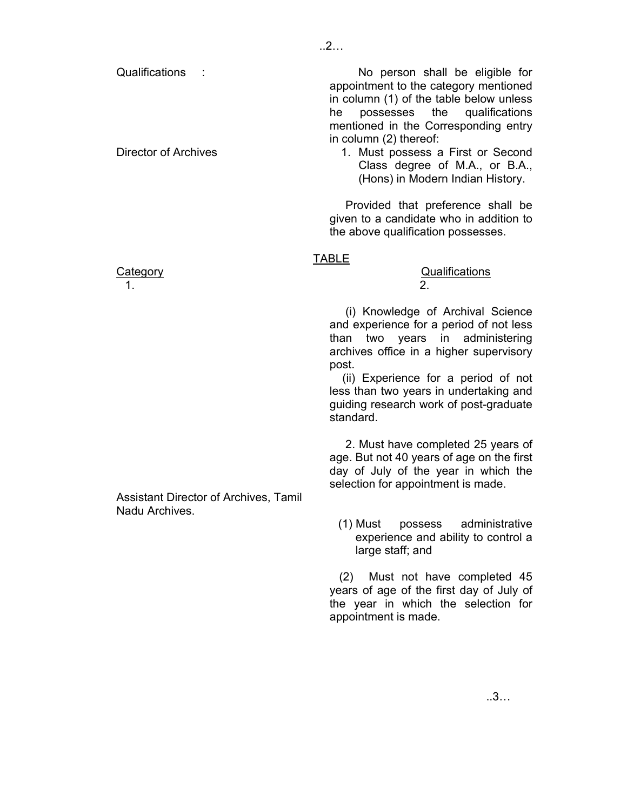Director of Archives

 No person shall be eligible for appointment to the category mentioned in column (1) of the table below unless he possesses the qualifications mentioned in the Corresponding entry in column (2) thereof:

1. Must possess a First or Second Class degree of M.A., or B.A., (Hons) in Modern Indian History.

 Provided that preference shall be given to a candidate who in addition to the above qualification possesses.

#### TABLE

# Category **Category** Category **Category Category Qualifications**

 (i) Knowledge of Archival Science and experience for a period of not less than two years in administering archives office in a higher supervisory post.

 (ii) Experience for a period of not less than two years in undertaking and guiding research work of post-graduate standard.

 2. Must have completed 25 years of age. But not 40 years of age on the first day of July of the year in which the selection for appointment is made.

(1) Must possess administrative experience and ability to control a large staff; and

 (2) Must not have completed 45 years of age of the first day of July of the year in which the selection for appointment is made.

 $1.$  2.

Assistant Director of Archives, Tamil Nadu Archives.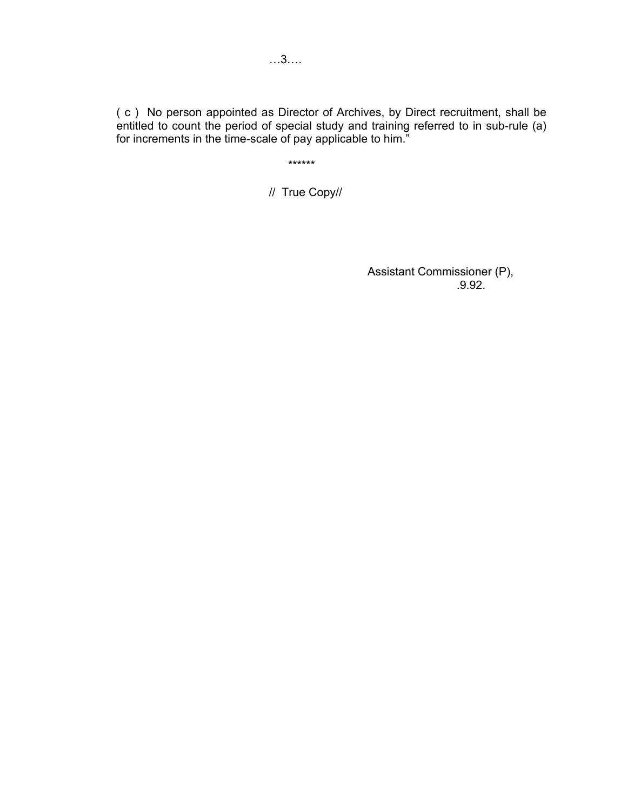( c ) No person appointed as Director of Archives, by Direct recruitment, shall be entitled to count the period of special study and training referred to in sub-rule (a) for increments in the time-scale of pay applicable to him."

\*\*\*\*\*\*

// True Copy//

 Assistant Commissioner (P),  $.9.92.$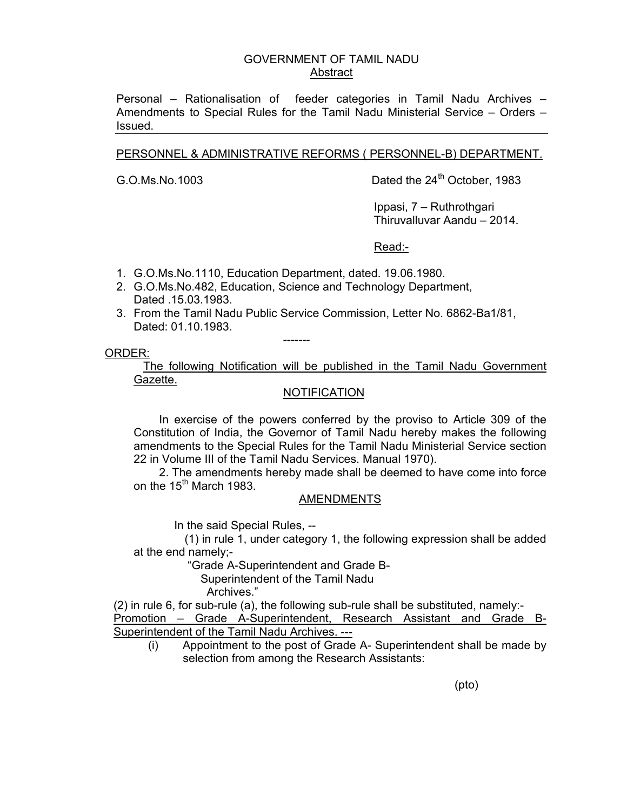#### GOVERNMENT OF TAMIL NADU Abstract

Personal – Rationalisation of feeder categories in Tamil Nadu Archives – Amendments to Special Rules for the Tamil Nadu Ministerial Service – Orders – Issued.

#### PERSONNEL & ADMINISTRATIVE REFORMS ( PERSONNEL-B) DEPARTMENT.

G.O.Ms.No.1003 Dated the 24<sup>th</sup> October, 1983

 Ippasi, 7 – Ruthrothgari Thiruvalluvar Aandu – 2014.

Read:-

- 1. G.O.Ms.No.1110, Education Department, dated. 19.06.1980.
- 2. G.O.Ms.No.482, Education, Science and Technology Department, Dated .15.03.1983.
- 3. From the Tamil Nadu Public Service Commission, Letter No. 6862-Ba1/81, Dated: 01.10.1983.

-------

ORDER:

 The following Notification will be published in the Tamil Nadu Government Gazette.

#### **NOTIFICATION**

 In exercise of the powers conferred by the proviso to Article 309 of the Constitution of India, the Governor of Tamil Nadu hereby makes the following amendments to the Special Rules for the Tamil Nadu Ministerial Service section 22 in Volume III of the Tamil Nadu Services. Manual 1970).

 2. The amendments hereby made shall be deemed to have come into force on the  $15<sup>th</sup>$  March 1983.

#### AMENDMENTS

In the said Special Rules, --

 (1) in rule 1, under category 1, the following expression shall be added at the end namely;-

"Grade A-Superintendent and Grade B-

Superintendent of the Tamil Nadu

Archives."

(2) in rule 6, for sub-rule (a), the following sub-rule shall be substituted, namely:- Promotion – Grade A-Superintendent, Research Assistant and Grade B-Superintendent of the Tamil Nadu Archives. ---

(i) Appointment to the post of Grade A- Superintendent shall be made by selection from among the Research Assistants:

(pto)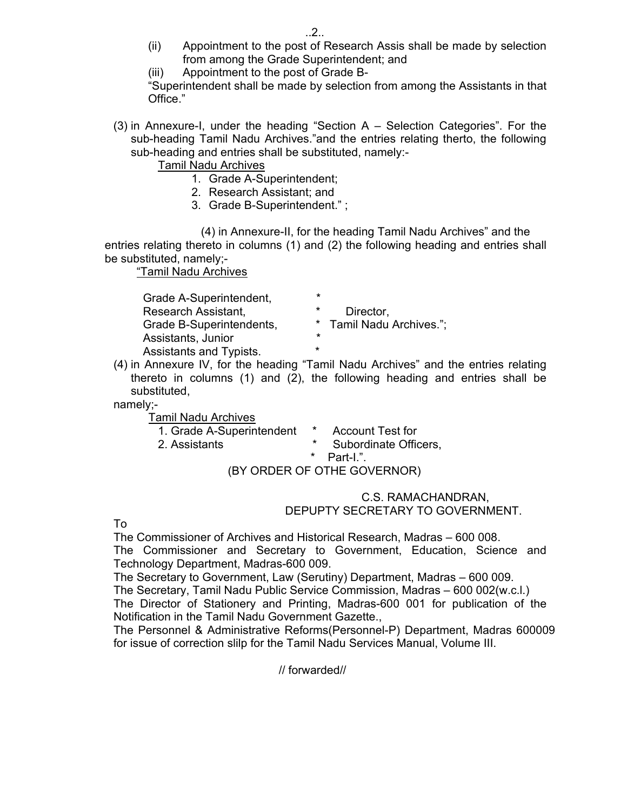- (ii) Appointment to the post of Research Assis shall be made by selection from among the Grade Superintendent; and
- (iii) Appointment to the post of Grade B-

"Superintendent shall be made by selection from among the Assistants in that Office."

(3) in Annexure-I, under the heading "Section A – Selection Categories". For the sub-heading Tamil Nadu Archives."and the entries relating therto, the following sub-heading and entries shall be substituted, namely:-

Tamil Nadu Archives

- 1. Grade A-Superintendent;
- 2. Research Assistant; and
- 3. Grade B-Superintendent." ;

 (4) in Annexure-II, for the heading Tamil Nadu Archives" and the entries relating thereto in columns (1) and (2) the following heading and entries shall be substituted, namely;-

"Tamil Nadu Archives

| Grade A-Superintendent,  | *                        |
|--------------------------|--------------------------|
| Research Assistant,      | $\star$<br>Director,     |
| Grade B-Superintendents, | * Tamil Nadu Archives."; |
| Assistants, Junior       | ×                        |
| Assistants and Typists.  | $\star$                  |

(4) in Annexure IV, for the heading "Tamil Nadu Archives" and the entries relating thereto in columns (1) and (2), the following heading and entries shall be substituted,

namely;-

Tamil Nadu Archives

| 1. Grade A-Superintendent | * Account Test for    |
|---------------------------|-----------------------|
| 2. Assistants             | Subordinate Officers, |
|                           | * Part-I."            |
|                           | $(5)$ $(6)$           |

#### (BY ORDER OF OTHE GOVERNOR)

#### C.S. RAMACHANDRAN, DEPUPTY SECRETARY TO GOVERNMENT.

To

The Commissioner of Archives and Historical Research, Madras – 600 008. The Commissioner and Secretary to Government, Education, Science and Technology Department, Madras-600 009.

The Secretary to Government, Law (Serutiny) Department, Madras – 600 009. The Secretary, Tamil Nadu Public Service Commission, Madras – 600 002(w.c.l.) The Director of Stationery and Printing, Madras-600 001 for publication of the Notification in the Tamil Nadu Government Gazette.,

The Personnel & Administrative Reforms(Personnel-P) Department, Madras 600009 for issue of correction slilp for the Tamil Nadu Services Manual, Volume III.

// forwarded//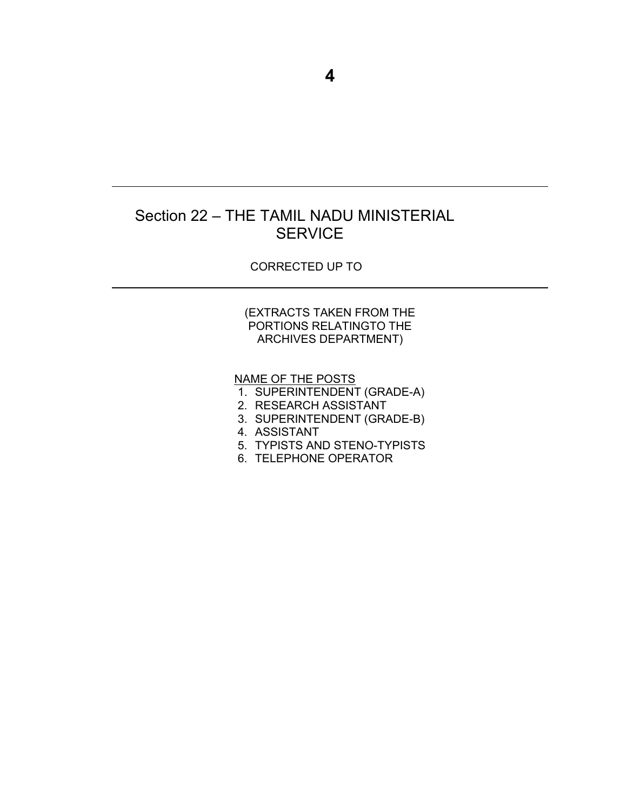## Section 22 – THE TAMIL NADU MINISTERIAL **SERVICE**

#### CORRECTED UP TO

#### (EXTRACTS TAKEN FROM THE PORTIONS RELATINGTO THE ARCHIVES DEPARTMENT)

NAME OF THE POSTS

- 1. SUPERINTENDENT (GRADE-A)
- 2. RESEARCH ASSISTANT
- 3. SUPERINTENDENT (GRADE-B)
- 4. ASSISTANT
- 5. TYPISTS AND STENO-TYPISTS
- 6. TELEPHONE OPERATOR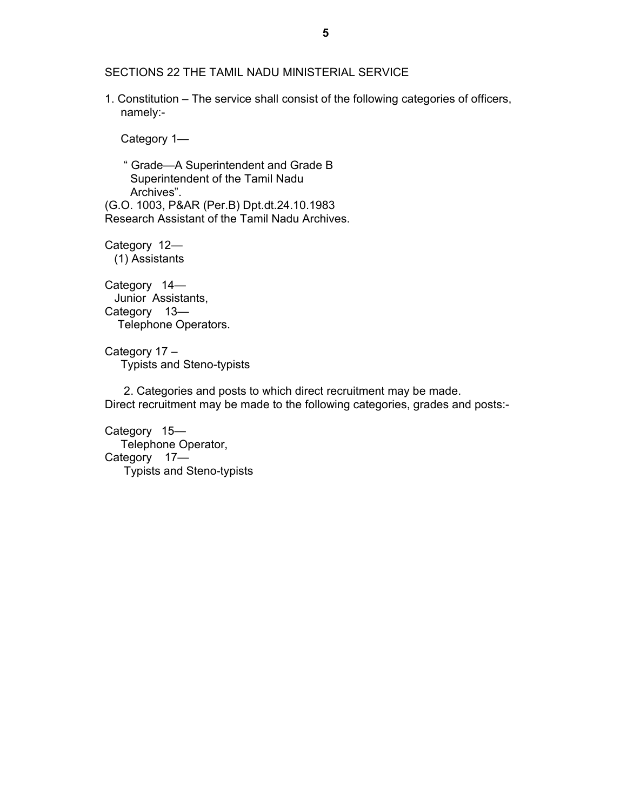SECTIONS 22 THE TAMIL NADU MINISTERIAL SERVICE

1. Constitution – The service shall consist of the following categories of officers, namely:-

Category 1—

 " Grade—A Superintendent and Grade B Superintendent of the Tamil Nadu Archives". (G.O. 1003, P&AR (Per.B) Dpt.dt.24.10.1983 Research Assistant of the Tamil Nadu Archives.

Category 12— (1) Assistants

Category 14— Junior Assistants, Category 13— Telephone Operators.

Category 17 – Typists and Steno-typists

 2. Categories and posts to which direct recruitment may be made. Direct recruitment may be made to the following categories, grades and posts:-

Category 15— Telephone Operator, Category 17— Typists and Steno-typists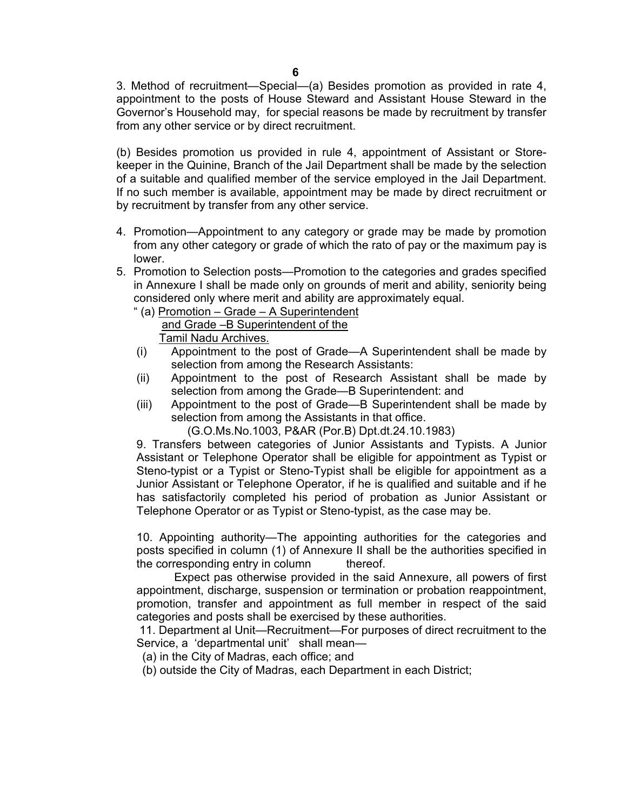3. Method of recruitment—Special—(a) Besides promotion as provided in rate 4, appointment to the posts of House Steward and Assistant House Steward in the Governor's Household may, for special reasons be made by recruitment by transfer from any other service or by direct recruitment.

(b) Besides promotion us provided in rule 4, appointment of Assistant or Storekeeper in the Quinine, Branch of the Jail Department shall be made by the selection of a suitable and qualified member of the service employed in the Jail Department. If no such member is available, appointment may be made by direct recruitment or by recruitment by transfer from any other service.

- 4. Promotion—Appointment to any category or grade may be made by promotion from any other category or grade of which the rato of pay or the maximum pay is lower.
- 5. Promotion to Selection posts—Promotion to the categories and grades specified in Annexure I shall be made only on grounds of merit and ability, seniority being considered only where merit and ability are approximately equal.
	- " (a) Promotion Grade A Superintendent and Grade -B Superintendent of the Tamil Nadu Archives.
	- (i) Appointment to the post of Grade—A Superintendent shall be made by selection from among the Research Assistants:
	- (ii) Appointment to the post of Research Assistant shall be made by selection from among the Grade—B Superintendent: and
	- (iii) Appointment to the post of Grade—B Superintendent shall be made by selection from among the Assistants in that office.

(G.O.Ms.No.1003, P&AR (Por.B) Dpt.dt.24.10.1983)

9. Transfers between categories of Junior Assistants and Typists. A Junior Assistant or Telephone Operator shall be eligible for appointment as Typist or Steno-typist or a Typist or Steno-Typist shall be eligible for appointment as a Junior Assistant or Telephone Operator, if he is qualified and suitable and if he has satisfactorily completed his period of probation as Junior Assistant or Telephone Operator or as Typist or Steno-typist, as the case may be.

10. Appointing authority—The appointing authorities for the categories and posts specified in column (1) of Annexure II shall be the authorities specified in the corresponding entry in column thereof.

 Expect pas otherwise provided in the said Annexure, all powers of first appointment, discharge, suspension or termination or probation reappointment, promotion, transfer and appointment as full member in respect of the said categories and posts shall be exercised by these authorities.

 11. Department al Unit—Recruitment—For purposes of direct recruitment to the Service, a 'departmental unit' shall mean—

- (a) in the City of Madras, each office; and
- (b) outside the City of Madras, each Department in each District;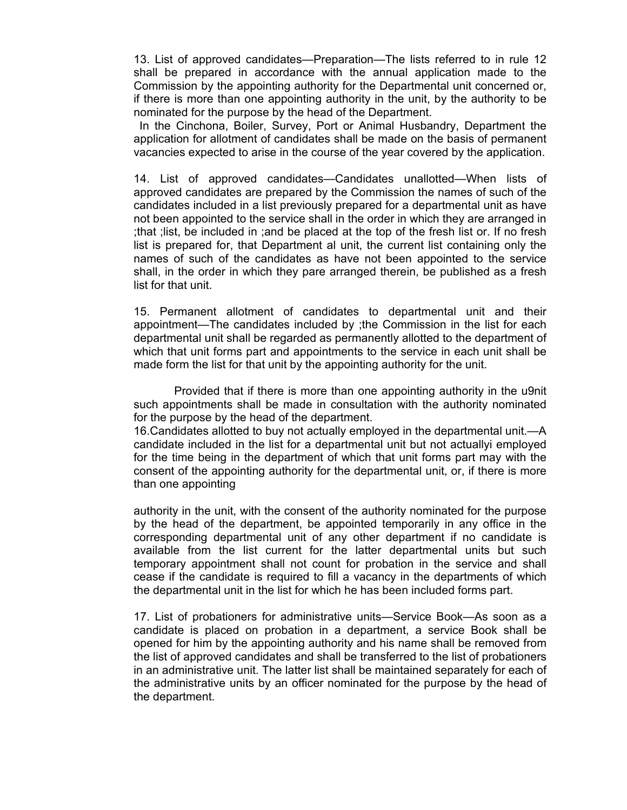13. List of approved candidates—Preparation—The lists referred to in rule 12 shall be prepared in accordance with the annual application made to the Commission by the appointing authority for the Departmental unit concerned or, if there is more than one appointing authority in the unit, by the authority to be nominated for the purpose by the head of the Department.

 In the Cinchona, Boiler, Survey, Port or Animal Husbandry, Department the application for allotment of candidates shall be made on the basis of permanent vacancies expected to arise in the course of the year covered by the application.

14. List of approved candidates—Candidates unallotted—When lists of approved candidates are prepared by the Commission the names of such of the candidates included in a list previously prepared for a departmental unit as have not been appointed to the service shall in the order in which they are arranged in ;that ;list, be included in ;and be placed at the top of the fresh list or. If no fresh list is prepared for, that Department al unit, the current list containing only the names of such of the candidates as have not been appointed to the service shall, in the order in which they pare arranged therein, be published as a fresh list for that unit.

15. Permanent allotment of candidates to departmental unit and their appointment—The candidates included by ;the Commission in the list for each departmental unit shall be regarded as permanently allotted to the department of which that unit forms part and appointments to the service in each unit shall be made form the list for that unit by the appointing authority for the unit.

 Provided that if there is more than one appointing authority in the u9nit such appointments shall be made in consultation with the authority nominated for the purpose by the head of the department.

16.Candidates allotted to buy not actually employed in the departmental unit.—A candidate included in the list for a departmental unit but not actuallyi employed for the time being in the department of which that unit forms part may with the consent of the appointing authority for the departmental unit, or, if there is more than one appointing

authority in the unit, with the consent of the authority nominated for the purpose by the head of the department, be appointed temporarily in any office in the corresponding departmental unit of any other department if no candidate is available from the list current for the latter departmental units but such temporary appointment shall not count for probation in the service and shall cease if the candidate is required to fill a vacancy in the departments of which the departmental unit in the list for which he has been included forms part.

17. List of probationers for administrative units—Service Book—As soon as a candidate is placed on probation in a department, a service Book shall be opened for him by the appointing authority and his name shall be removed from the list of approved candidates and shall be transferred to the list of probationers in an administrative unit. The latter list shall be maintained separately for each of the administrative units by an officer nominated for the purpose by the head of the department.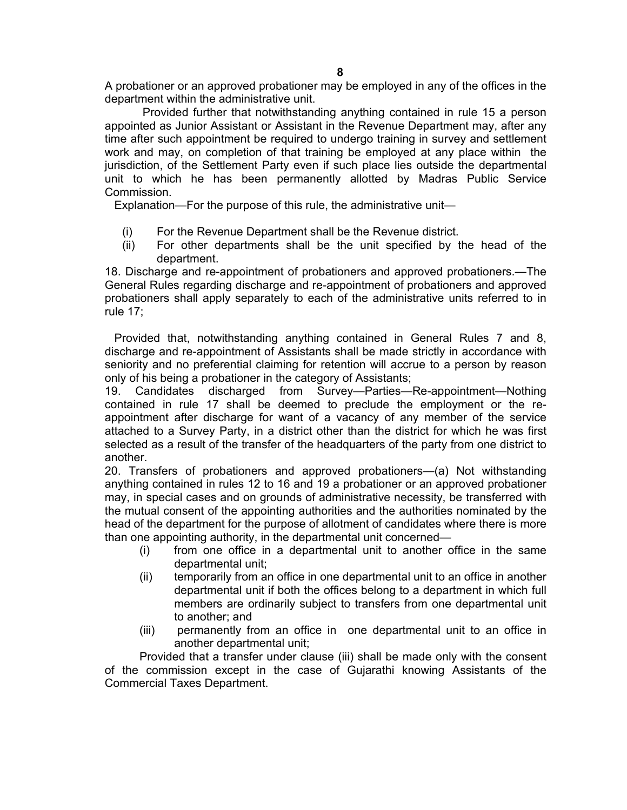A probationer or an approved probationer may be employed in any of the offices in the department within the administrative unit.

 Provided further that notwithstanding anything contained in rule 15 a person appointed as Junior Assistant or Assistant in the Revenue Department may, after any time after such appointment be required to undergo training in survey and settlement work and may, on completion of that training be employed at any place within the jurisdiction, of the Settlement Party even if such place lies outside the departmental unit to which he has been permanently allotted by Madras Public Service Commission.

Explanation—For the purpose of this rule, the administrative unit—

- (i) For the Revenue Department shall be the Revenue district.
- (ii) For other departments shall be the unit specified by the head of the department.

18. Discharge and re-appointment of probationers and approved probationers.—The General Rules regarding discharge and re-appointment of probationers and approved probationers shall apply separately to each of the administrative units referred to in rule 17;

 Provided that, notwithstanding anything contained in General Rules 7 and 8, discharge and re-appointment of Assistants shall be made strictly in accordance with seniority and no preferential claiming for retention will accrue to a person by reason only of his being a probationer in the category of Assistants;

19. Candidates discharged from Survey—Parties—Re-appointment—Nothing contained in rule 17 shall be deemed to preclude the employment or the reappointment after discharge for want of a vacancy of any member of the service attached to a Survey Party, in a district other than the district for which he was first selected as a result of the transfer of the headquarters of the party from one district to another.

20. Transfers of probationers and approved probationers—(a) Not withstanding anything contained in rules 12 to 16 and 19 a probationer or an approved probationer may, in special cases and on grounds of administrative necessity, be transferred with the mutual consent of the appointing authorities and the authorities nominated by the head of the department for the purpose of allotment of candidates where there is more than one appointing authority, in the departmental unit concerned—

- (i) from one office in a departmental unit to another office in the same departmental unit;
- (ii) temporarily from an office in one departmental unit to an office in another departmental unit if both the offices belong to a department in which full members are ordinarily subject to transfers from one departmental unit to another; and
- (iii) permanently from an office in one departmental unit to an office in another departmental unit;

Provided that a transfer under clause (iii) shall be made only with the consent of the commission except in the case of Gujarathi knowing Assistants of the Commercial Taxes Department.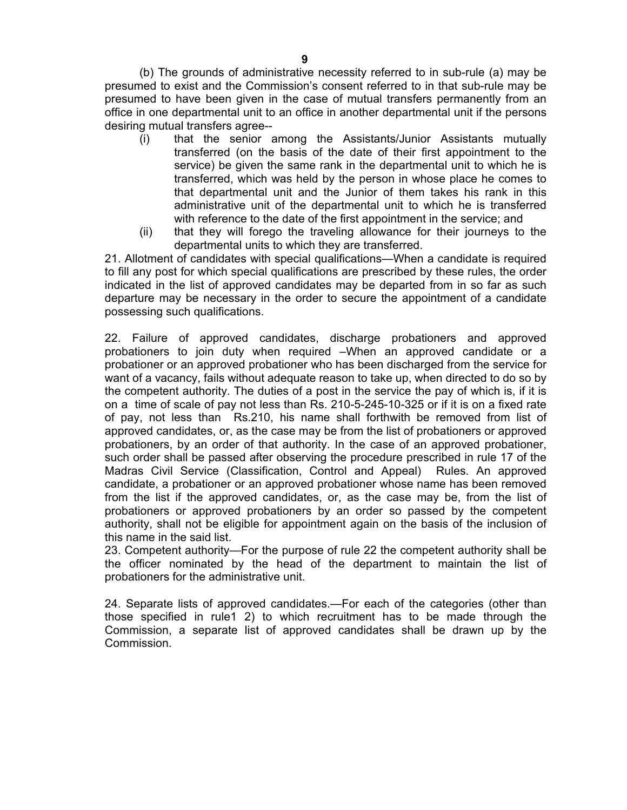(b) The grounds of administrative necessity referred to in sub-rule (a) may be presumed to exist and the Commission's consent referred to in that sub-rule may be presumed to have been given in the case of mutual transfers permanently from an office in one departmental unit to an office in another departmental unit if the persons desiring mutual transfers agree--

- (i) that the senior among the Assistants/Junior Assistants mutually transferred (on the basis of the date of their first appointment to the service) be given the same rank in the departmental unit to which he is transferred, which was held by the person in whose place he comes to that departmental unit and the Junior of them takes his rank in this administrative unit of the departmental unit to which he is transferred with reference to the date of the first appointment in the service; and
- (ii) that they will forego the traveling allowance for their journeys to the departmental units to which they are transferred.

21. Allotment of candidates with special qualifications—When a candidate is required to fill any post for which special qualifications are prescribed by these rules, the order indicated in the list of approved candidates may be departed from in so far as such departure may be necessary in the order to secure the appointment of a candidate possessing such qualifications.

22. Failure of approved candidates, discharge probationers and approved probationers to join duty when required –When an approved candidate or a probationer or an approved probationer who has been discharged from the service for want of a vacancy, fails without adequate reason to take up, when directed to do so by the competent authority. The duties of a post in the service the pay of which is, if it is on a time of scale of pay not less than Rs. 210-5-245-10-325 or if it is on a fixed rate of pay, not less than Rs.210, his name shall forthwith be removed from list of approved candidates, or, as the case may be from the list of probationers or approved probationers, by an order of that authority. In the case of an approved probationer, such order shall be passed after observing the procedure prescribed in rule 17 of the Madras Civil Service (Classification, Control and Appeal) Rules. An approved candidate, a probationer or an approved probationer whose name has been removed from the list if the approved candidates, or, as the case may be, from the list of probationers or approved probationers by an order so passed by the competent authority, shall not be eligible for appointment again on the basis of the inclusion of this name in the said list.

23. Competent authority—For the purpose of rule 22 the competent authority shall be the officer nominated by the head of the department to maintain the list of probationers for the administrative unit.

24. Separate lists of approved candidates.—For each of the categories (other than those specified in rule1 2) to which recruitment has to be made through the Commission, a separate list of approved candidates shall be drawn up by the Commission.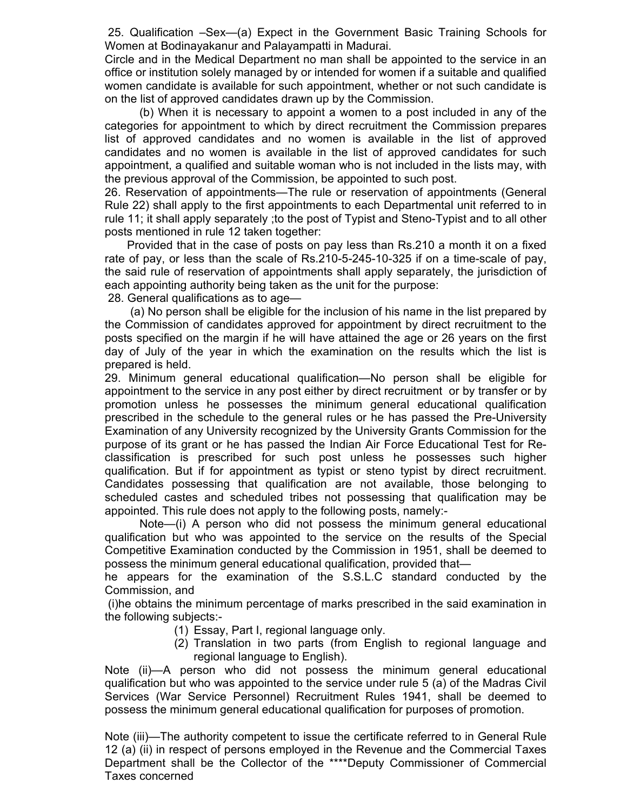25. Qualification –Sex—(a) Expect in the Government Basic Training Schools for Women at Bodinayakanur and Palayampatti in Madurai.

Circle and in the Medical Department no man shall be appointed to the service in an office or institution solely managed by or intended for women if a suitable and qualified women candidate is available for such appointment, whether or not such candidate is on the list of approved candidates drawn up by the Commission.

 (b) When it is necessary to appoint a women to a post included in any of the categories for appointment to which by direct recruitment the Commission prepares list of approved candidates and no women is available in the list of approved candidates and no women is available in the list of approved candidates for such appointment, a qualified and suitable woman who is not included in the lists may, with the previous approval of the Commission, be appointed to such post.

26. Reservation of appointments—The rule or reservation of appointments (General Rule 22) shall apply to the first appointments to each Departmental unit referred to in rule 11; it shall apply separately ;to the post of Typist and Steno-Typist and to all other posts mentioned in rule 12 taken together:

 Provided that in the case of posts on pay less than Rs.210 a month it on a fixed rate of pay, or less than the scale of Rs.210-5-245-10-325 if on a time-scale of pay, the said rule of reservation of appointments shall apply separately, the jurisdiction of each appointing authority being taken as the unit for the purpose:

28. General qualifications as to age—

 (a) No person shall be eligible for the inclusion of his name in the list prepared by the Commission of candidates approved for appointment by direct recruitment to the posts specified on the margin if he will have attained the age or 26 years on the first day of July of the year in which the examination on the results which the list is prepared is held.

29. Minimum general educational qualification—No person shall be eligible for appointment to the service in any post either by direct recruitment or by transfer or by promotion unless he possesses the minimum general educational qualification prescribed in the schedule to the general rules or he has passed the Pre-University Examination of any University recognized by the University Grants Commission for the purpose of its grant or he has passed the Indian Air Force Educational Test for Reclassification is prescribed for such post unless he possesses such higher qualification. But if for appointment as typist or steno typist by direct recruitment. Candidates possessing that qualification are not available, those belonging to scheduled castes and scheduled tribes not possessing that qualification may be appointed. This rule does not apply to the following posts, namely:-

 Note—(i) A person who did not possess the minimum general educational qualification but who was appointed to the service on the results of the Special Competitive Examination conducted by the Commission in 1951, shall be deemed to possess the minimum general educational qualification, provided that—

he appears for the examination of the S.S.L.C standard conducted by the Commission, and

 (i)he obtains the minimum percentage of marks prescribed in the said examination in the following subjects:-

- (1) Essay, Part I, regional language only.
- (2) Translation in two parts (from English to regional language and regional language to English).

Note (ii)—A person who did not possess the minimum general educational qualification but who was appointed to the service under rule 5 (a) of the Madras Civil Services (War Service Personnel) Recruitment Rules 1941, shall be deemed to possess the minimum general educational qualification for purposes of promotion.

Note (iii)—The authority competent to issue the certificate referred to in General Rule 12 (a) (ii) in respect of persons employed in the Revenue and the Commercial Taxes Department shall be the Collector of the \*\*\*\*Deputy Commissioner of Commercial Taxes concerned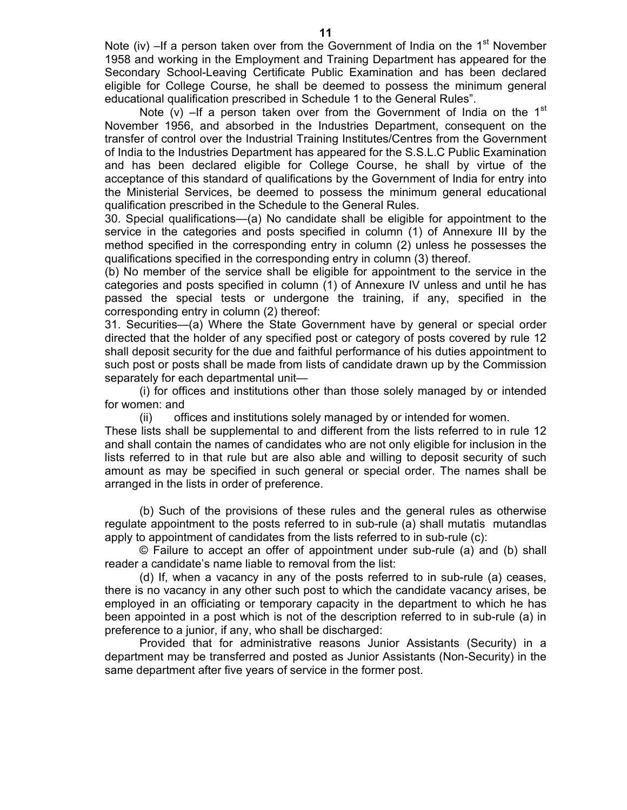Note (iv)  $-If$  a person taken over from the Government of India on the 1<sup>st</sup> November 1958 and working in the Employment and Training Department has appeared for the Secondary School-Leaving Certificate Public Examination and has been declared eligible for College Course, he shall be deemed to possess the minimum general educational qualification prescribed in Schedule 1 to the General Rules".

Note (v) –If a person taken over from the Government of India on the  $1<sup>st</sup>$ November 1956, and absorbed in the Industries Department, consequent on the transfer of control over the Industrial Training Institutes/Centres from the Government of India to the Industries Department has appeared for the S.S.L.C Public Examination and has been declared eligible for College Course, he shall by virtue of the acceptance of this standard of qualifications by the Government of India for entry into the Ministerial Services, be deemed to possess the minimum general educational qualification prescribed in the Schedule to the General Rules.

30. Special qualifications—(a) No candidate shall be eligible for appointment to the service in the categories and posts specified in column (1) of Annexure III by the method specified in the corresponding entry in column (2) unless he possesses the qualifications specified in the corresponding entry in column (3) thereof.

(b) No member of the service shall be eligible for appointment to the service in the categories and posts specified in column (1) of Annexure IV unless and until he has passed the special tests or undergone the training, if any, specified in the corresponding entry in column (2) thereof:

31. Securities—(a) Where the State Government have by general or special order directed that the holder of any specified post or category of posts covered by rule 12 shall deposit security for the due and faithful performance of his duties appointment to such post or posts shall be made from lists of candidate drawn up by the Commission separately for each departmental unit—

 (i) for offices and institutions other than those solely managed by or intended for women: and

(ii) offices and institutions solely managed by or intended for women.

These lists shall be supplemental to and different from the lists referred to in rule 12 and shall contain the names of candidates who are not only eligible for inclusion in the lists referred to in that rule but are also able and willing to deposit security of such amount as may be specified in such general or special order. The names shall be arranged in the lists in order of preference.

 (b) Such of the provisions of these rules and the general rules as otherwise regulate appointment to the posts referred to in sub-rule (a) shall mutatis mutandlas apply to appointment of candidates from the lists referred to in sub-rule (c):

 © Failure to accept an offer of appointment under sub-rule (a) and (b) shall reader a candidate's name liable to removal from the list:

 (d) If, when a vacancy in any of the posts referred to in sub-rule (a) ceases, there is no vacancy in any other such post to which the candidate vacancy arises, be employed in an officiating or temporary capacity in the department to which he has been appointed in a post which is not of the description referred to in sub-rule (a) in preference to a junior, if any, who shall be discharged:

 Provided that for administrative reasons Junior Assistants (Security) in a department may be transferred and posted as Junior Assistants (Non-Security) in the same department after five years of service in the former post.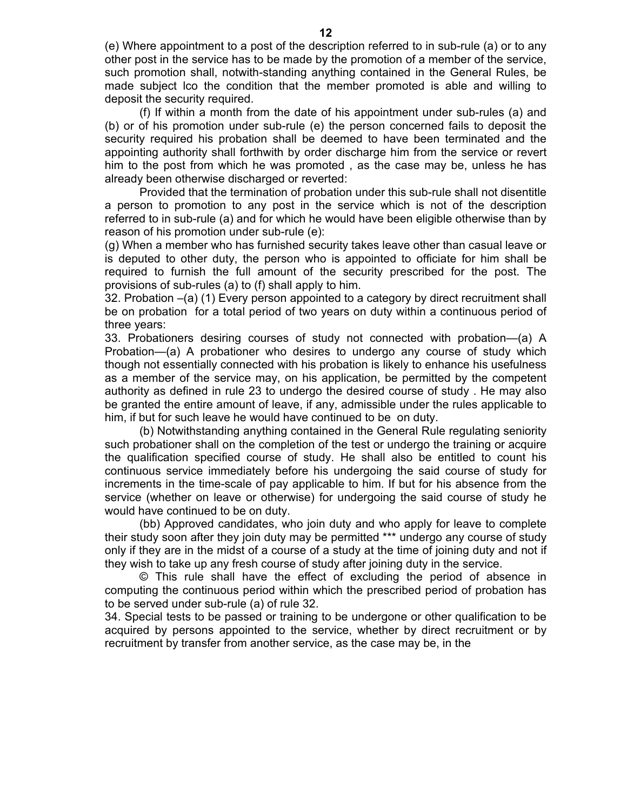(e) Where appointment to a post of the description referred to in sub-rule (a) or to any other post in the service has to be made by the promotion of a member of the service, such promotion shall, notwith-standing anything contained in the General Rules, be made subject lco the condition that the member promoted is able and willing to deposit the security required.

 (f) If within a month from the date of his appointment under sub-rules (a) and (b) or of his promotion under sub-rule (e) the person concerned fails to deposit the security required his probation shall be deemed to have been terminated and the appointing authority shall forthwith by order discharge him from the service or revert him to the post from which he was promoted , as the case may be, unless he has already been otherwise discharged or reverted:

 Provided that the termination of probation under this sub-rule shall not disentitle a person to promotion to any post in the service which is not of the description referred to in sub-rule (a) and for which he would have been eligible otherwise than by reason of his promotion under sub-rule (e):

(g) When a member who has furnished security takes leave other than casual leave or is deputed to other duty, the person who is appointed to officiate for him shall be required to furnish the full amount of the security prescribed for the post. The provisions of sub-rules (a) to (f) shall apply to him.

32. Probation –(a) (1) Every person appointed to a category by direct recruitment shall be on probation for a total period of two years on duty within a continuous period of three years:

33. Probationers desiring courses of study not connected with probation—(a) A Probation—(a) A probationer who desires to undergo any course of study which though not essentially connected with his probation is likely to enhance his usefulness as a member of the service may, on his application, be permitted by the competent authority as defined in rule 23 to undergo the desired course of study . He may also be granted the entire amount of leave, if any, admissible under the rules applicable to him, if but for such leave he would have continued to be on duty.

 (b) Notwithstanding anything contained in the General Rule regulating seniority such probationer shall on the completion of the test or undergo the training or acquire the qualification specified course of study. He shall also be entitled to count his continuous service immediately before his undergoing the said course of study for increments in the time-scale of pay applicable to him. If but for his absence from the service (whether on leave or otherwise) for undergoing the said course of study he would have continued to be on duty.

 (bb) Approved candidates, who join duty and who apply for leave to complete their study soon after they join duty may be permitted \*\*\* undergo any course of study only if they are in the midst of a course of a study at the time of joining duty and not if they wish to take up any fresh course of study after joining duty in the service.

 © This rule shall have the effect of excluding the period of absence in computing the continuous period within which the prescribed period of probation has to be served under sub-rule (a) of rule 32.

34. Special tests to be passed or training to be undergone or other qualification to be acquired by persons appointed to the service, whether by direct recruitment or by recruitment by transfer from another service, as the case may be, in the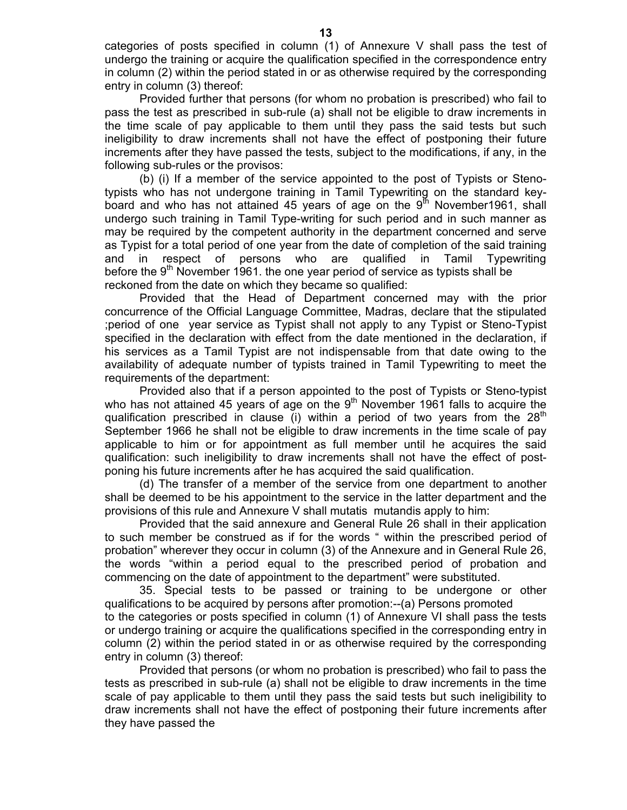categories of posts specified in column (1) of Annexure V shall pass the test of undergo the training or acquire the qualification specified in the correspondence entry in column (2) within the period stated in or as otherwise required by the corresponding entry in column (3) thereof:

 Provided further that persons (for whom no probation is prescribed) who fail to pass the test as prescribed in sub-rule (a) shall not be eligible to draw increments in the time scale of pay applicable to them until they pass the said tests but such ineligibility to draw increments shall not have the effect of postponing their future increments after they have passed the tests, subject to the modifications, if any, in the following sub-rules or the provisos:

 (b) (i) If a member of the service appointed to the post of Typists or Stenotypists who has not undergone training in Tamil Typewriting on the standard keyboard and who has not attained 45 years of age on the  $9<sup>th</sup>$  November1961, shall undergo such training in Tamil Type-writing for such period and in such manner as may be required by the competent authority in the department concerned and serve as Typist for a total period of one year from the date of completion of the said training and in respect of persons who are qualified in Tamil Typewriting before the  $9<sup>th</sup>$  November 1961. the one year period of service as typists shall be reckoned from the date on which they became so qualified:

 Provided that the Head of Department concerned may with the prior concurrence of the Official Language Committee, Madras, declare that the stipulated ;period of one year service as Typist shall not apply to any Typist or Steno-Typist specified in the declaration with effect from the date mentioned in the declaration, if his services as a Tamil Typist are not indispensable from that date owing to the availability of adequate number of typists trained in Tamil Typewriting to meet the requirements of the department:

 Provided also that if a person appointed to the post of Typists or Steno-typist who has not attained 45 years of age on the  $9<sup>th</sup>$  November 1961 falls to acquire the qualification prescribed in clause (i) within a period of two years from the  $28<sup>th</sup>$ September 1966 he shall not be eligible to draw increments in the time scale of pay applicable to him or for appointment as full member until he acquires the said qualification: such ineligibility to draw increments shall not have the effect of postponing his future increments after he has acquired the said qualification.

 (d) The transfer of a member of the service from one department to another shall be deemed to be his appointment to the service in the latter department and the provisions of this rule and Annexure V shall mutatis mutandis apply to him:

 Provided that the said annexure and General Rule 26 shall in their application to such member be construed as if for the words " within the prescribed period of probation" wherever they occur in column (3) of the Annexure and in General Rule 26, the words "within a period equal to the prescribed period of probation and commencing on the date of appointment to the department" were substituted.

 35. Special tests to be passed or training to be undergone or other qualifications to be acquired by persons after promotion:--(a) Persons promoted to the categories or posts specified in column (1) of Annexure VI shall pass the tests or undergo training or acquire the qualifications specified in the corresponding entry in column (2) within the period stated in or as otherwise required by the corresponding entry in column (3) thereof:

 Provided that persons (or whom no probation is prescribed) who fail to pass the tests as prescribed in sub-rule (a) shall not be eligible to draw increments in the time scale of pay applicable to them until they pass the said tests but such ineligibility to draw increments shall not have the effect of postponing their future increments after they have passed the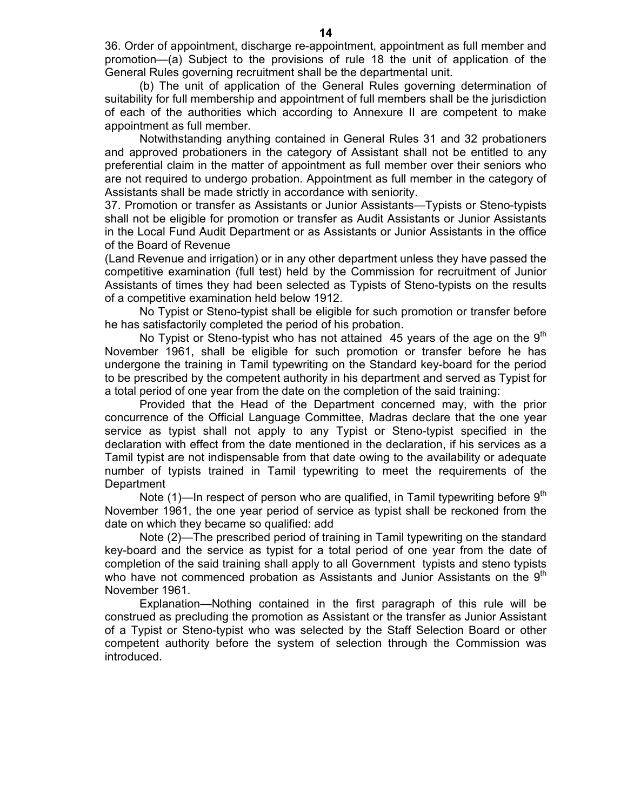36. Order of appointment, discharge re-appointment, appointment as full member and promotion—(a) Subject to the provisions of rule 18 the unit of application of the General Rules governing recruitment shall be the departmental unit.

 (b) The unit of application of the General Rules governing determination of suitability for full membership and appointment of full members shall be the jurisdiction of each of the authorities which according to Annexure II are competent to make appointment as full member.

 Notwithstanding anything contained in General Rules 31 and 32 probationers and approved probationers in the category of Assistant shall not be entitled to any preferential claim in the matter of appointment as full member over their seniors who are not required to undergo probation. Appointment as full member in the category of Assistants shall be made strictly in accordance with seniority.

37. Promotion or transfer as Assistants or Junior Assistants—Typists or Steno-typists shall not be eligible for promotion or transfer as Audit Assistants or Junior Assistants in the Local Fund Audit Department or as Assistants or Junior Assistants in the office of the Board of Revenue

(Land Revenue and irrigation) or in any other department unless they have passed the competitive examination (full test) held by the Commission for recruitment of Junior Assistants of times they had been selected as Typists of Steno-typists on the results of a competitive examination held below 1912.

 No Typist or Steno-typist shall be eligible for such promotion or transfer before he has satisfactorily completed the period of his probation.

No Typist or Steno-typist who has not attained 45 years of the age on the  $9<sup>th</sup>$ November 1961, shall be eligible for such promotion or transfer before he has undergone the training in Tamil typewriting on the Standard key-board for the period to be prescribed by the competent authority in his department and served as Typist for a total period of one year from the date on the completion of the said training:

 Provided that the Head of the Department concerned may, with the prior concurrence of the Official Language Committee, Madras declare that the one year service as typist shall not apply to any Typist or Steno-typist specified in the declaration with effect from the date mentioned in the declaration, if his services as a Tamil typist are not indispensable from that date owing to the availability or adequate number of typists trained in Tamil typewriting to meet the requirements of the **Department** 

Note  $(1)$ —In respect of person who are qualified, in Tamil typewriting before 9<sup>th</sup> November 1961, the one year period of service as typist shall be reckoned from the date on which they became so qualified: add

 Note (2)—The prescribed period of training in Tamil typewriting on the standard key-board and the service as typist for a total period of one year from the date of completion of the said training shall apply to all Government typists and steno typists who have not commenced probation as Assistants and Junior Assistants on the  $9<sup>th</sup>$ November 1961.

 Explanation—Nothing contained in the first paragraph of this rule will be construed as precluding the promotion as Assistant or the transfer as Junior Assistant of a Typist or Steno-typist who was selected by the Staff Selection Board or other competent authority before the system of selection through the Commission was introduced.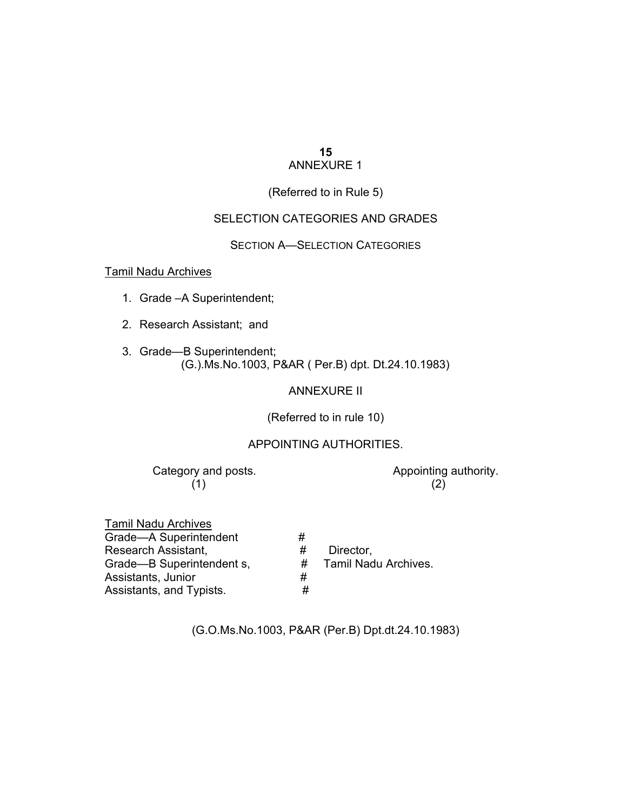#### **15** ANNEXURE 1

#### (Referred to in Rule 5)

#### SELECTION CATEGORIES AND GRADES

SECTION A—SELECTION CATEGORIES

#### Tamil Nadu Archives

- 1. Grade –A Superintendent;
- 2. Research Assistant; and
- 3. Grade—B Superintendent; (G.).Ms.No.1003, P&AR ( Per.B) dpt. Dt.24.10.1983)

ANNEXURE II

(Referred to in rule 10)

#### APPOINTING AUTHORITIES.

Category and posts. The contract of the Appointing authority.  $(1)$  (2)

| <b>Tamil Nadu Archives</b> |   |  |
|----------------------------|---|--|
| Grade-A Superintendent     | # |  |
| Research Assistant.        | # |  |
| Grade-B Superintendent s,  |   |  |
| Assistants, Junior         | # |  |
| Assistants, and Typists.   | # |  |

# Director, # Tamil Nadu Archives.

(G.O.Ms.No.1003, P&AR (Per.B) Dpt.dt.24.10.1983)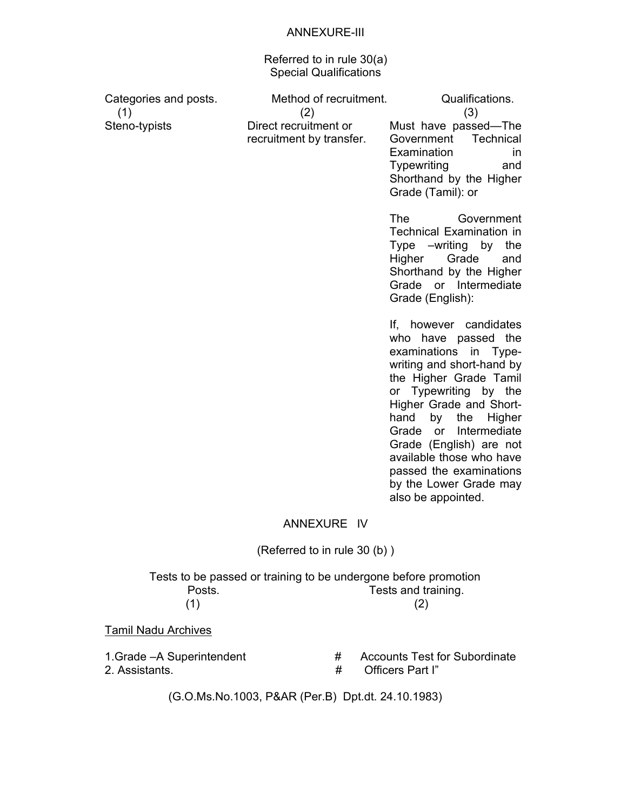#### ANNEXURE-III

Referred to in rule 30(a) Special Qualifications

| Categories and posts.<br>(1)<br>Steno-typists | Method of recruitment.<br>(2)<br>Direct recruitment or<br>recruitment by transfer. | Qualifications.<br>(3)<br>Must have passed-The<br>Technical<br>Government<br>Examination<br>in.<br>Typewriting<br>and<br>Shorthand by the Higher                                                                                                                                     |
|-----------------------------------------------|------------------------------------------------------------------------------------|--------------------------------------------------------------------------------------------------------------------------------------------------------------------------------------------------------------------------------------------------------------------------------------|
|                                               |                                                                                    | Grade (Tamil): or<br>The<br>Government<br><b>Technical Examination in</b><br>Type – writing by the<br>Grade<br>Higher<br>and<br>Shorthand by the Higher<br>Grade or Intermediate<br>Grade (English):                                                                                 |
|                                               |                                                                                    | If, however candidates<br>who have passed the<br>examinations in Type-<br>writing and short-hand by<br>the Higher Grade Tamil<br>or Typewriting by the<br>Higher Grade and Short-<br>the<br>hand<br>by<br>Higher<br>Grade<br>Intermediate<br>or <b>or</b><br>Grade (English) are not |

available those who have passed the examinations by the Lower Grade may also be appointed.

#### ANNEXURE IV

#### (Referred to in rule 30 (b) )

 Tests to be passed or training to be undergone before promotion Posts. Tests and training.  $(1)$  (2)

Tamil Nadu Archives

- 
- 1.Grade –A Superintendent  $\begin{array}{ccc} 1.6 \rightarrow 1.6 \rightarrow 2.4 \rightarrow 3.4 \rightarrow 4.4 \rightarrow 4.4 \rightarrow 5.4 \rightarrow 5.4 \rightarrow 5.4 \rightarrow 5.4 \rightarrow 5.4 \rightarrow 5.4 \rightarrow 5.4 \rightarrow 5.4 \rightarrow 5.4 \rightarrow 5.4 \rightarrow 5.4 \rightarrow 5.4 \rightarrow 5.4 \rightarrow 5.4 \rightarrow 5.4 \rightarrow 5.4 \rightarrow 5.4 \rightarrow 5.4 \rightarrow 5.4 \rightarrow 5.4 \rightarrow 5.4 \rightarrow 5.4 \rightarrow 5.4 \rightarrow 5.4 \rightarrow 5.4 \rightarrow 5$ 2. Assistants. # Officers Part I"

(G.O.Ms.No.1003, P&AR (Per.B) Dpt.dt. 24.10.1983)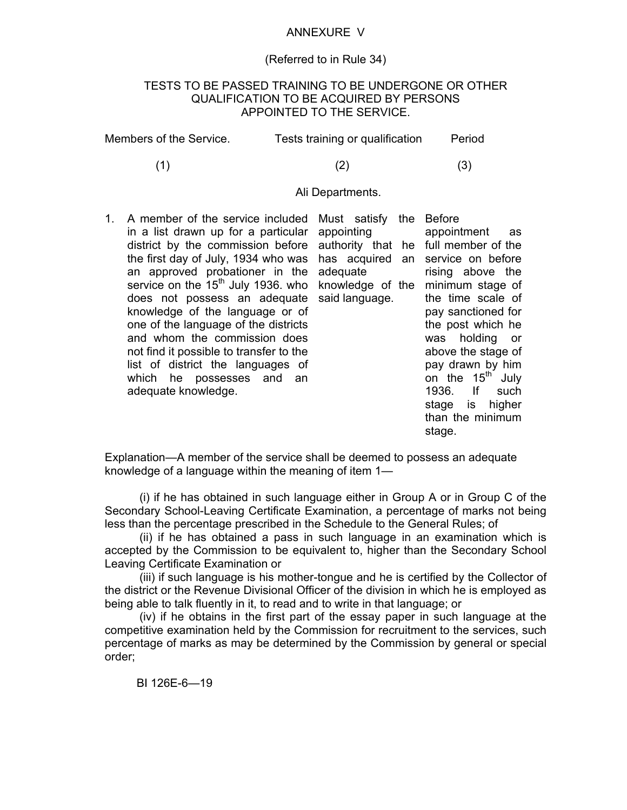#### ANNEXURE V

#### (Referred to in Rule 34)

#### TESTS TO BE PASSED TRAINING TO BE UNDERGONE OR OTHER QUALIFICATION TO BE ACQUIRED BY PERSONS APPOINTED TO THE SERVICE.

| Members of the Service. | Tests training or qualification | Period |
|-------------------------|---------------------------------|--------|
|-------------------------|---------------------------------|--------|

(1)  $(2)$   $(3)$ 

#### Ali Departments.

1. A member of the service included in a list drawn up for a particular district by the commission before the first day of July, 1934 who was an approved probationer in the service on the  $15<sup>th</sup>$  July 1936. who does not possess an adequate knowledge of the language or of one of the language of the districts and whom the commission does not find it possible to transfer to the list of district the languages of which he possesses and an adequate knowledge.

Must satisfy the Before appointing adequate said language.

authority that he full member of the has acquired an service on before knowledge of the minimum stage of appointment as rising above the the time scale of pay sanctioned for the post which he was holding or above the stage of pay drawn by him on the  $15<sup>th</sup>$  July 1936. If such stage is higher than the minimum stage.

Explanation—A member of the service shall be deemed to possess an adequate knowledge of a language within the meaning of item 1—

 (i) if he has obtained in such language either in Group A or in Group C of the Secondary School-Leaving Certificate Examination, a percentage of marks not being less than the percentage prescribed in the Schedule to the General Rules; of

 (ii) if he has obtained a pass in such language in an examination which is accepted by the Commission to be equivalent to, higher than the Secondary School Leaving Certificate Examination or

 (iii) if such language is his mother-tongue and he is certified by the Collector of the district or the Revenue Divisional Officer of the division in which he is employed as being able to talk fluently in it, to read and to write in that language; or

 (iv) if he obtains in the first part of the essay paper in such language at the competitive examination held by the Commission for recruitment to the services, such percentage of marks as may be determined by the Commission by general or special order;

BI 126E-6—19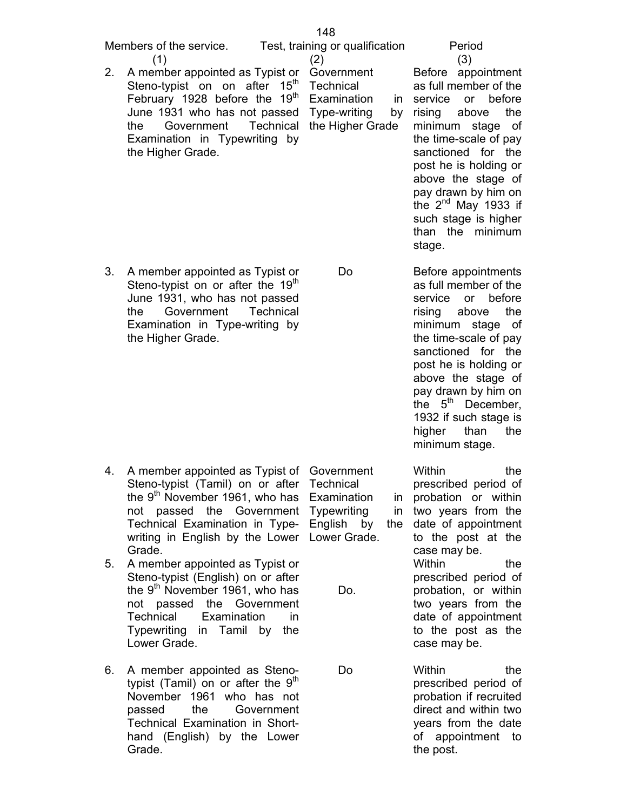| Members of the service.                                   | Test, training or qualification |    |                                 | Period |
|-----------------------------------------------------------|---------------------------------|----|---------------------------------|--------|
|                                                           | (2)                             |    |                                 | (3)    |
| 2. A member appointed as Typist or Government             |                                 |    | Before appoi                    |        |
| Steno-typist on on after 15 <sup>th</sup> Technical       |                                 |    | as full membe                   |        |
| February 1928 before the $19th$ Examination in service or |                                 |    |                                 |        |
| June 1931 who has not passed Type-writing                 |                                 | by | rising above                    |        |
| the Government Technical the Higher Grade minimum sta     |                                 |    |                                 |        |
| Examination in Typewriting by<br>the Higher Grade.        |                                 |    | the time-scale<br>sanctioned fo |        |
|                                                           |                                 |    | post he is hold                 |        |

148

Examination in service or before by rising Before appointment as full member of the above the minimum stage of the time-scale of pay sanctioned for the post he is holding or above the stage of pay drawn by him on the 2<sup>nd</sup> May 1933 if such stage is higher than the minimum stage.

3. A member appointed as Typist or Steno-typist on or after the  $19<sup>th</sup>$ June 1931, who has not passed the Government Technical Examination in Type-writing by the Higher Grade.

Do

Before appointments as full member of the service or before rising above the minimum stage of the time-scale of pay sanctioned for the post he is holding or above the stage of pay drawn by him on the  $5<sup>th</sup>$  December, 1932 if such stage is higher than the minimum stage.

4. A member appointed as Typist of Government 5. A member appointed as Typist or Steno-typist (Tamil) on or after Technical the  $9<sup>th</sup>$  November 1961, who has Examination in not passed the Government Typewriting in Technical Examination in Type-English by the writing in English by the Lower Lower Grade. Grade. Steno-typist (English) on or after the  $9<sup>th</sup>$  November 1961, who has Do. Within the prescribed period of in probation or within two years from the date of appointment to the post at the case may be. Within the prescribed period of probation, or within

Do

- not passed the Government Technical Examination in Typewriting in Tamil by the Lower Grade.
- 6. A member appointed as Stenotypist (Tamil) on or after the  $9<sup>th</sup>$ November 1961 who has not passed the Government Technical Examination in Shorthand (English) by the Lower Grade.

two years from the date of appointment to the post as the case may be.

Within the prescribed period of probation if recruited direct and within two years from the date of appointment to the post.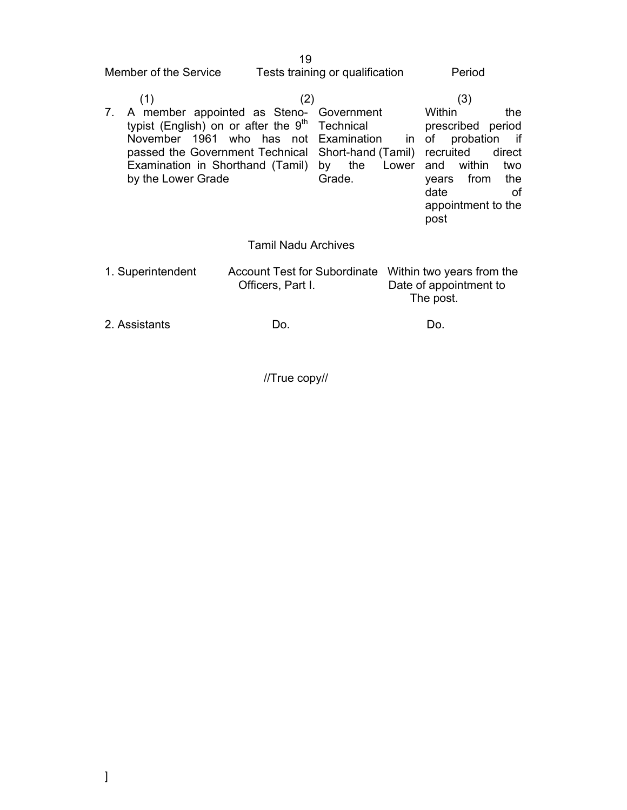$19<sup>19</sup>$ Member of the Service Tests training or qualification Period

| (1)                                                                                                                                                                                                                                                                                            | (2)                        |        | (3)                                                                                                              |                                         |
|------------------------------------------------------------------------------------------------------------------------------------------------------------------------------------------------------------------------------------------------------------------------------------------------|----------------------------|--------|------------------------------------------------------------------------------------------------------------------|-----------------------------------------|
| 7. A member appointed as Steno- Government<br>typist (English) on or after the 9 <sup>th</sup> Technical<br>November 1961 who has not Examination in of<br>passed the Government Technical Short-hand (Tamil) recruited<br>Examination in Shorthand (Tamil) by the Lower<br>by the Lower Grade |                            | Grade. | Within<br>prescribed period<br>probation<br>within<br>and<br>from<br>years<br>date<br>appointment to the<br>post | the<br>if<br>direct<br>two<br>the<br>οf |
|                                                                                                                                                                                                                                                                                                | <b>Tamil Nadu Archives</b> |        |                                                                                                                  |                                         |

| Account Test for Subordinate Within two years from the |                        |
|--------------------------------------------------------|------------------------|
| Officers, Part I.                                      | Date of appointment to |
|                                                        | The post.              |
|                                                        |                        |

2. Assistants Do. Do.

//True copy//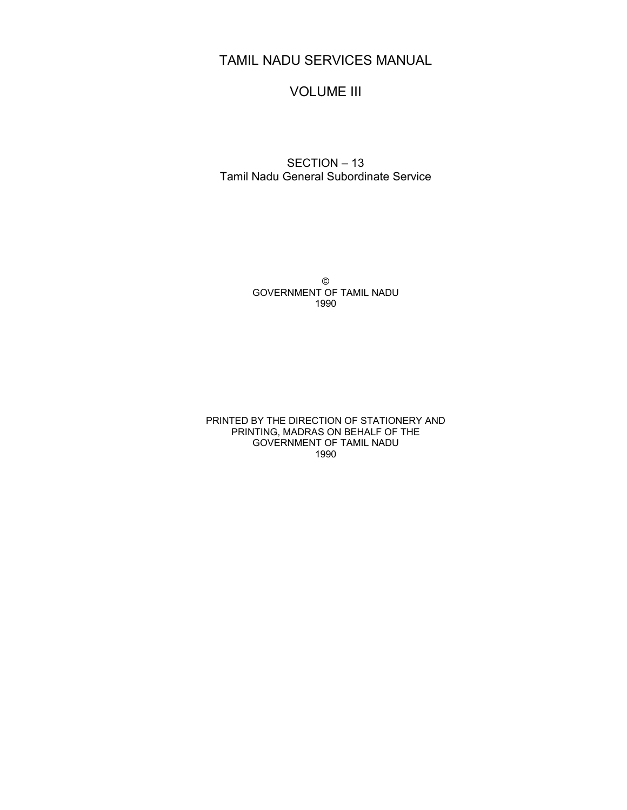## TAMIL NADU SERVICES MANUAL

## VOLUME III

#### SECTION – 13 Tamil Nadu General Subordinate Service

© GOVERNMENT OF TAMIL NADU 1990

PRINTED BY THE DIRECTION OF STATIONERY AND PRINTING, MADRAS ON BEHALF OF THE GOVERNMENT OF TAMIL NADU 1990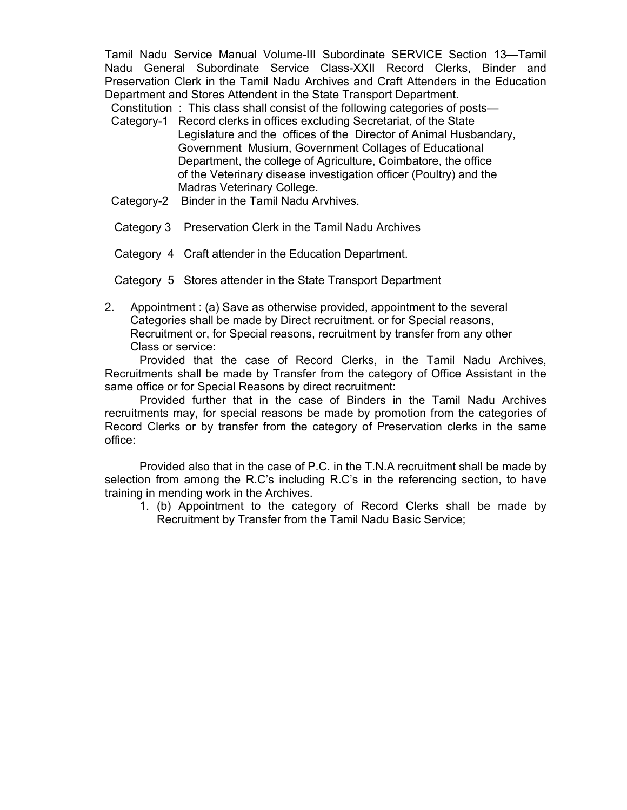Tamil Nadu Service Manual Volume-III Subordinate SERVICE Section 13—Tamil Nadu General Subordinate Service Class-XXII Record Clerks, Binder and Preservation Clerk in the Tamil Nadu Archives and Craft Attenders in the Education Department and Stores Attendent in the State Transport Department.

Constitution : This class shall consist of the following categories of posts—

- Category-1 Record clerks in offices excluding Secretariat, of the State Legislature and the offices of the Director of Animal Husbandary, Government Musium, Government Collages of Educational Department, the college of Agriculture, Coimbatore, the office of the Veterinary disease investigation officer (Poultry) and the Madras Veterinary College.
- Category-2 Binder in the Tamil Nadu Arvhives.
- Category 3 Preservation Clerk in the Tamil Nadu Archives
- Category 4 Craft attender in the Education Department.
- Category 5 Stores attender in the State Transport Department
- 2. Appointment : (a) Save as otherwise provided, appointment to the several Categories shall be made by Direct recruitment. or for Special reasons, Recruitment or, for Special reasons, recruitment by transfer from any other Class or service:

 Provided that the case of Record Clerks, in the Tamil Nadu Archives, Recruitments shall be made by Transfer from the category of Office Assistant in the same office or for Special Reasons by direct recruitment:

 Provided further that in the case of Binders in the Tamil Nadu Archives recruitments may, for special reasons be made by promotion from the categories of Record Clerks or by transfer from the category of Preservation clerks in the same office:

 Provided also that in the case of P.C. in the T.N.A recruitment shall be made by selection from among the R.C's including R.C's in the referencing section, to have training in mending work in the Archives.

1. (b) Appointment to the category of Record Clerks shall be made by Recruitment by Transfer from the Tamil Nadu Basic Service;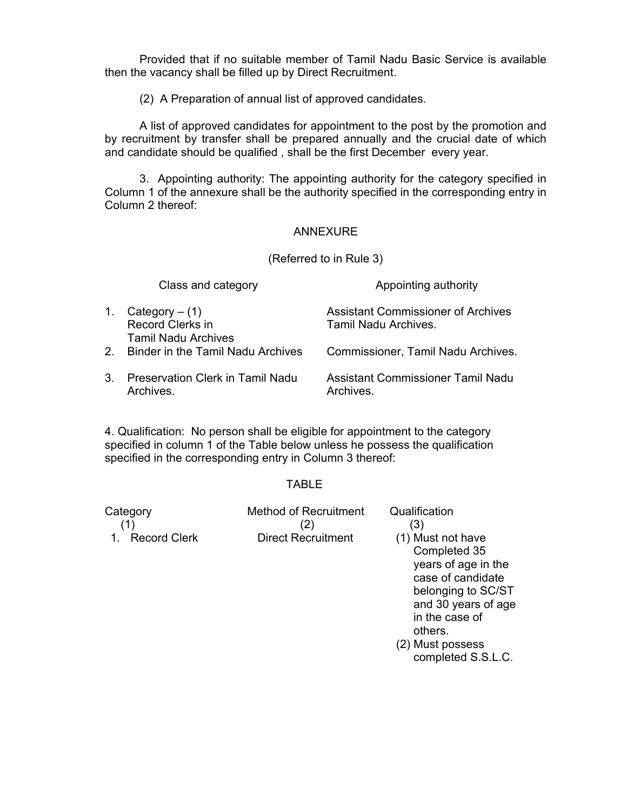Provided that if no suitable member of Tamil Nadu Basic Service is available then the vacancy shall be filled up by Direct Recruitment.

(2) A Preparation of annual list of approved candidates.

 A list of approved candidates for appointment to the post by the promotion and by recruitment by transfer shall be prepared annually and the crucial date of which and candidate should be qualified , shall be the first December every year.

 3. Appointing authority: The appointing authority for the category specified in Column 1 of the annexure shall be the authority specified in the corresponding entry in Column 2 thereof:

#### ANNEXURE

(Referred to in Rule 3)

|    | Class and category                                                 | Appointing authority                                              |
|----|--------------------------------------------------------------------|-------------------------------------------------------------------|
| 1. | Category $-$ (1)<br>Record Clerks in<br><b>Tamil Nadu Archives</b> | <b>Assistant Commissioner of Archives</b><br>Tamil Nadu Archives. |
| 2  | <b>Binder in the Tamil Nadu Archives</b>                           | Commissioner, Tamil Nadu Archives.                                |
| 3. | <b>Preservation Clerk in Tamil Nadu</b><br>Archives.               | Assistant Commissioner Tamil Nadu<br>Archives.                    |

4. Qualification: No person shall be eligible for appointment to the category specified in column 1 of the Table below unless he possess the qualification specified in the corresponding entry in Column 3 thereof:

#### TABLE

Category **Method of Recruitment** Qualification  $(1)$   $(2)$   $(3)$ 1. Record Clerk Direct Recruitment (1) Must not have

Completed 35 years of age in the case of candidate belonging to SC/ST and 30 years of age in the case of others.

(2) Must possess completed S.S.L.C.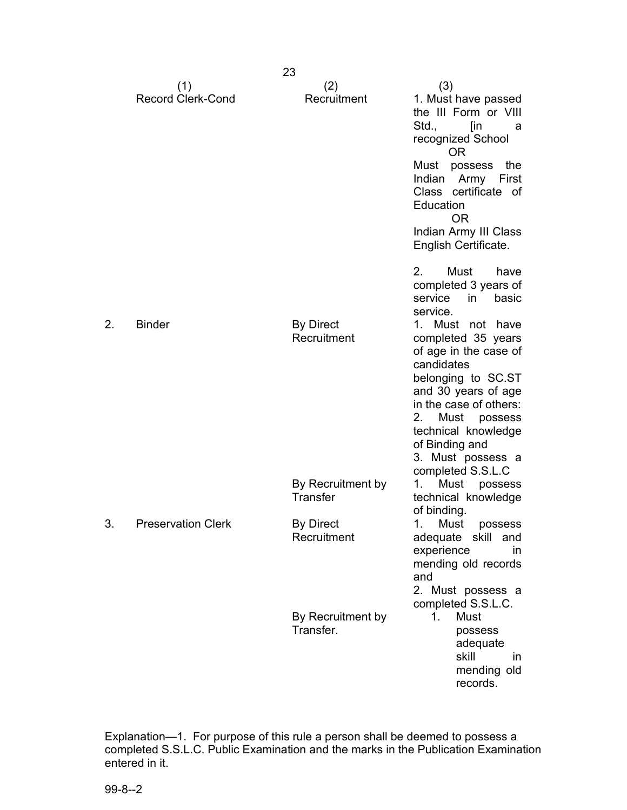|    |                                 | 23                                   |                                                                                                                                                                                                                                                                        |
|----|---------------------------------|--------------------------------------|------------------------------------------------------------------------------------------------------------------------------------------------------------------------------------------------------------------------------------------------------------------------|
|    | (1)<br><b>Record Clerk-Cond</b> | (2)<br>Recruitment                   | (3)<br>1. Must have passed<br>the III Form or VIII<br>Std.,<br>[in<br>a<br>recognized School<br><b>OR</b>                                                                                                                                                              |
|    |                                 |                                      | Must<br>possess<br>the<br>Indian<br>Army First<br>Class certificate of<br>Education<br><b>OR</b>                                                                                                                                                                       |
|    |                                 |                                      | Indian Army III Class<br>English Certificate.                                                                                                                                                                                                                          |
|    |                                 |                                      | 2.<br>Must<br>have<br>completed 3 years of<br>in<br>basic<br>service<br>service.                                                                                                                                                                                       |
| 2. | <b>Binder</b>                   | <b>By Direct</b><br>Recruitment      | $1_{\cdot}$<br>Must not have<br>completed 35 years<br>of age in the case of<br>candidates<br>belonging to SC.ST<br>and 30 years of age<br>in the case of others:<br>2. Must possess<br>technical knowledge<br>of Binding and<br>3. Must possess a<br>completed S.S.L.C |
|    |                                 | By Recruitment by<br><b>Transfer</b> | 1.<br>Must<br>possess<br>technical knowledge<br>of binding.                                                                                                                                                                                                            |
| 3  | <b>Preservation Clerk</b>       | <b>By Direct</b><br>Recruitment      | 1. Must possess<br>adequate skill<br>and<br>experience<br>in.<br>mending old records<br>and<br>2. Must possess a<br>completed S.S.L.C.                                                                                                                                 |
|    |                                 | By Recruitment by<br>Transfer.       | Must<br>1.<br>possess<br>adequate<br>skill<br>$\mathsf{I} \mathsf{n}$<br>mending old<br>records.                                                                                                                                                                       |

Explanation—1. For purpose of this rule a person shall be deemed to possess a completed S.S.L.C. Public Examination and the marks in the Publication Examination entered in it.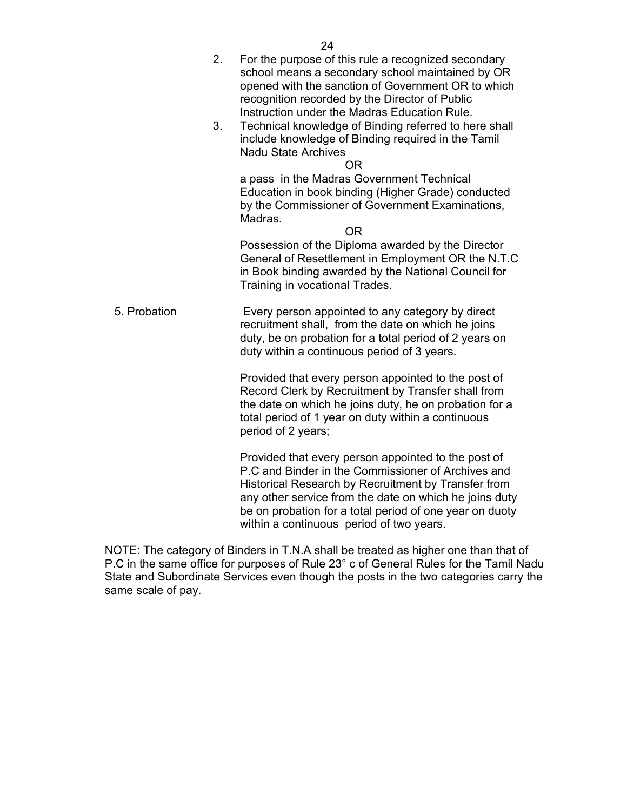|              | 2. | For the purpose of this rule a recognized secondary<br>school means a secondary school maintained by OR<br>opened with the sanction of Government OR to which<br>recognition recorded by the Director of Public<br>Instruction under the Madras Education Rule. |
|--------------|----|-----------------------------------------------------------------------------------------------------------------------------------------------------------------------------------------------------------------------------------------------------------------|
|              | 3. | Technical knowledge of Binding referred to here shall<br>include knowledge of Binding required in the Tamil<br><b>Nadu State Archives</b><br>OR                                                                                                                 |
|              |    | a pass in the Madras Government Technical<br>Education in book binding (Higher Grade) conducted<br>by the Commissioner of Government Examinations,<br>Madras.<br><b>OR</b>                                                                                      |
|              |    | Possession of the Diploma awarded by the Director<br>General of Resettlement in Employment OR the N.T.C<br>in Book binding awarded by the National Council for<br>Training in vocational Trades.                                                                |
| 5. Probation |    | Every person appointed to any category by direct<br>recruitment shall, from the date on which he joins<br>duty, be on probation for a total period of 2 years on<br>duty within a continuous period of 3 years.                                                 |
|              |    | Provided that every person appointed to the post of<br>Record Clerk by Recruitment by Transfer shall from<br>the date on which he joins duty, he on probation for a<br>total period of 1 year on duty within a continuous<br>period of 2 years;                 |
|              |    | Provided that every person appointed to the post of<br>and Dinder in the Commissioners of Anglican                                                                                                                                                              |

P.C and Binder in the Commissioner of Archives and Historical Research by Recruitment by Transfer from any other service from the date on which he joins duty be on probation for a total period of one year on duoty within a continuous period of two years.

NOTE: The category of Binders in T.N.A shall be treated as higher one than that of P.C in the same office for purposes of Rule 23° c of General Rules for the Tamil Nadu State and Subordinate Services even though the posts in the two categories carry the same scale of pay.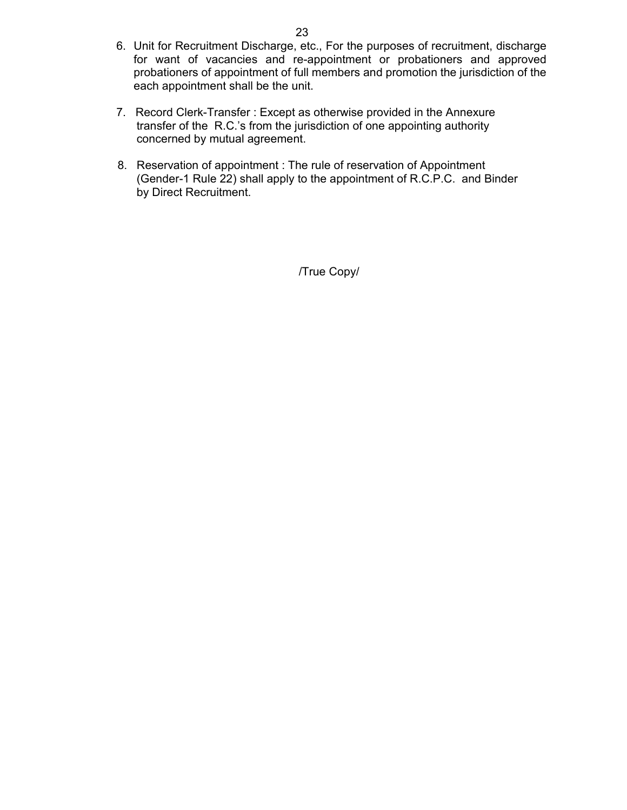- 6. Unit for Recruitment Discharge, etc., For the purposes of recruitment, discharge for want of vacancies and re-appointment or probationers and approved probationers of appointment of full members and promotion the jurisdiction of the each appointment shall be the unit.
- 7. Record Clerk-Transfer : Except as otherwise provided in the Annexure transfer of the R.C.'s from the jurisdiction of one appointing authority concerned by mutual agreement.
- 8. Reservation of appointment : The rule of reservation of Appointment (Gender-1 Rule 22) shall apply to the appointment of R.C.P.C. and Binder by Direct Recruitment.

/True Copy/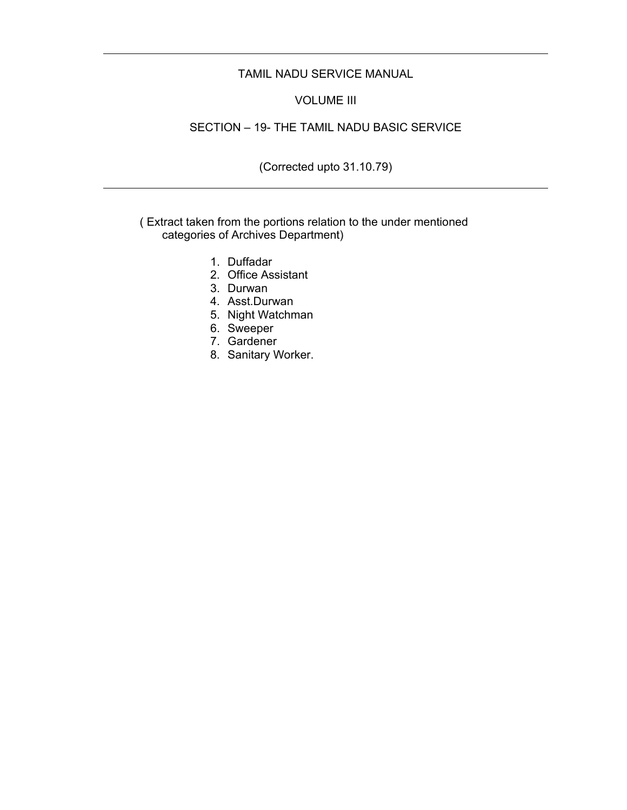#### TAMIL NADU SERVICE MANUAL

#### VOLUME III

### SECTION – 19- THE TAMIL NADU BASIC SERVICE

### (Corrected upto 31.10.79)

#### ( Extract taken from the portions relation to the under mentioned categories of Archives Department)

- 1. Duffadar
- 2. Office Assistant
- 3. Durwan
- 4. Asst.Durwan
- 5. Night Watchman
- 6. Sweeper
- 7. Gardener
- 8. Sanitary Worker.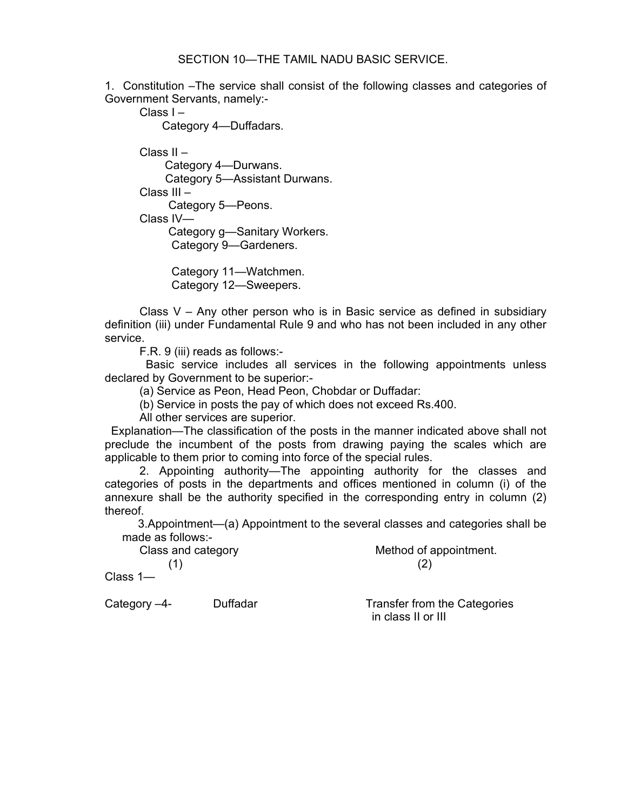#### SECTION 10—THE TAMIL NADU BASIC SERVICE.

1. Constitution –The service shall consist of the following classes and categories of Government Servants, namely:-

Class I –

Category 4—Duffadars.

 Class II – Category 4—Durwans. Category 5—Assistant Durwans. Class III – Category 5—Peons. Class IV— Category g—Sanitary Workers. Category 9—Gardeners.

> Category 11—Watchmen. Category 12—Sweepers.

Class  $V - Any other person who is in Basic service as defined in subsidiary$ definition (iii) under Fundamental Rule 9 and who has not been included in any other service.

F.R. 9 (iii) reads as follows:-

 Basic service includes all services in the following appointments unless declared by Government to be superior:-

(a) Service as Peon, Head Peon, Chobdar or Duffadar:

(b) Service in posts the pay of which does not exceed Rs.400.

All other services are superior.

 Explanation—The classification of the posts in the manner indicated above shall not preclude the incumbent of the posts from drawing paying the scales which are applicable to them prior to coming into force of the special rules.

 2. Appointing authority—The appointing authority for the classes and categories of posts in the departments and offices mentioned in column (i) of the annexure shall be the authority specified in the corresponding entry in column (2) thereof.

 3.Appointment—(a) Appointment to the several classes and categories shall be made as follows:-

Class and category **Method of appointment.**  $(1)$  (2)

Class 1—

Category –4- Duffadar Transfer from the Categories in class II or III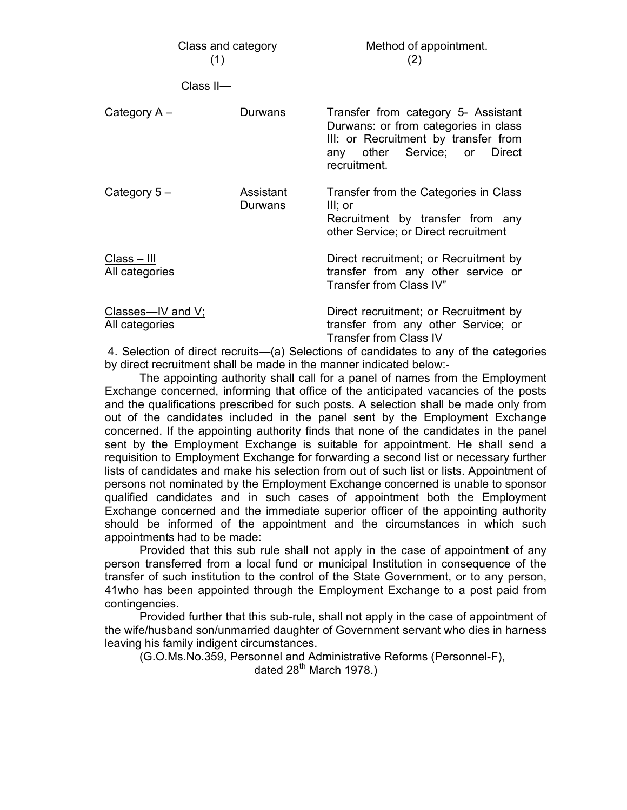| Class and category<br>(1)           |                      | Method of appointment.<br>(2)                                                                                                                                       |  |
|-------------------------------------|----------------------|---------------------------------------------------------------------------------------------------------------------------------------------------------------------|--|
| Class <sub>II-</sub>                |                      |                                                                                                                                                                     |  |
| Category A -                        | Durwans              | Transfer from category 5- Assistant<br>Durwans: or from categories in class<br>III: or Recruitment by transfer from<br>any other Service; or Direct<br>recruitment. |  |
| Category $5-$                       | Assistant<br>Durwans | Transfer from the Categories in Class<br>III; or<br>Recruitment by transfer from any<br>other Service; or Direct recruitment                                        |  |
| $Class - III$<br>All categories     |                      | Direct recruitment; or Recruitment by<br>transfer from any other service or<br>Transfer from Class IV"                                                              |  |
| Classes-IV and V;<br>All categories |                      | Direct recruitment; or Recruitment by<br>transfer from any other Service; or<br><b>Transfer from Class IV</b>                                                       |  |

 4. Selection of direct recruits—(a) Selections of candidates to any of the categories by direct recruitment shall be made in the manner indicated below:-

 The appointing authority shall call for a panel of names from the Employment Exchange concerned, informing that office of the anticipated vacancies of the posts and the qualifications prescribed for such posts. A selection shall be made only from out of the candidates included in the panel sent by the Employment Exchange concerned. If the appointing authority finds that none of the candidates in the panel sent by the Employment Exchange is suitable for appointment. He shall send a requisition to Employment Exchange for forwarding a second list or necessary further lists of candidates and make his selection from out of such list or lists. Appointment of persons not nominated by the Employment Exchange concerned is unable to sponsor qualified candidates and in such cases of appointment both the Employment Exchange concerned and the immediate superior officer of the appointing authority should be informed of the appointment and the circumstances in which such appointments had to be made:

 Provided that this sub rule shall not apply in the case of appointment of any person transferred from a local fund or municipal Institution in consequence of the transfer of such institution to the control of the State Government, or to any person, 41who has been appointed through the Employment Exchange to a post paid from contingencies.

 Provided further that this sub-rule, shall not apply in the case of appointment of the wife/husband son/unmarried daughter of Government servant who dies in harness leaving his family indigent circumstances.

(G.O.Ms.No.359, Personnel and Administrative Reforms (Personnel-F),

dated  $28<sup>th</sup>$  March 1978.)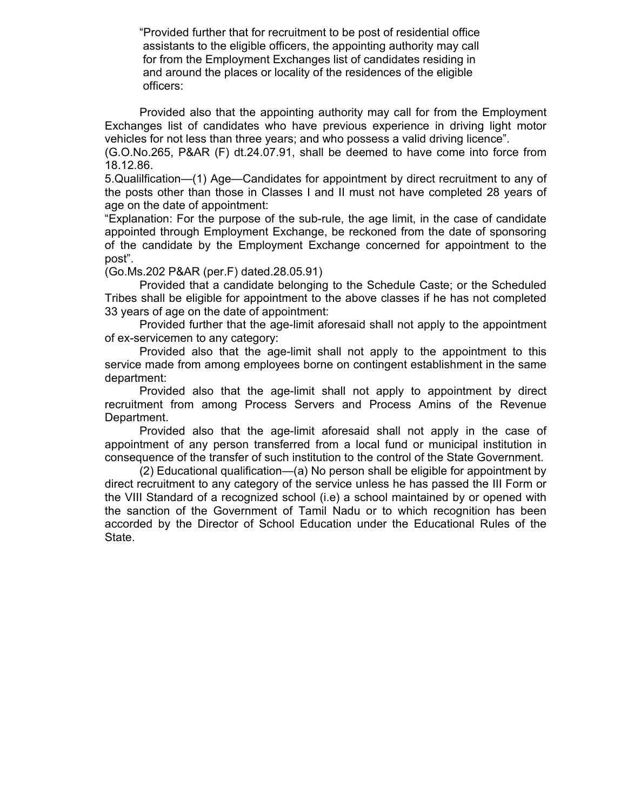"Provided further that for recruitment to be post of residential office assistants to the eligible officers, the appointing authority may call for from the Employment Exchanges list of candidates residing in and around the places or locality of the residences of the eligible officers:

 Provided also that the appointing authority may call for from the Employment Exchanges list of candidates who have previous experience in driving light motor vehicles for not less than three years; and who possess a valid driving licence".

(G.O.No.265, P&AR (F) dt.24.07.91, shall be deemed to have come into force from 18.12.86.

5.Qualilfication—(1) Age—Candidates for appointment by direct recruitment to any of the posts other than those in Classes I and II must not have completed 28 years of age on the date of appointment:

"Explanation: For the purpose of the sub-rule, the age limit, in the case of candidate appointed through Employment Exchange, be reckoned from the date of sponsoring of the candidate by the Employment Exchange concerned for appointment to the post".

(Go.Ms.202 P&AR (per.F) dated.28.05.91)

 Provided that a candidate belonging to the Schedule Caste; or the Scheduled Tribes shall be eligible for appointment to the above classes if he has not completed 33 years of age on the date of appointment:

 Provided further that the age-limit aforesaid shall not apply to the appointment of ex-servicemen to any category:

 Provided also that the age-limit shall not apply to the appointment to this service made from among employees borne on contingent establishment in the same department:

 Provided also that the age-limit shall not apply to appointment by direct recruitment from among Process Servers and Process Amins of the Revenue Department.

 Provided also that the age-limit aforesaid shall not apply in the case of appointment of any person transferred from a local fund or municipal institution in consequence of the transfer of such institution to the control of the State Government.

 (2) Educational qualification—(a) No person shall be eligible for appointment by direct recruitment to any category of the service unless he has passed the III Form or the VIII Standard of a recognized school (i.e) a school maintained by or opened with the sanction of the Government of Tamil Nadu or to which recognition has been accorded by the Director of School Education under the Educational Rules of the State.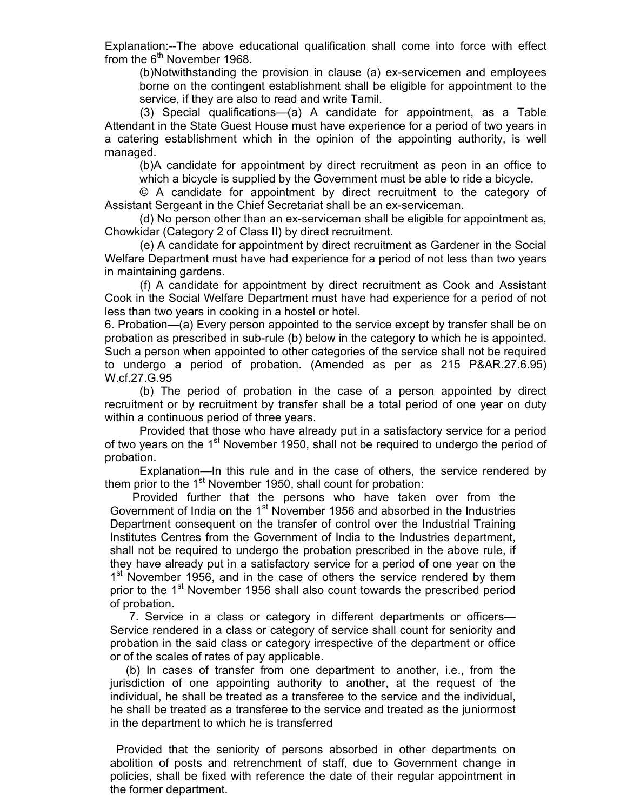Explanation:--The above educational qualification shall come into force with effect from the  $6<sup>th</sup>$  November 1968.

(b)Notwithstanding the provision in clause (a) ex-servicemen and employees borne on the contingent establishment shall be eligible for appointment to the service, if they are also to read and write Tamil.

 (3) Special qualifications—(a) A candidate for appointment, as a Table Attendant in the State Guest House must have experience for a period of two years in a catering establishment which in the opinion of the appointing authority, is well managed.

(b)A candidate for appointment by direct recruitment as peon in an office to which a bicycle is supplied by the Government must be able to ride a bicycle.

 © A candidate for appointment by direct recruitment to the category of Assistant Sergeant in the Chief Secretariat shall be an ex-serviceman.

 (d) No person other than an ex-serviceman shall be eligible for appointment as, Chowkidar (Category 2 of Class II) by direct recruitment.

 (e) A candidate for appointment by direct recruitment as Gardener in the Social Welfare Department must have had experience for a period of not less than two years in maintaining gardens.

 (f) A candidate for appointment by direct recruitment as Cook and Assistant Cook in the Social Welfare Department must have had experience for a period of not less than two years in cooking in a hostel or hotel.

6. Probation—(a) Every person appointed to the service except by transfer shall be on probation as prescribed in sub-rule (b) below in the category to which he is appointed. Such a person when appointed to other categories of the service shall not be required to undergo a period of probation. (Amended as per as 215 P&AR.27.6.95) W.cf.27.G.95

 (b) The period of probation in the case of a person appointed by direct recruitment or by recruitment by transfer shall be a total period of one year on duty within a continuous period of three years.

 Provided that those who have already put in a satisfactory service for a period of two years on the 1<sup>st</sup> November 1950, shall not be required to undergo the period of probation.

 Explanation—In this rule and in the case of others, the service rendered by them prior to the 1<sup>st</sup> November 1950, shall count for probation:

 Provided further that the persons who have taken over from the Government of India on the 1<sup>st</sup> November 1956 and absorbed in the Industries Department consequent on the transfer of control over the Industrial Training Institutes Centres from the Government of India to the Industries department, shall not be required to undergo the probation prescribed in the above rule, if they have already put in a satisfactory service for a period of one year on the 1<sup>st</sup> November 1956, and in the case of others the service rendered by them prior to the 1<sup>st</sup> November 1956 shall also count towards the prescribed period of probation.

 7. Service in a class or category in different departments or officers— Service rendered in a class or category of service shall count for seniority and probation in the said class or category irrespective of the department or office or of the scales of rates of pay applicable.

 (b) In cases of transfer from one department to another, i.e., from the jurisdiction of one appointing authority to another, at the request of the individual, he shall be treated as a transferee to the service and the individual, he shall be treated as a transferee to the service and treated as the juniormost in the department to which he is transferred

 Provided that the seniority of persons absorbed in other departments on abolition of posts and retrenchment of staff, due to Government change in policies, shall be fixed with reference the date of their regular appointment in the former department.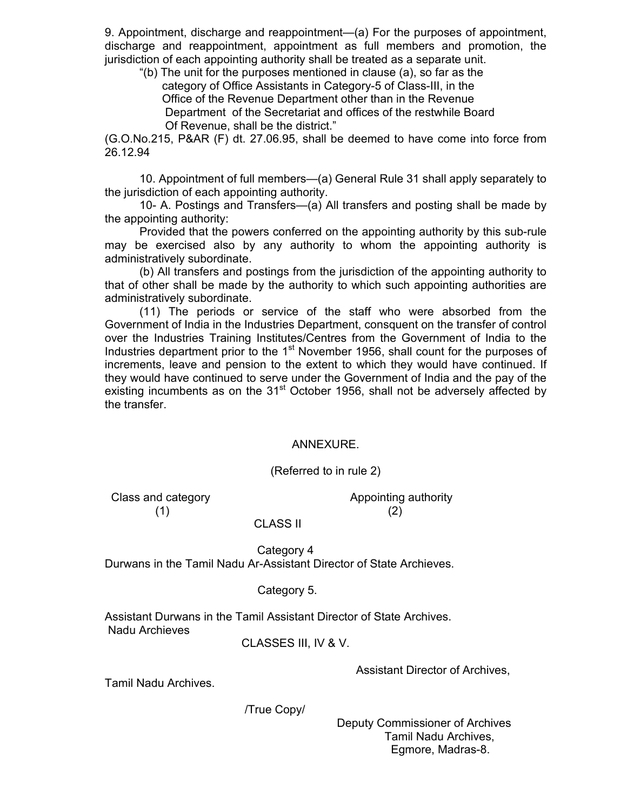9. Appointment, discharge and reappointment—(a) For the purposes of appointment, discharge and reappointment, appointment as full members and promotion, the jurisdiction of each appointing authority shall be treated as a separate unit.

 "(b) The unit for the purposes mentioned in clause (a), so far as the category of Office Assistants in Category-5 of Class-III, in the Office of the Revenue Department other than in the Revenue Department of the Secretariat and offices of the restwhile Board Of Revenue, shall be the district."

(G.O.No.215, P&AR (F) dt. 27.06.95, shall be deemed to have come into force from 26.12.94

 10. Appointment of full members—(a) General Rule 31 shall apply separately to the jurisdiction of each appointing authority.

 10- A. Postings and Transfers—(a) All transfers and posting shall be made by the appointing authority:

 Provided that the powers conferred on the appointing authority by this sub-rule may be exercised also by any authority to whom the appointing authority is administratively subordinate.

 (b) All transfers and postings from the jurisdiction of the appointing authority to that of other shall be made by the authority to which such appointing authorities are administratively subordinate.

 (11) The periods or service of the staff who were absorbed from the Government of India in the Industries Department, consquent on the transfer of control over the Industries Training Institutes/Centres from the Government of India to the Industries department prior to the 1<sup>st</sup> November 1956, shall count for the purposes of increments, leave and pension to the extent to which they would have continued. If they would have continued to serve under the Government of India and the pay of the existing incumbents as on the  $31<sup>st</sup>$  October 1956, shall not be adversely affected by the transfer.

#### ANNEXURE.

(Referred to in rule 2)

Class and category **Appointing authority** Class and category  $(1)$  (2)

CLASS II

 Category 4 Durwans in the Tamil Nadu Ar-Assistant Director of State Archieves.

#### Category 5.

Assistant Durwans in the Tamil Assistant Director of State Archives. Nadu Archieves

CLASSES III, IV & V.

Assistant Director of Archives,

Tamil Nadu Archives.

/True Copy/

 Deputy Commissioner of Archives Tamil Nadu Archives, Egmore, Madras-8.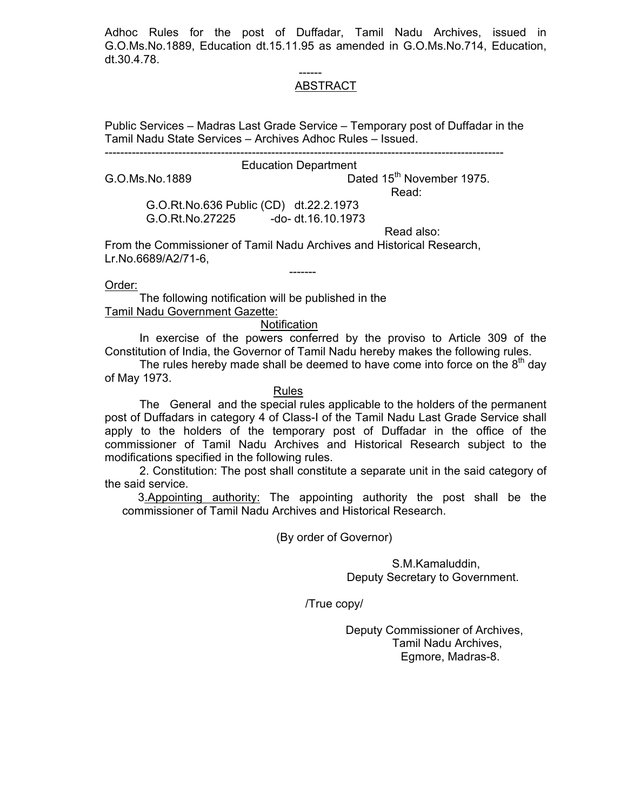Adhoc Rules for the post of Duffadar, Tamil Nadu Archives, issued in G.O.Ms.No.1889, Education dt.15.11.95 as amended in G.O.Ms.No.714, Education, dt.30.4.78.

#### ------ ABSTRACT

Public Services – Madras Last Grade Service – Temporary post of Duffadar in the Tamil Nadu State Services – Archives Adhoc Rules – Issued.

-------------------------------------------------------------------------------------------------------

#### Education Department

G.O.Ms.No.1889 **Dated 15<sup>th</sup> November 1975.** 

**Read:** The contract of the contract of the contract of the Read:

 G.O.Rt.No.636 Public (CD) dt.22.2.1973 G.O.Rt.No.27225 -do- dt.16.10.1973

Read also:

From the Commissioner of Tamil Nadu Archives and Historical Research, Lr.No.6689/A2/71-6,

Order:

 The following notification will be published in the Tamil Nadu Government Gazette:

-------

#### **Notification**

 In exercise of the powers conferred by the proviso to Article 309 of the Constitution of India, the Governor of Tamil Nadu hereby makes the following rules.

The rules hereby made shall be deemed to have come into force on the  $8<sup>th</sup>$  day of May 1973.

#### Rules

 The General and the special rules applicable to the holders of the permanent post of Duffadars in category 4 of Class-I of the Tamil Nadu Last Grade Service shall apply to the holders of the temporary post of Duffadar in the office of the commissioner of Tamil Nadu Archives and Historical Research subject to the modifications specified in the following rules.

 2. Constitution: The post shall constitute a separate unit in the said category of the said service.

3.Appointing authority: The appointing authority the post shall be the commissioner of Tamil Nadu Archives and Historical Research.

(By order of Governor)

 S.M.Kamaluddin, Deputy Secretary to Government.

/True copy/

 Deputy Commissioner of Archives, Tamil Nadu Archives, Egmore, Madras-8.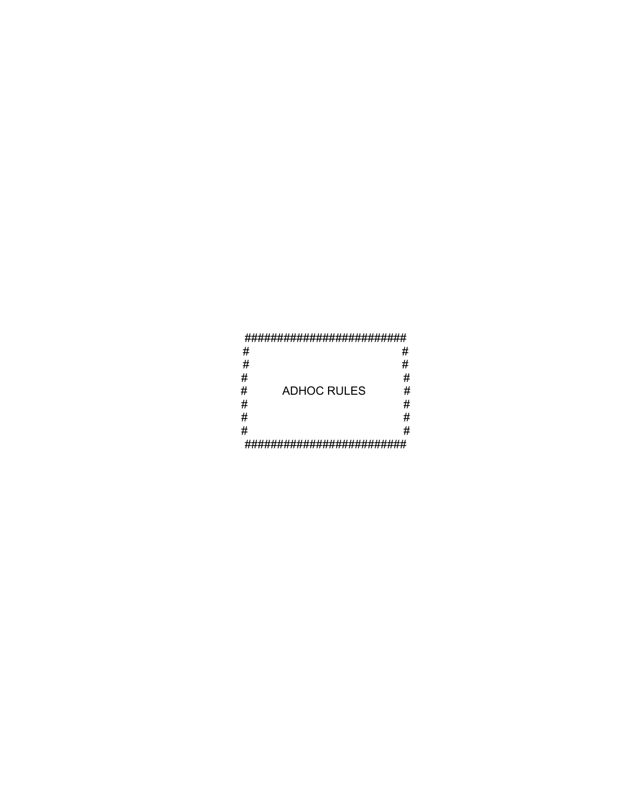#### ##########################

| #        |                    | # |  |  |
|----------|--------------------|---|--|--|
| #        |                    | # |  |  |
| #        |                    | # |  |  |
| #        | <b>ADHOC RULES</b> | # |  |  |
| #        |                    | # |  |  |
| #        |                    | # |  |  |
| #        |                    | # |  |  |
| ,, ,, ,, |                    |   |  |  |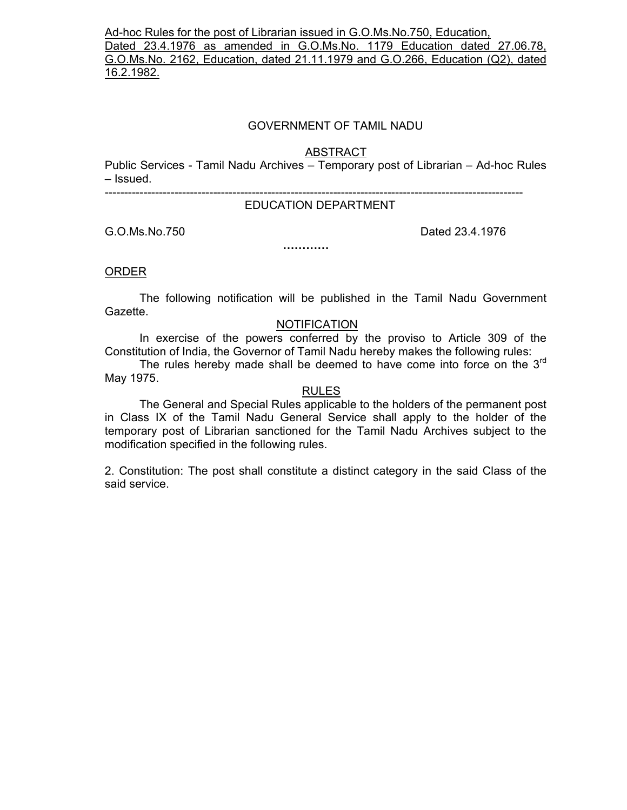Ad-hoc Rules for the post of Librarian issued in G.O.Ms.No.750, Education, Dated 23.4.1976 as amended in G.O.Ms.No. 1179 Education dated 27.06.78, G.O.Ms.No. 2162, Education, dated 21.11.1979 and G.O.266, Education (Q2), dated 16.2.1982.

#### GOVERNMENT OF TAMIL NADU

ABSTRACT

Public Services - Tamil Nadu Archives – Temporary post of Librarian – Ad-hoc Rules – Issued.

------------------------------------------------------------------------------------------------------------

#### EDUCATION DEPARTMENT

**…………** 

G.O.Ms.No.750 **Dated 23.4.1976** 

ORDER

 The following notification will be published in the Tamil Nadu Government Gazette.

#### NOTIFICATION

 In exercise of the powers conferred by the proviso to Article 309 of the Constitution of India, the Governor of Tamil Nadu hereby makes the following rules:

The rules hereby made shall be deemed to have come into force on the 3<sup>rd</sup> May 1975.

#### RULES

 The General and Special Rules applicable to the holders of the permanent post in Class IX of the Tamil Nadu General Service shall apply to the holder of the temporary post of Librarian sanctioned for the Tamil Nadu Archives subject to the modification specified in the following rules.

2. Constitution: The post shall constitute a distinct category in the said Class of the said service.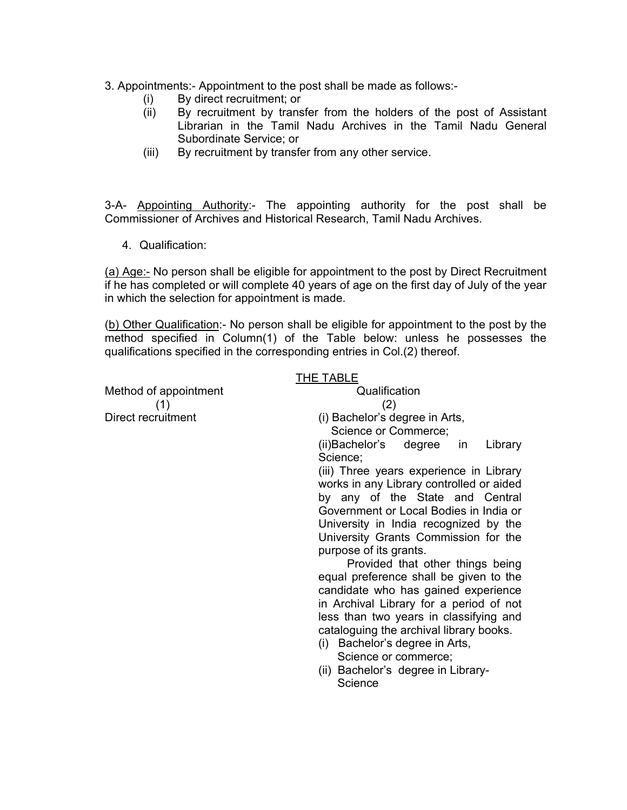## 3. Appointments:- Appointment to the post shall be made as follows:-

- (i) By direct recruitment; or
- (ii) By recruitment by transfer from the holders of the post of Assistant Librarian in the Tamil Nadu Archives in the Tamil Nadu General Subordinate Service; or
- (iii) By recruitment by transfer from any other service.

3-A- Appointing Authority:- The appointing authority for the post shall be Commissioner of Archives and Historical Research, Tamil Nadu Archives.

4. Qualification:

(a) Age:- No person shall be eligible for appointment to the post by Direct Recruitment if he has completed or will complete 40 years of age on the first day of July of the year in which the selection for appointment is made.

(b) Other Qualification:- No person shall be eligible for appointment to the post by the method specified in Column(1) of the Table below: unless he possesses the qualifications specified in the corresponding entries in Col.(2) thereof.

|                       | <b>THE TABLE</b>                              |
|-----------------------|-----------------------------------------------|
| Method of appointment | Qualification                                 |
| (1)                   | (2)                                           |
| Direct recruitment    | (i) Bachelor's degree in Arts,                |
|                       | Science or Commerce;                          |
|                       | (ii)Bachelor's degree in<br>Library           |
|                       | Science;                                      |
|                       | (iii) Three years experience in Library       |
|                       | works in any Library controlled or aided      |
|                       | by any of the State and Central               |
|                       | Government or Local Bodies in India or        |
|                       | University in India recognized by the         |
|                       | University Grants Commission for the          |
|                       | purpose of its grants.                        |
|                       | Provided that other things being              |
|                       | equal preference shall be given to the        |
|                       | candidate who has gained experience           |
|                       | in Archival Library for a period of not       |
|                       | less than two years in classifying and        |
|                       | cataloguing the archival library books.       |
|                       | (i) Bachelor's degree in Arts,                |
|                       | Science or commerce;                          |
|                       | (ii) Bachelor's degree in Library-<br>Science |
|                       |                                               |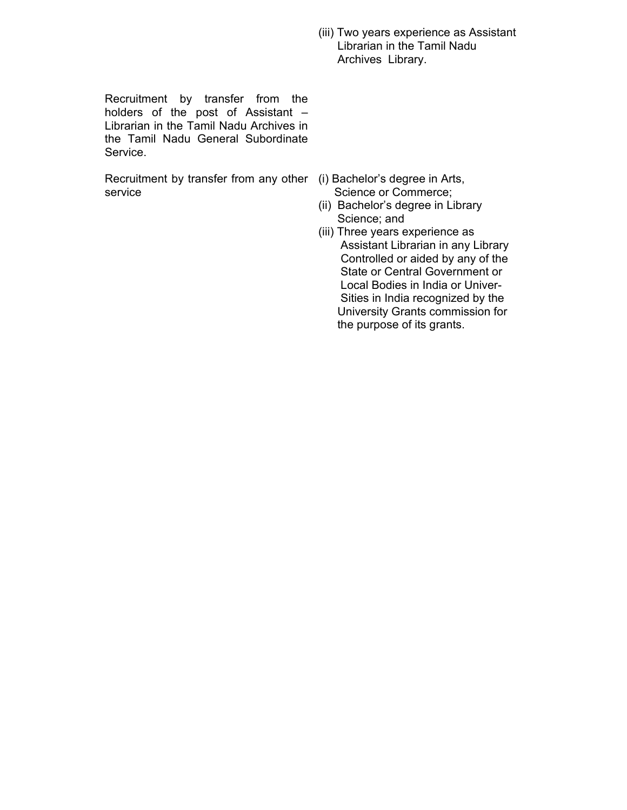(iii) Two years experience as Assistant Librarian in the Tamil Nadu Archives Library.

Recruitment by transfer from the holders of the post of Assistant – Librarian in the Tamil Nadu Archives in the Tamil Nadu General Subordinate Service.

Recruitment by transfer from any other (i) Bachelor's degree in Arts, service

- Science or Commerce;
- (ii) Bachelor's degree in Library Science; and
- (iii) Three years experience as Assistant Librarian in any Library Controlled or aided by any of the State or Central Government or Local Bodies in India or Univer- Sities in India recognized by the University Grants commission for the purpose of its grants.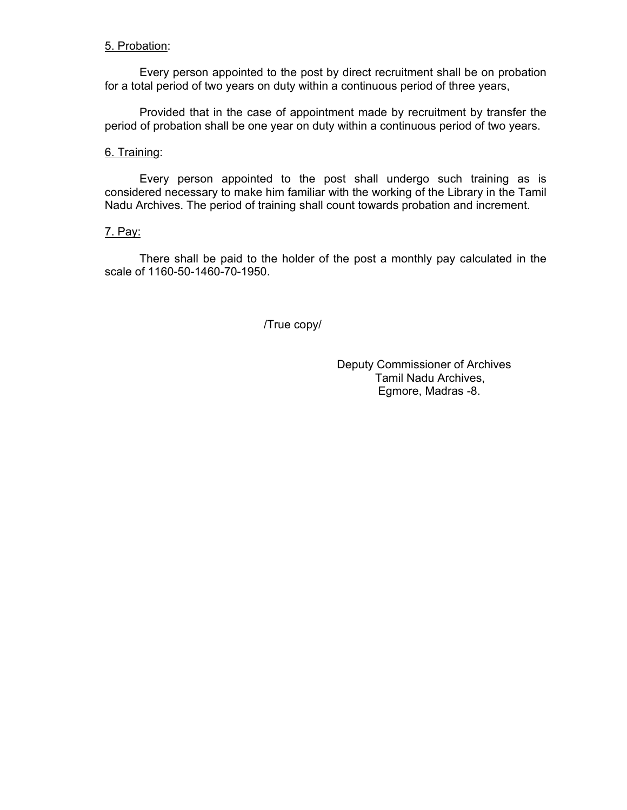## 5. Probation:

 Every person appointed to the post by direct recruitment shall be on probation for a total period of two years on duty within a continuous period of three years,

 Provided that in the case of appointment made by recruitment by transfer the period of probation shall be one year on duty within a continuous period of two years.

## 6. Training:

 Every person appointed to the post shall undergo such training as is considered necessary to make him familiar with the working of the Library in the Tamil Nadu Archives. The period of training shall count towards probation and increment.

## 7. Pay:

 There shall be paid to the holder of the post a monthly pay calculated in the scale of 1160-50-1460-70-1950.

/True copy/

 Deputy Commissioner of Archives Tamil Nadu Archives, Egmore, Madras -8.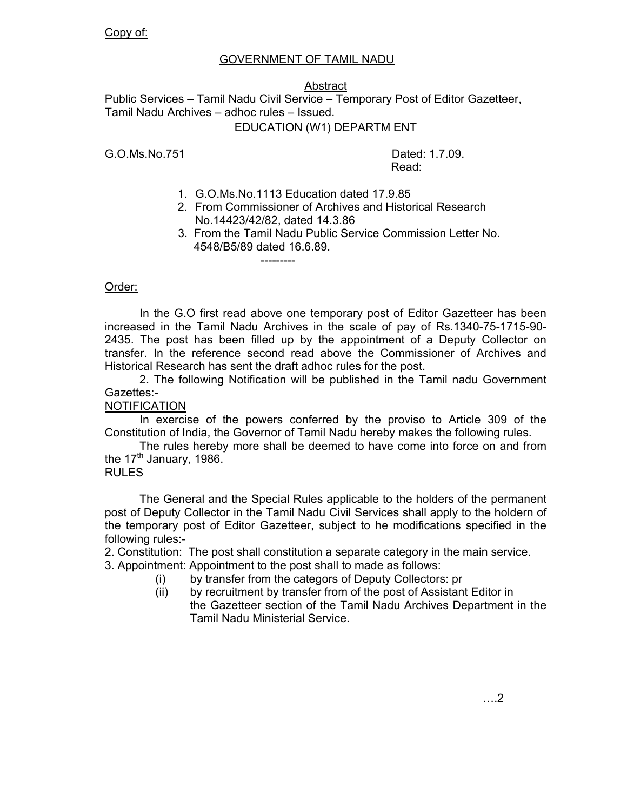# GOVERNMENT OF TAMIL NADU

## Abstract

Public Services – Tamil Nadu Civil Service – Temporary Post of Editor Gazetteer, Tamil Nadu Archives – adhoc rules – Issued.

EDUCATION (W1) DEPARTM ENT

G.O.Ms.No.751 Dated: 1.7.09.

---------

**Read:** The contract of the contract of the contract of the Read:

- 1. G.O.Ms.No.1113 Education dated 17.9.85
- 2. From Commissioner of Archives and Historical Research No.14423/42/82, dated 14.3.86
- 3. From the Tamil Nadu Public Service Commission Letter No. 4548/B5/89 dated 16.6.89.

## Order:

 In the G.O first read above one temporary post of Editor Gazetteer has been increased in the Tamil Nadu Archives in the scale of pay of Rs.1340-75-1715-90- 2435. The post has been filled up by the appointment of a Deputy Collector on transfer. In the reference second read above the Commissioner of Archives and Historical Research has sent the draft adhoc rules for the post.

 2. The following Notification will be published in the Tamil nadu Government Gazettes:-

## **NOTIFICATION**

 In exercise of the powers conferred by the proviso to Article 309 of the Constitution of India, the Governor of Tamil Nadu hereby makes the following rules.

 The rules hereby more shall be deemed to have come into force on and from the  $17<sup>th</sup>$  January, 1986.

## RULES

 The General and the Special Rules applicable to the holders of the permanent post of Deputy Collector in the Tamil Nadu Civil Services shall apply to the holdern of the temporary post of Editor Gazetteer, subject to he modifications specified in the following rules:-

2. Constitution: The post shall constitution a separate category in the main service.

3. Appointment: Appointment to the post shall to made as follows:

- (i) by transfer from the categors of Deputy Collectors: pr
- (ii) by recruitment by transfer from of the post of Assistant Editor in the Gazetteer section of the Tamil Nadu Archives Department in the Tamil Nadu Ministerial Service.

….2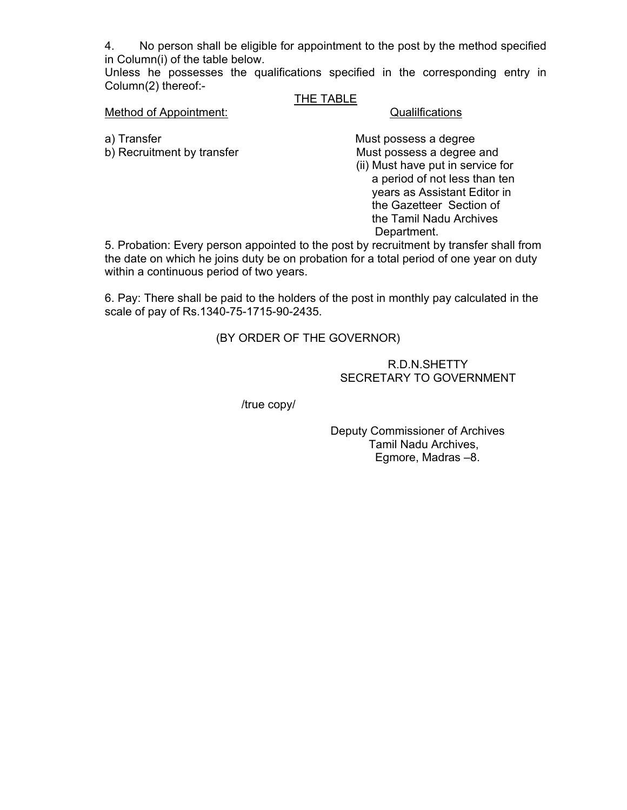4. No person shall be eligible for appointment to the post by the method specified in Column(i) of the table below.

Unless he possesses the qualifications specified in the corresponding entry in Column(2) thereof:-

## THE TABLE

## Method of Appointment: Contractions Cualilfications

a) Transfer **Must possess a degree** b) Recruitment by transfer Must possess a degree and (ii) Must have put in service for a period of not less than ten years as Assistant Editor in the Gazetteer Section of the Tamil Nadu Archives Department.

5. Probation: Every person appointed to the post by recruitment by transfer shall from the date on which he joins duty be on probation for a total period of one year on duty within a continuous period of two years.

6. Pay: There shall be paid to the holders of the post in monthly pay calculated in the scale of pay of Rs.1340-75-1715-90-2435.

(BY ORDER OF THE GOVERNOR)

## R.D.N.SHETTY SECRETARY TO GOVERNMENT

/true copy/

 Deputy Commissioner of Archives Tamil Nadu Archives, Egmore, Madras –8.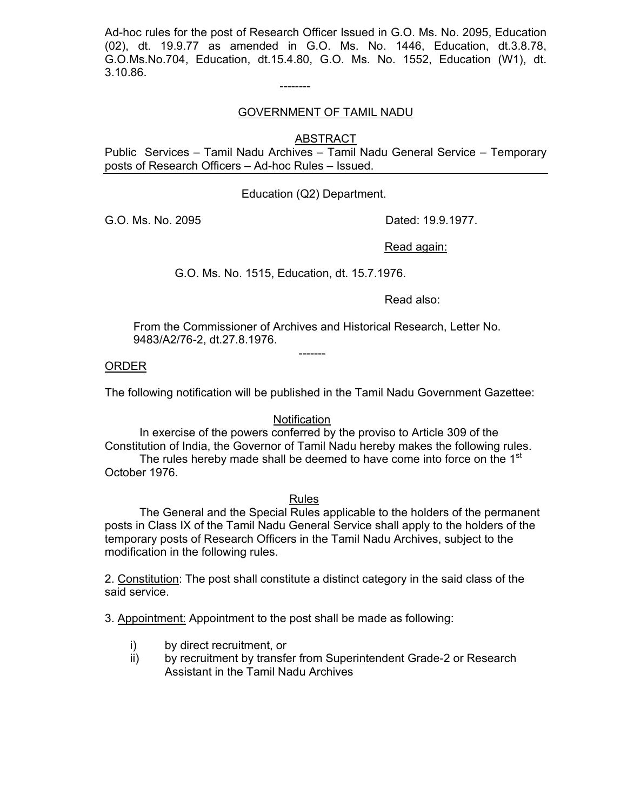Ad-hoc rules for the post of Research Officer Issued in G.O. Ms. No. 2095, Education (02), dt. 19.9.77 as amended in G.O. Ms. No. 1446, Education, dt.3.8.78, G.O.Ms.No.704, Education, dt.15.4.80, G.O. Ms. No. 1552, Education (W1), dt. 3.10.86.

--------

## GOVERNMENT OF TAMIL NADU

**ABSTRACT** 

Public Services – Tamil Nadu Archives – Tamil Nadu General Service – Temporary posts of Research Officers – Ad-hoc Rules – Issued.

Education (Q2) Department.

G.O. Ms. No. 2095 **Dated: 19.9.1977.** 

Read again:

G.O. Ms. No. 1515, Education, dt. 15.7.1976.

Read also:

 From the Commissioner of Archives and Historical Research, Letter No. 9483/A2/76-2, dt.27.8.1976.

ORDER

The following notification will be published in the Tamil Nadu Government Gazettee:

## **Notification**

 In exercise of the powers conferred by the proviso to Article 309 of the Constitution of India, the Governor of Tamil Nadu hereby makes the following rules. The rules hereby made shall be deemed to have come into force on the 1<sup>st</sup> October 1976.

## Rules

 The General and the Special Rules applicable to the holders of the permanent posts in Class IX of the Tamil Nadu General Service shall apply to the holders of the temporary posts of Research Officers in the Tamil Nadu Archives, subject to the modification in the following rules.

2. Constitution: The post shall constitute a distinct category in the said class of the said service.

3. Appointment: Appointment to the post shall be made as following:

i) by direct recruitment, or

-------

ii) by recruitment by transfer from Superintendent Grade-2 or Research Assistant in the Tamil Nadu Archives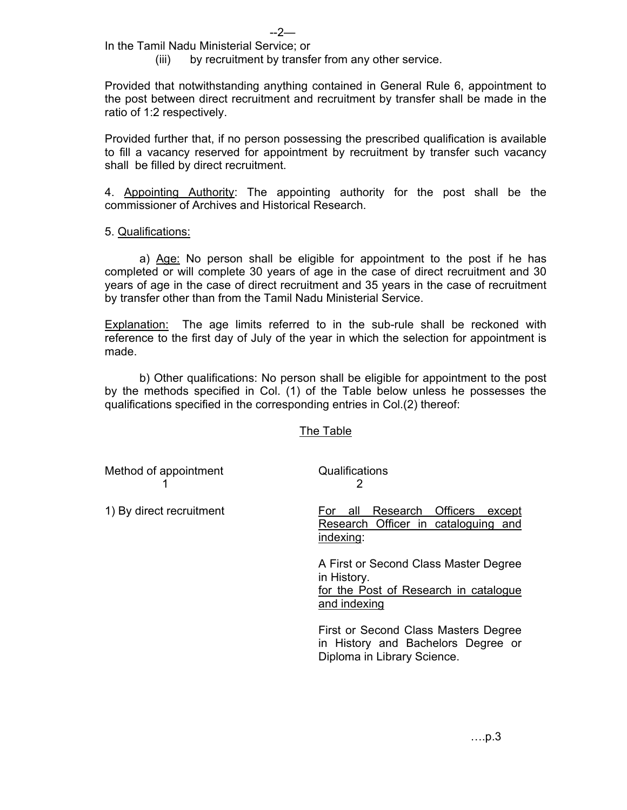In the Tamil Nadu Ministerial Service; or

(iii) by recruitment by transfer from any other service.

Provided that notwithstanding anything contained in General Rule 6, appointment to the post between direct recruitment and recruitment by transfer shall be made in the ratio of 1:2 respectively.

Provided further that, if no person possessing the prescribed qualification is available to fill a vacancy reserved for appointment by recruitment by transfer such vacancy shall be filled by direct recruitment.

4. Appointing Authority: The appointing authority for the post shall be the commissioner of Archives and Historical Research.

## 5. Qualifications:

 a) Age: No person shall be eligible for appointment to the post if he has completed or will complete 30 years of age in the case of direct recruitment and 30 years of age in the case of direct recruitment and 35 years in the case of recruitment by transfer other than from the Tamil Nadu Ministerial Service.

**Explanation:** The age limits referred to in the sub-rule shall be reckoned with reference to the first day of July of the year in which the selection for appointment is made.

 b) Other qualifications: No person shall be eligible for appointment to the post by the methods specified in Col. (1) of the Table below unless he possesses the qualifications specified in the corresponding entries in Col.(2) thereof:

The Table

| Method of appointment    | Qualifications                                                                                                |
|--------------------------|---------------------------------------------------------------------------------------------------------------|
| 1) By direct recruitment | Research Officers<br>all<br>except<br>⊦or<br>Research Officer in cataloguing and<br>indexing:                 |
|                          | A First or Second Class Master Degree<br>in History.<br>for the Post of Research in catalogue<br>and indexing |
|                          | First or Second Class Masters Degree<br>in History and Bachelors Degree or<br>Diploma in Library Science.     |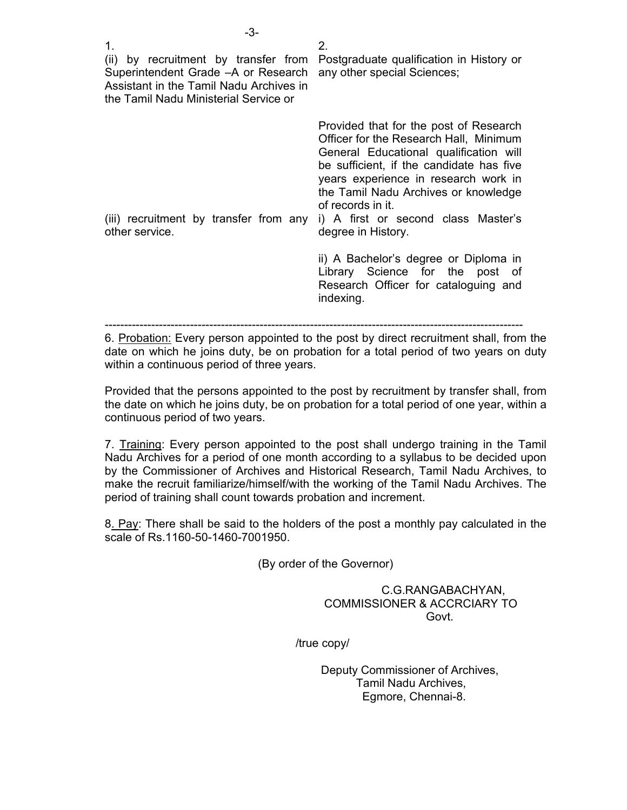| -3-                                                                                                                                                                    |                                                                                                                                                                                                                                                                                                                                          |
|------------------------------------------------------------------------------------------------------------------------------------------------------------------------|------------------------------------------------------------------------------------------------------------------------------------------------------------------------------------------------------------------------------------------------------------------------------------------------------------------------------------------|
| 1.<br>(ii) by recruitment by transfer from<br>Superintendent Grade - A or Research<br>Assistant in the Tamil Nadu Archives in<br>the Tamil Nadu Ministerial Service or | 2.<br>Postgraduate qualification in History or<br>any other special Sciences;                                                                                                                                                                                                                                                            |
| (iii) recruitment by transfer from any<br>other service.                                                                                                               | Provided that for the post of Research<br>Officer for the Research Hall, Minimum<br>General Educational qualification will<br>be sufficient, if the candidate has five<br>years experience in research work in<br>the Tamil Nadu Archives or knowledge<br>of records in it.<br>i) A first or second class Master's<br>degree in History. |
|                                                                                                                                                                        | ii) A Bachelor's degree or Diploma in<br>Library Science for the post of<br>Research Officer for cataloguing and                                                                                                                                                                                                                         |

------------------------------------------------------------------------------------------------------------

6. Probation: Every person appointed to the post by direct recruitment shall, from the date on which he joins duty, be on probation for a total period of two years on duty within a continuous period of three years.

indexing.

Provided that the persons appointed to the post by recruitment by transfer shall, from the date on which he joins duty, be on probation for a total period of one year, within a continuous period of two years.

7. Training: Every person appointed to the post shall undergo training in the Tamil Nadu Archives for a period of one month according to a syllabus to be decided upon by the Commissioner of Archives and Historical Research, Tamil Nadu Archives, to make the recruit familiarize/himself/with the working of the Tamil Nadu Archives. The period of training shall count towards probation and increment.

8. Pay: There shall be said to the holders of the post a monthly pay calculated in the scale of Rs.1160-50-1460-7001950.

(By order of the Governor)

 C.G.RANGABACHYAN, COMMISSIONER & ACCRCIARY TO **Govt.** The contract of the contract of the contract of the contract of the contract of the contract of the contract of the contract of the contract of the contract of the contract of the contract of the contract of the co

/true copy/

 Deputy Commissioner of Archives, Tamil Nadu Archives, Egmore, Chennai-8.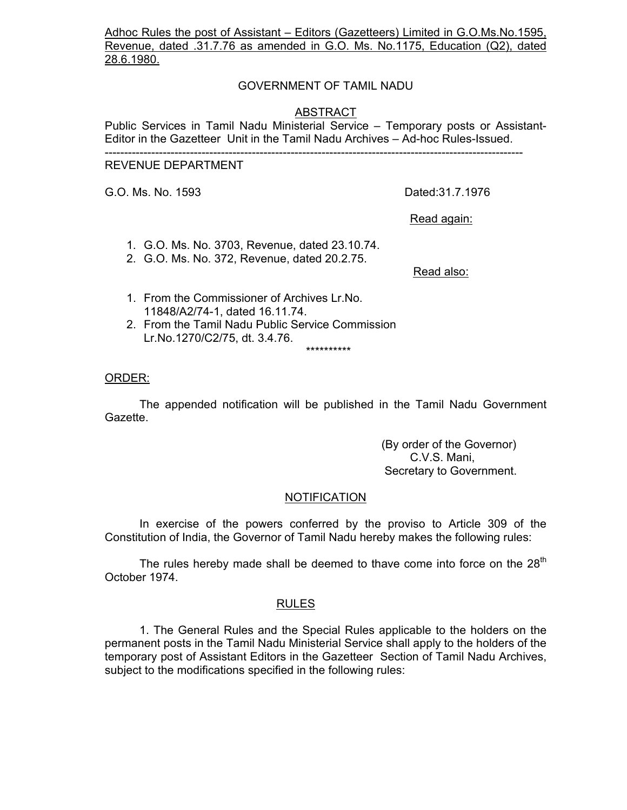Adhoc Rules the post of Assistant – Editors (Gazetteers) Limited in G.O.Ms.No.1595, Revenue, dated .31.7.76 as amended in G.O. Ms. No.1175, Education (Q2), dated 28.6.1980.

## GOVERNMENT OF TAMIL NADU

## ABSTRACT

Public Services in Tamil Nadu Ministerial Service – Temporary posts or Assistant-Editor in the Gazetteer Unit in the Tamil Nadu Archives – Ad-hoc Rules-Issued.

#### ------------------------------------------------------------------------------------------------------------

## REVENUE DEPARTMENT

G.O. Ms. No. 1593 Dated:31.7.1976

Read again:

- 1. G.O. Ms. No. 3703, Revenue, dated 23.10.74.
- 2. G.O. Ms. No. 372, Revenue, dated 20.2.75.

Read also:

1. From the Commissioner of Archives Lr.No. 11848/A2/74-1, dated 16.11.74.

\*\*\*\*\*\*\*\*\*\*

2. From the Tamil Nadu Public Service Commission Lr.No.1270/C2/75, dt. 3.4.76.

#### ORDER:

 The appended notification will be published in the Tamil Nadu Government Gazette.

> (By order of the Governor) C.V.S. Mani, Secretary to Government.

#### NOTIFICATION

 In exercise of the powers conferred by the proviso to Article 309 of the Constitution of India, the Governor of Tamil Nadu hereby makes the following rules:

The rules hereby made shall be deemed to thave come into force on the  $28<sup>th</sup>$ October 1974.

#### RULES

 1. The General Rules and the Special Rules applicable to the holders on the permanent posts in the Tamil Nadu Ministerial Service shall apply to the holders of the temporary post of Assistant Editors in the Gazetteer Section of Tamil Nadu Archives, subject to the modifications specified in the following rules: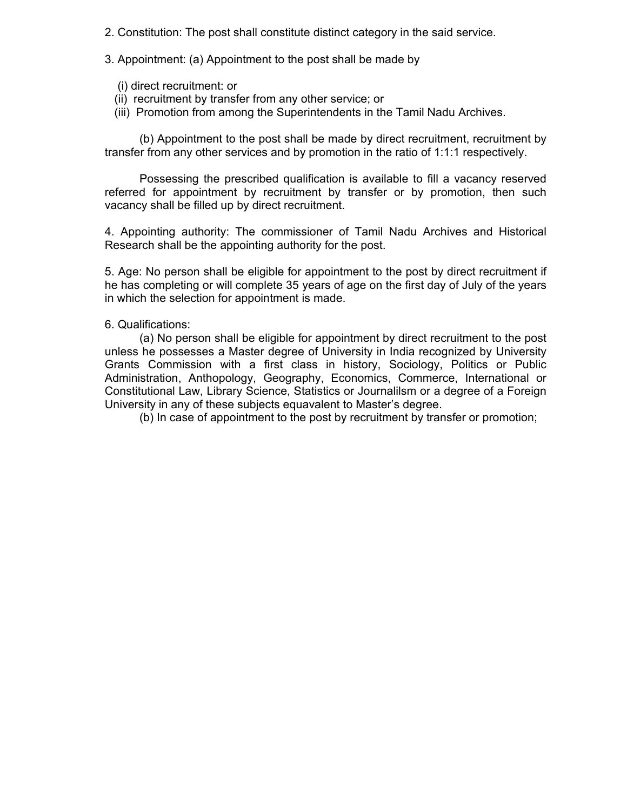- 2. Constitution: The post shall constitute distinct category in the said service.
- 3. Appointment: (a) Appointment to the post shall be made by
	- (i) direct recruitment: or
	- (ii) recruitment by transfer from any other service; or
	- (iii) Promotion from among the Superintendents in the Tamil Nadu Archives.

 (b) Appointment to the post shall be made by direct recruitment, recruitment by transfer from any other services and by promotion in the ratio of 1:1:1 respectively.

 Possessing the prescribed qualification is available to fill a vacancy reserved referred for appointment by recruitment by transfer or by promotion, then such vacancy shall be filled up by direct recruitment.

4. Appointing authority: The commissioner of Tamil Nadu Archives and Historical Research shall be the appointing authority for the post.

5. Age: No person shall be eligible for appointment to the post by direct recruitment if he has completing or will complete 35 years of age on the first day of July of the years in which the selection for appointment is made.

## 6. Qualifications:

 (a) No person shall be eligible for appointment by direct recruitment to the post unless he possesses a Master degree of University in India recognized by University Grants Commission with a first class in history, Sociology, Politics or Public Administration, Anthopology, Geography, Economics, Commerce, International or Constitutional Law, Library Science, Statistics or Journalilsm or a degree of a Foreign University in any of these subjects equavalent to Master's degree.

(b) In case of appointment to the post by recruitment by transfer or promotion;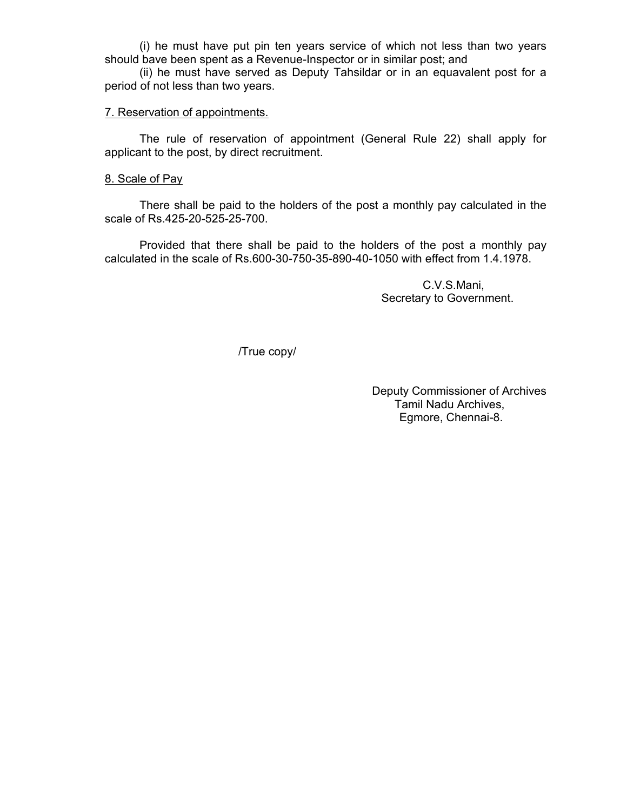(i) he must have put pin ten years service of which not less than two years should bave been spent as a Revenue-Inspector or in similar post; and

 (ii) he must have served as Deputy Tahsildar or in an equavalent post for a period of not less than two years.

### 7. Reservation of appointments.

 The rule of reservation of appointment (General Rule 22) shall apply for applicant to the post, by direct recruitment.

#### 8. Scale of Pay

 There shall be paid to the holders of the post a monthly pay calculated in the scale of Rs.425-20-525-25-700.

 Provided that there shall be paid to the holders of the post a monthly pay calculated in the scale of Rs.600-30-750-35-890-40-1050 with effect from 1.4.1978.

> C.V.S.Mani, Secretary to Government.

/True copy/

Deputy Commissioner of Archives Tamil Nadu Archives, Egmore, Chennai-8.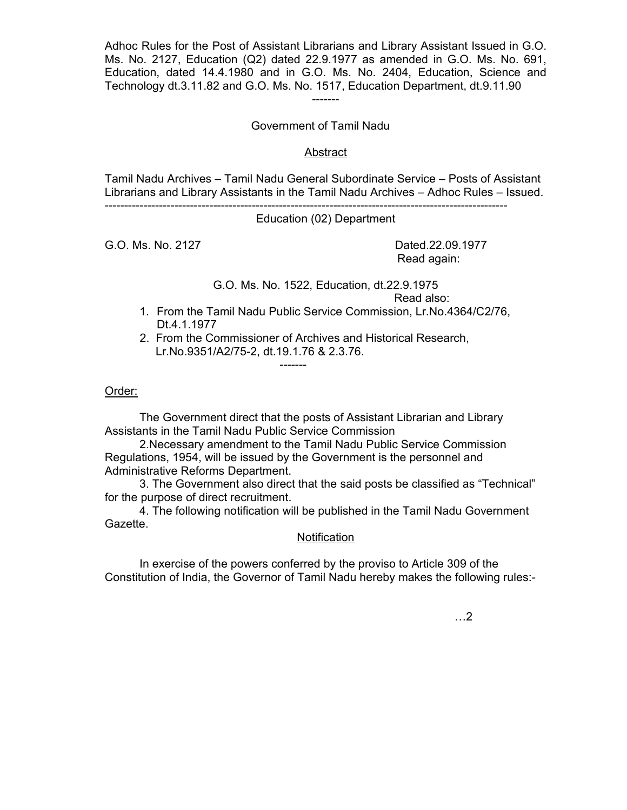Adhoc Rules for the Post of Assistant Librarians and Library Assistant Issued in G.O. Ms. No. 2127, Education (Q2) dated 22.9.1977 as amended in G.O. Ms. No. 691, Education, dated 14.4.1980 and in G.O. Ms. No. 2404, Education, Science and Technology dt.3.11.82 and G.O. Ms. No. 1517, Education Department, dt.9.11.90 -------

Government of Tamil Nadu

## Abstract

Tamil Nadu Archives – Tamil Nadu General Subordinate Service – Posts of Assistant Librarians and Library Assistants in the Tamil Nadu Archives – Adhoc Rules – Issued.

--------------------------------------------------------------------------------------------------------

Education (02) Department

G.O. Ms. No. 2127 **Dated.22.09.1977** 

-------

Read again:

# G.O. Ms. No. 1522, Education, dt.22.9.1975

Read also:

1. From the Tamil Nadu Public Service Commission, Lr.No.4364/C2/76, Dt.4.1.1977

 2. From the Commissioner of Archives and Historical Research, Lr.No.9351/A2/75-2, dt.19.1.76 & 2.3.76.

## Order:

 The Government direct that the posts of Assistant Librarian and Library Assistants in the Tamil Nadu Public Service Commission

 2.Necessary amendment to the Tamil Nadu Public Service Commission Regulations, 1954, will be issued by the Government is the personnel and Administrative Reforms Department.

 3. The Government also direct that the said posts be classified as "Technical" for the purpose of direct recruitment.

 4. The following notification will be published in the Tamil Nadu Government Gazette.

## **Notification**

 In exercise of the powers conferred by the proviso to Article 309 of the Constitution of India, the Governor of Tamil Nadu hereby makes the following rules:-

…2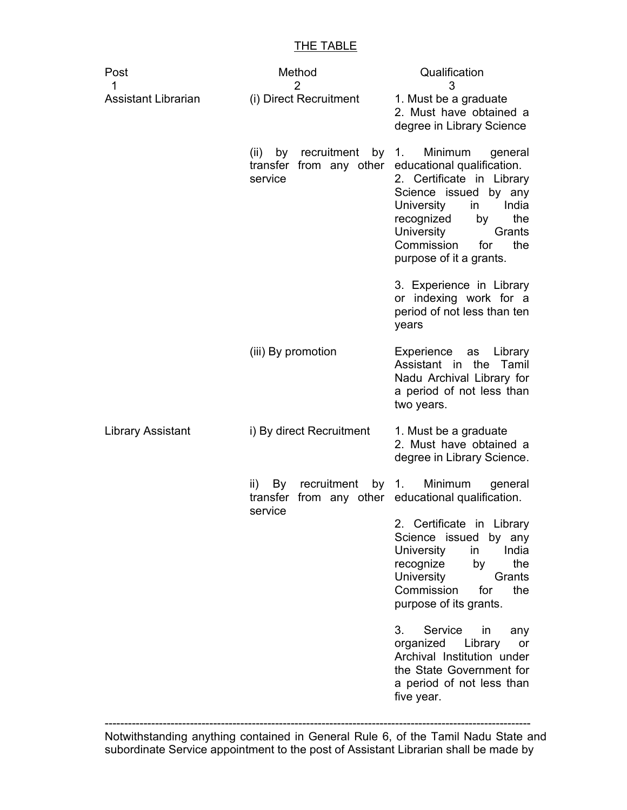## THE TABLE

| Post<br>1                  | Method<br>$\overline{2}$                                           | Qualification<br>3                                                                                                                                                                                                                                  |
|----------------------------|--------------------------------------------------------------------|-----------------------------------------------------------------------------------------------------------------------------------------------------------------------------------------------------------------------------------------------------|
| <b>Assistant Librarian</b> | (i) Direct Recruitment                                             | 1. Must be a graduate<br>2. Must have obtained a<br>degree in Library Science                                                                                                                                                                       |
|                            | by recruitment<br>(ii)<br>by<br>transfer from any other<br>service | Minimum<br>1.<br>general<br>educational qualification.<br>2. Certificate in Library<br>Science issued by any<br>India<br>University<br>in<br>recognized<br>the<br>by<br>University<br>Grants<br>Commission<br>the<br>for<br>purpose of it a grants. |
|                            |                                                                    | 3. Experience in Library<br>or indexing work for a<br>period of not less than ten<br>years                                                                                                                                                          |
|                            | (iii) By promotion                                                 | Experience as Library<br>Assistant in the Tamil<br>Nadu Archival Library for<br>a period of not less than<br>two years.                                                                                                                             |
| Library Assistant          | i) By direct Recruitment                                           | 1. Must be a graduate<br>2. Must have obtained a<br>degree in Library Science.                                                                                                                                                                      |
|                            | recruitment by 1.<br>ii)<br>By<br>transfer<br>service              | Minimum<br>general<br>from any other educational qualification.                                                                                                                                                                                     |
|                            |                                                                    | 2. Certificate in Library<br>Science issued<br>by any<br>India<br>University<br>in<br>recognize<br>the<br>by<br>University<br>Grants<br>Commission<br>for<br>the<br>purpose of its grants.                                                          |
|                            |                                                                    | Service<br>3.<br>in<br>any<br>organized<br>Library<br>or<br>Archival Institution under<br>the State Government for<br>a period of not less than<br>five year.                                                                                       |

Notwithstanding anything contained in General Rule 6, of the Tamil Nadu State and subordinate Service appointment to the post of Assistant Librarian shall be made by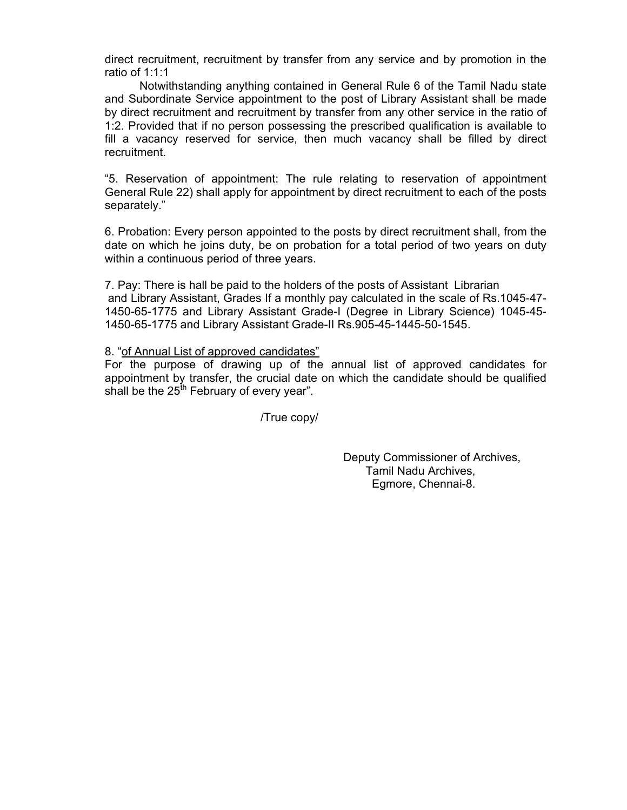direct recruitment, recruitment by transfer from any service and by promotion in the ratio of 1:1:1

 Notwithstanding anything contained in General Rule 6 of the Tamil Nadu state and Subordinate Service appointment to the post of Library Assistant shall be made by direct recruitment and recruitment by transfer from any other service in the ratio of 1:2. Provided that if no person possessing the prescribed qualification is available to fill a vacancy reserved for service, then much vacancy shall be filled by direct recruitment.

"5. Reservation of appointment: The rule relating to reservation of appointment General Rule 22) shall apply for appointment by direct recruitment to each of the posts separately."

6. Probation: Every person appointed to the posts by direct recruitment shall, from the date on which he joins duty, be on probation for a total period of two years on duty within a continuous period of three years.

7. Pay: There is hall be paid to the holders of the posts of Assistant Librarian and Library Assistant, Grades If a monthly pay calculated in the scale of Rs.1045-47- 1450-65-1775 and Library Assistant Grade-I (Degree in Library Science) 1045-45- 1450-65-1775 and Library Assistant Grade-II Rs.905-45-1445-50-1545.

8. "of Annual List of approved candidates"

For the purpose of drawing up of the annual list of approved candidates for appointment by transfer, the crucial date on which the candidate should be qualified shall be the  $25<sup>th</sup>$  February of every year".

/True copy/

 Deputy Commissioner of Archives, Tamil Nadu Archives, Egmore, Chennai-8.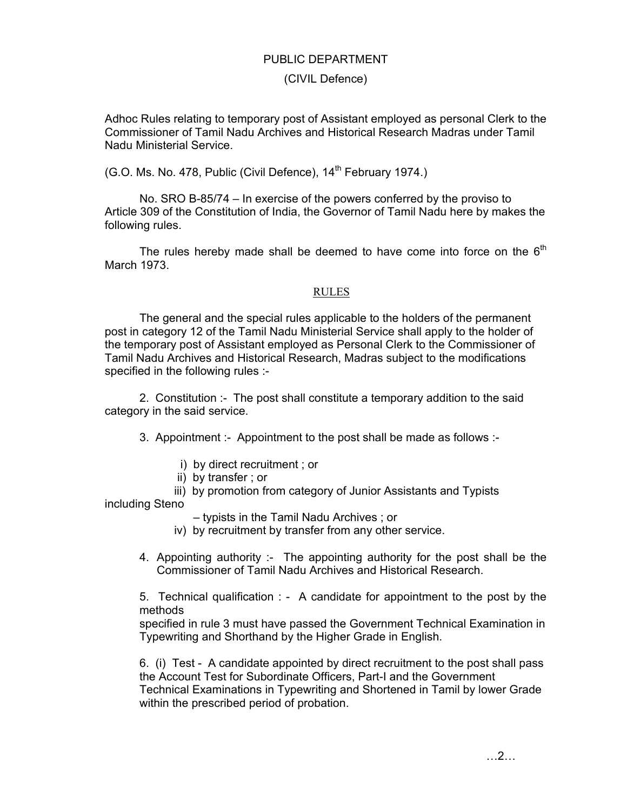## PUBLIC DEPARTMENT

## (CIVIL Defence)

Adhoc Rules relating to temporary post of Assistant employed as personal Clerk to the Commissioner of Tamil Nadu Archives and Historical Research Madras under Tamil Nadu Ministerial Service.

(G.O. Ms. No. 478, Public (Civil Defence), 14<sup>th</sup> February 1974.)

 No. SRO B-85/74 – In exercise of the powers conferred by the proviso to Article 309 of the Constitution of India, the Governor of Tamil Nadu here by makes the following rules.

The rules hereby made shall be deemed to have come into force on the  $6<sup>th</sup>$ March 1973.

#### RULES

The general and the special rules applicable to the holders of the permanent post in category 12 of the Tamil Nadu Ministerial Service shall apply to the holder of the temporary post of Assistant employed as Personal Clerk to the Commissioner of Tamil Nadu Archives and Historical Research, Madras subject to the modifications specified in the following rules :-

 2. Constitution :- The post shall constitute a temporary addition to the said category in the said service.

3. Appointment :- Appointment to the post shall be made as follows :-

- i) by direct recruitment ; or
- ii) by transfer ; or
- iii) by promotion from category of Junior Assistants and Typists

including Steno

- typists in the Tamil Nadu Archives ; or
- iv) by recruitment by transfer from any other service.
- 4. Appointing authority :- The appointing authority for the post shall be the Commissioner of Tamil Nadu Archives and Historical Research.

5. Technical qualification : - A candidate for appointment to the post by the methods

specified in rule 3 must have passed the Government Technical Examination in Typewriting and Shorthand by the Higher Grade in English.

6. (i) Test - A candidate appointed by direct recruitment to the post shall pass the Account Test for Subordinate Officers, Part-I and the Government Technical Examinations in Typewriting and Shortened in Tamil by lower Grade within the prescribed period of probation.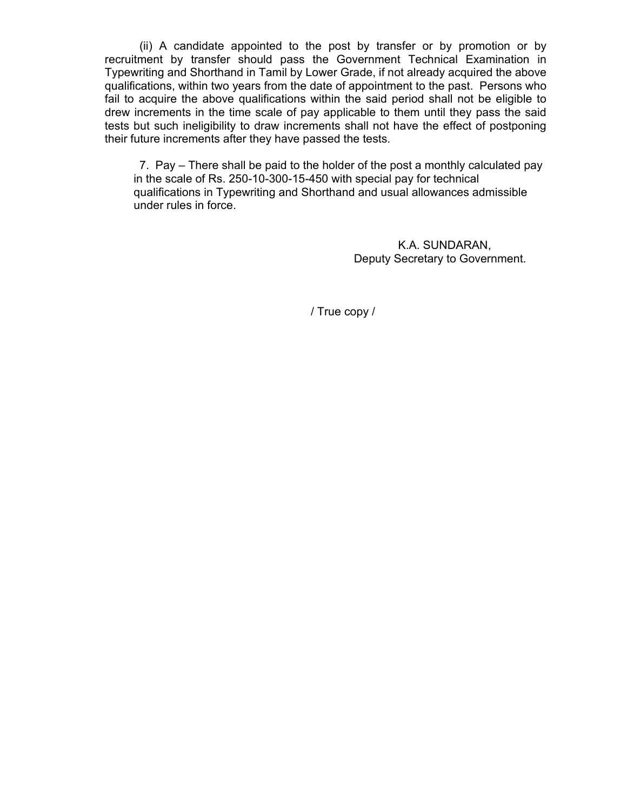(ii) A candidate appointed to the post by transfer or by promotion or by recruitment by transfer should pass the Government Technical Examination in Typewriting and Shorthand in Tamil by Lower Grade, if not already acquired the above qualifications, within two years from the date of appointment to the past. Persons who fail to acquire the above qualifications within the said period shall not be eligible to drew increments in the time scale of pay applicable to them until they pass the said tests but such ineligibility to draw increments shall not have the effect of postponing their future increments after they have passed the tests.

 7. Pay – There shall be paid to the holder of the post a monthly calculated pay in the scale of Rs. 250-10-300-15-450 with special pay for technical qualifications in Typewriting and Shorthand and usual allowances admissible under rules in force.

> K.A. SUNDARAN, Deputy Secretary to Government.

/ True copy /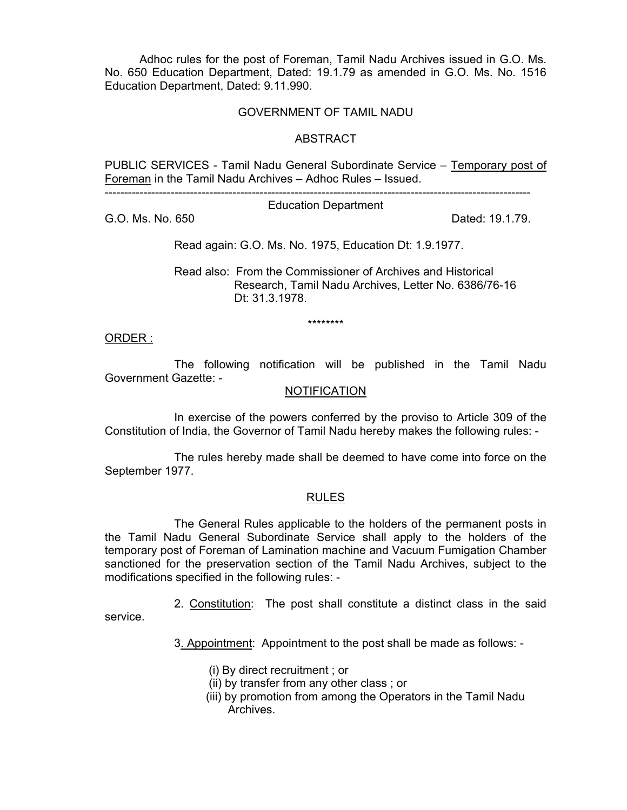Adhoc rules for the post of Foreman, Tamil Nadu Archives issued in G.O. Ms. No. 650 Education Department, Dated: 19.1.79 as amended in G.O. Ms. No. 1516 Education Department, Dated: 9.11.990.

### GOVERNMENT OF TAMIL NADU

#### **ABSTRACT**

PUBLIC SERVICES - Tamil Nadu General Subordinate Service – Temporary post of Foreman in the Tamil Nadu Archives – Adhoc Rules – Issued.

--------------------------------------------------------------------------------------------------------------

Education Department

G.O. Ms. No. 650 Dated: 19.1.79.

Read again: G.O. Ms. No. 1975, Education Dt: 1.9.1977.

 Read also: From the Commissioner of Archives and Historical Research, Tamil Nadu Archives, Letter No. 6386/76-16 Dt: 31.3.1978.

\*\*\*\*\*\*\*\*

#### ORDER :

 The following notification will be published in the Tamil Nadu Government Gazette: -

#### NOTIFICATION

 In exercise of the powers conferred by the proviso to Article 309 of the Constitution of India, the Governor of Tamil Nadu hereby makes the following rules: -

 The rules hereby made shall be deemed to have come into force on the September 1977.

#### RULES

 The General Rules applicable to the holders of the permanent posts in the Tamil Nadu General Subordinate Service shall apply to the holders of the temporary post of Foreman of Lamination machine and Vacuum Fumigation Chamber sanctioned for the preservation section of the Tamil Nadu Archives, subject to the modifications specified in the following rules: -

 2. Constitution: The post shall constitute a distinct class in the said service.

3. Appointment: Appointment to the post shall be made as follows: -

- (i) By direct recruitment ; or
- (ii) by transfer from any other class ; or
- (iii) by promotion from among the Operators in the Tamil Nadu Archives.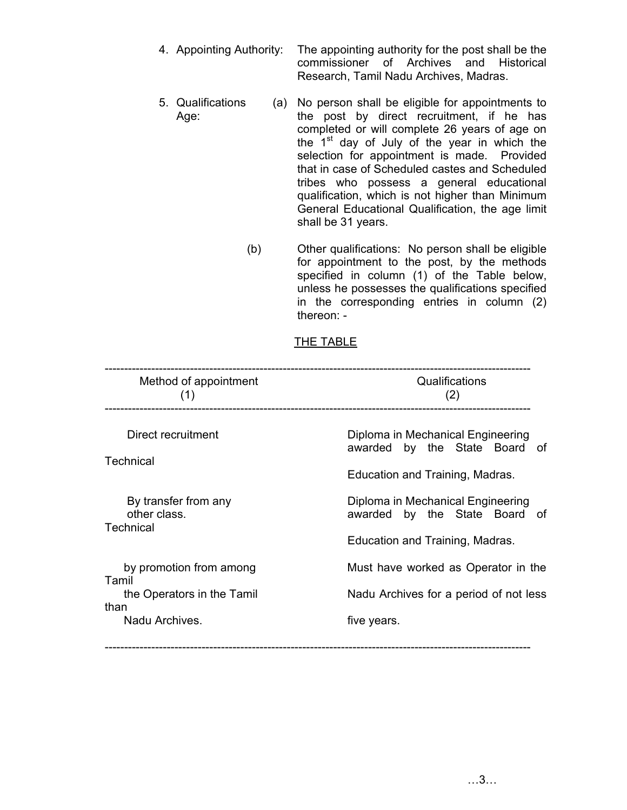- 4. Appointing Authority: The appointing authority for the post shall be the commissioner of Archives and Historical Research, Tamil Nadu Archives, Madras.
- 5. Qualifications Age: (a) No person shall be eligible for appointments to the post by direct recruitment, if he has completed or will complete 26 years of age on the  $1<sup>st</sup>$  day of July of the year in which the selection for appointment is made. Provided that in case of Scheduled castes and Scheduled tribes who possess a general educational qualification, which is not higher than Minimum General Educational Qualification, the age limit shall be 31 years.
	- (b) Other qualifications: No person shall be eligible for appointment to the post, by the methods specified in column (1) of the Table below, unless he possesses the qualifications specified in the corresponding entries in column (2) thereon: -

## THE TABLE

| Method of appointment<br>(1)                                                             | Qualifications<br>(2)                                                                                       |
|------------------------------------------------------------------------------------------|-------------------------------------------------------------------------------------------------------------|
| Direct recruitment<br>Technical                                                          | Diploma in Mechanical Engineering<br>awarded by the State Board of<br>Education and Training, Madras.       |
| By transfer from any<br>other class.<br><b>Technical</b>                                 | Diploma in Mechanical Engineering<br>by the State Board<br>awarded<br>of<br>Education and Training, Madras. |
| by promotion from among<br>Tamil<br>the Operators in the Tamil<br>than<br>Nadu Archives. | Must have worked as Operator in the<br>Nadu Archives for a period of not less<br>five years.                |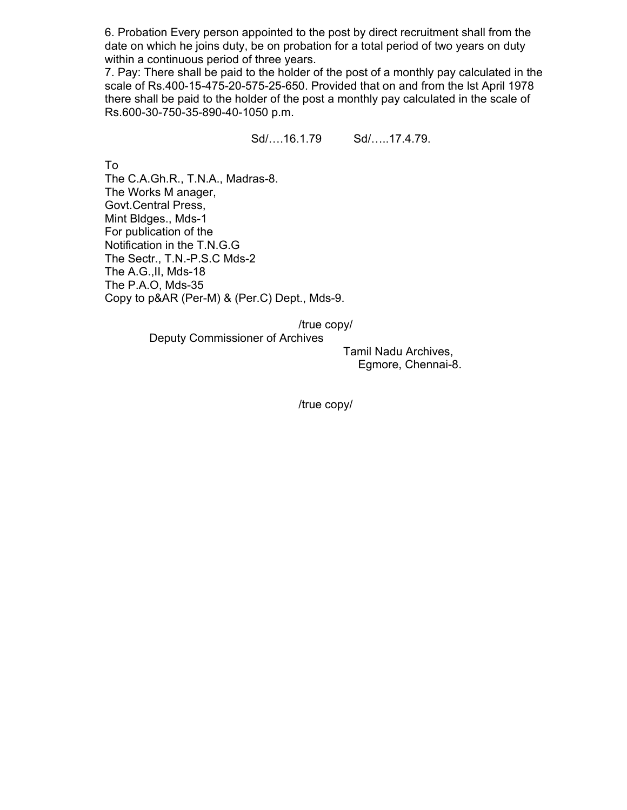6. Probation Every person appointed to the post by direct recruitment shall from the date on which he joins duty, be on probation for a total period of two years on duty within a continuous period of three years.

7. Pay: There shall be paid to the holder of the post of a monthly pay calculated in the scale of Rs.400-15-475-20-575-25-650. Provided that on and from the lst April 1978 there shall be paid to the holder of the post a monthly pay calculated in the scale of Rs.600-30-750-35-890-40-1050 p.m.

Sd/….16.1.79 Sd/…..17.4.79.

To

The C.A.Gh.R., T.N.A., Madras-8. The Works M anager, Govt.Central Press, Mint Bldges., Mds-1 For publication of the Notification in the T.N.G.G The Sectr., T.N.-P.S.C Mds-2 The A.G.,II, Mds-18 The P.A.O, Mds-35 Copy to p&AR (Per-M) & (Per.C) Dept., Mds-9.

/true copy/

Deputy Commissioner of Archives

 Tamil Nadu Archives, Egmore, Chennai-8.

/true copy/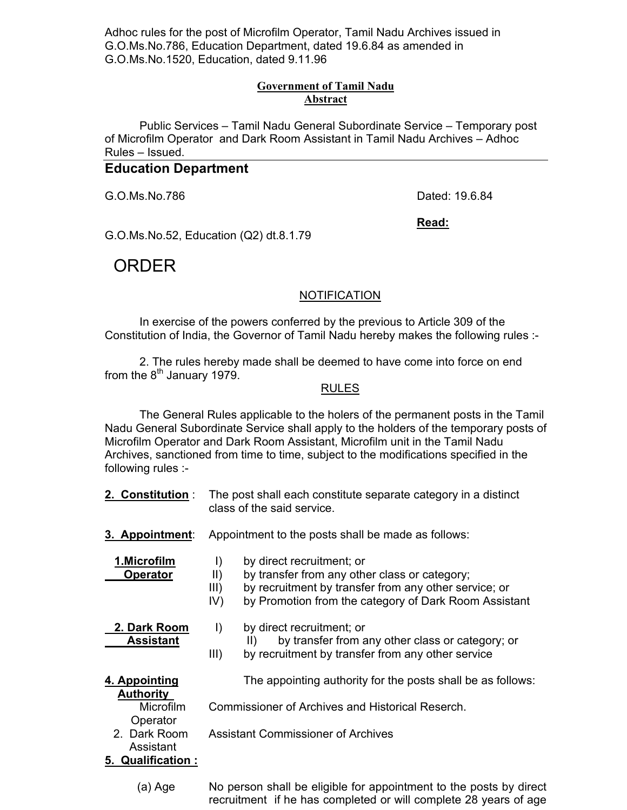Adhoc rules for the post of Microfilm Operator, Tamil Nadu Archives issued in G.O.Ms.No.786, Education Department, dated 19.6.84 as amended in G.O.Ms.No.1520, Education, dated 9.11.96

## **Government of Tamil Nadu Abstract**

Public Services – Tamil Nadu General Subordinate Service – Temporary post of Microfilm Operator and Dark Room Assistant in Tamil Nadu Archives – Adhoc Rules – Issued.

## **Education Department**

G.O.Ms.No.786 Dated: 19.6.84

**Read:**

G.O.Ms.No.52, Education (Q2) dt.8.1.79

# ORDER

## **NOTIFICATION**

 In exercise of the powers conferred by the previous to Article 309 of the Constitution of India, the Governor of Tamil Nadu hereby makes the following rules :-

 2. The rules hereby made shall be deemed to have come into force on end from the  $8<sup>th</sup>$  January 1979.

#### RULES

 The General Rules applicable to the holers of the permanent posts in the Tamil Nadu General Subordinate Service shall apply to the holders of the temporary posts of Microfilm Operator and Dark Room Assistant, Microfilm unit in the Tamil Nadu Archives, sanctioned from time to time, subject to the modifications specified in the following rules :-

- **2. Constitution** : The post shall each constitute separate category in a distinct class of the said service.
- **3. Appointment**: Appointment to the posts shall be made as follows:

|                 | 1.Microfilm |  |
|-----------------|-------------|--|
| <b>Innrotar</b> |             |  |

**1. By direct recruitment; or** 

**Operator** II) by transfer from any other class or category;

- III) by recruitment by transfer from any other service; or
- IV) by Promotion from the category of Dark Room Assistant

 **2. Dark Room** I) by direct recruitment; or

**Assistant** II) by transfer from any other class or category; or

III) by recruitment by transfer from any other service

**Authority** 

**4. Appointing** The appointing authority for the posts shall be as follows:

Microfilm Commissioner of Archives and Historical Reserch.

**Operator** 

 Assistant **5. Qualification :**

2. Dark Room Assistant Commissioner of Archives

 (a) Age No person shall be eligible for appointment to the posts by direct recruitment if he has completed or will complete 28 years of age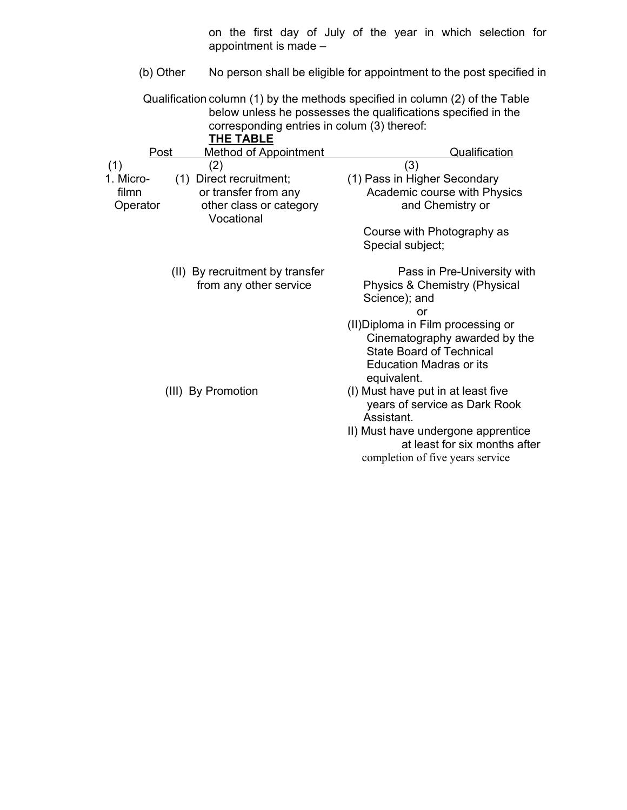on the first day of July of the year in which selection for appointment is made –

(b) Other No person shall be eligible for appointment to the post specified in

 Qualification column (1) by the methods specified in column (2) of the Table below unless he possesses the qualifications specified in the corresponding entries in colum (3) thereof:

| <b>THE TABLE</b> |  |
|------------------|--|
|------------------|--|

| Post      | <b>Method of Appointment</b>          | Qualification                      |
|-----------|---------------------------------------|------------------------------------|
| (1)       | (2)                                   | (3)                                |
| 1. Micro- | (1) Direct recruitment;               | (1) Pass in Higher Secondary       |
| filmn     | or transfer from any                  | Academic course with Physics       |
| Operator  | other class or category<br>Vocational | and Chemistry or                   |
|           |                                       | Course with Photography as         |
|           |                                       | Special subject;                   |
|           | (II) By recruitment by transfer       | Pass in Pre-University with        |
|           | from any other service                | Physics & Chemistry (Physical      |
|           |                                       | Science); and                      |
|           |                                       | or                                 |
|           |                                       | (II) Diploma in Film processing or |
|           |                                       | Cinematography awarded by the      |
|           |                                       | <b>State Board of Technical</b>    |
|           |                                       | <b>Education Madras or its</b>     |
|           |                                       | equivalent.                        |
|           | (III) By Promotion                    | (I) Must have put in at least five |
|           |                                       | years of service as Dark Rook      |
|           |                                       | Assistant.                         |
|           |                                       | II) Must have undergone apprentice |
|           |                                       | at least for six months after      |
|           |                                       | completion of five years service   |
|           |                                       |                                    |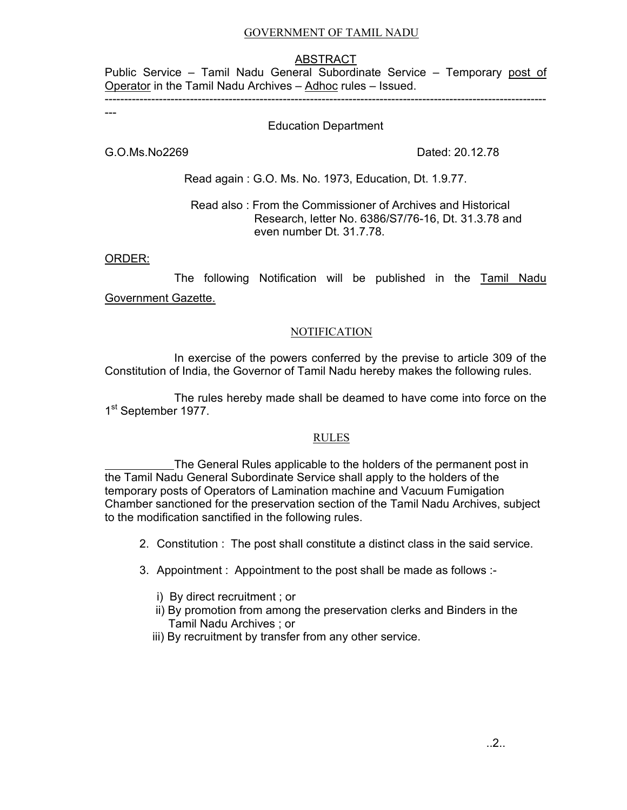## GOVERNMENT OF TAMIL NADU

### ABSTRACT

Public Service - Tamil Nadu General Subordinate Service - Temporary post of Operator in the Tamil Nadu Archives – Adhoc rules – Issued.

------------------------------------------------------------------------------------------------------------------

## Education Department

G.O.Ms.No2269 Dated: 20.12.78

---

Read again : G.O. Ms. No. 1973, Education, Dt. 1.9.77.

## Read also : From the Commissioner of Archives and Historical Research, letter No. 6386/S7/76-16, Dt. 31.3.78 and even number Dt. 31.7.78.

ORDER:

The following Notification will be published in the Tamil Nadu Government Gazette.

## **NOTIFICATION**

 In exercise of the powers conferred by the previse to article 309 of the Constitution of India, the Governor of Tamil Nadu hereby makes the following rules.

 The rules hereby made shall be deamed to have come into force on the 1<sup>st</sup> September 1977.

#### RULES

 The General Rules applicable to the holders of the permanent post in the Tamil Nadu General Subordinate Service shall apply to the holders of the temporary posts of Operators of Lamination machine and Vacuum Fumigation Chamber sanctioned for the preservation section of the Tamil Nadu Archives, subject to the modification sanctified in the following rules.

- 2. Constitution : The post shall constitute a distinct class in the said service.
- 3. Appointment : Appointment to the post shall be made as follows :
	- i) By direct recruitment ; or
	- ii) By promotion from among the preservation clerks and Binders in the Tamil Nadu Archives ; or
	- iii) By recruitment by transfer from any other service.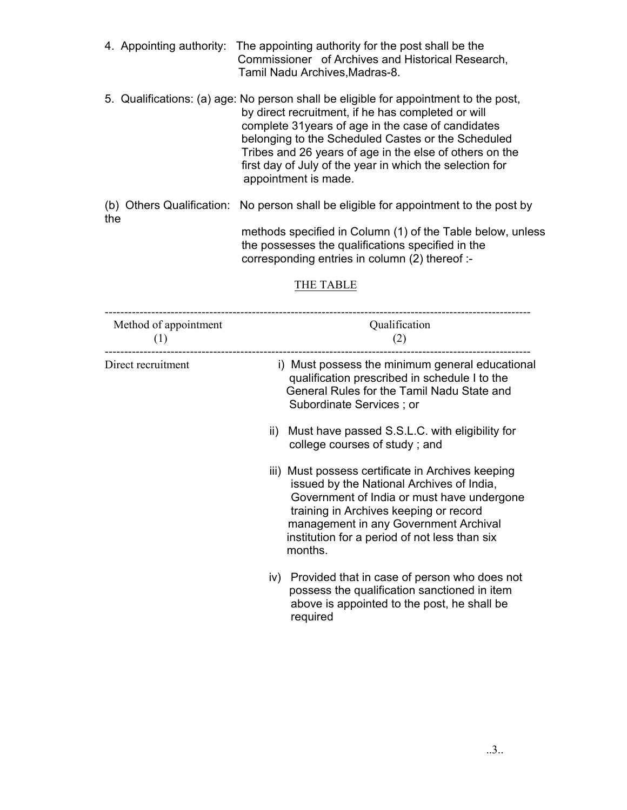- 4. Appointing authority: The appointing authority for the post shall be the Commissioner of Archives and Historical Research, Tamil Nadu Archives,Madras-8.
- 5. Qualifications: (a) age: No person shall be eligible for appointment to the post, by direct recruitment, if he has completed or will complete 31years of age in the case of candidates belonging to the Scheduled Castes or the Scheduled Tribes and 26 years of age in the else of others on the first day of July of the year in which the selection for appointment is made.
- (b) Others Qualification: No person shall be eligible for appointment to the post by the methods specified in Column (1) of the Table below, unless

 the possesses the qualifications specified in the corresponding entries in column (2) thereof :-

## THE TABLE

| Method of appointment<br>(1) | Qualification<br>(2)                                                                                                                                                                                                                                                                        |
|------------------------------|---------------------------------------------------------------------------------------------------------------------------------------------------------------------------------------------------------------------------------------------------------------------------------------------|
| Direct recruitment           | i) Must possess the minimum general educational<br>qualification prescribed in schedule I to the<br>General Rules for the Tamil Nadu State and<br>Subordinate Services; or                                                                                                                  |
|                              | Must have passed S.S.L.C. with eligibility for<br>$\parallel$ )<br>college courses of study; and                                                                                                                                                                                            |
|                              | iii) Must possess certificate in Archives keeping<br>issued by the National Archives of India,<br>Government of India or must have undergone<br>training in Archives keeping or record<br>management in any Government Archival<br>institution for a period of not less than six<br>months. |
|                              | iv) Provided that in case of person who does not<br>possess the qualification sanctioned in item<br>above is appointed to the post, he shall be<br>required                                                                                                                                 |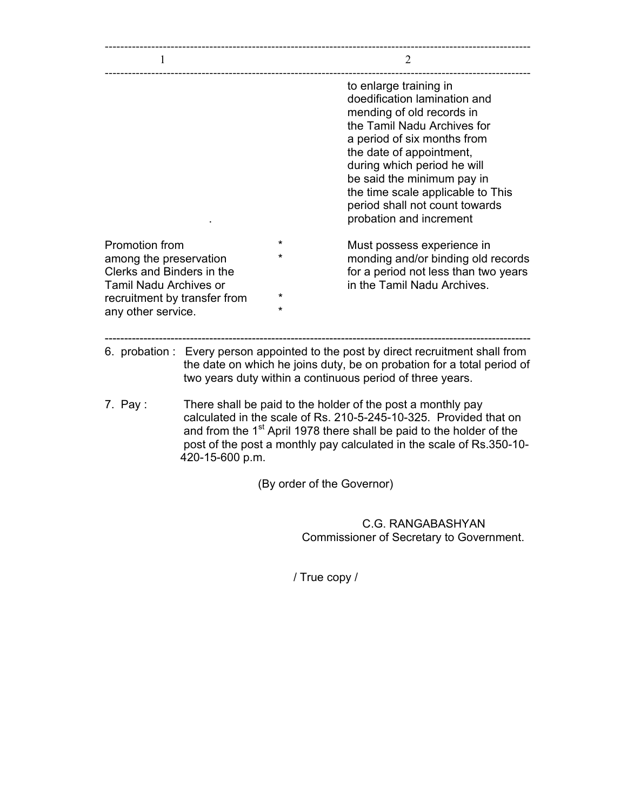| L                                                                                                                                                            |                 |                            | 2                                                                                                                                                                                                                                                                                                                                            |
|--------------------------------------------------------------------------------------------------------------------------------------------------------------|-----------------|----------------------------|----------------------------------------------------------------------------------------------------------------------------------------------------------------------------------------------------------------------------------------------------------------------------------------------------------------------------------------------|
|                                                                                                                                                              |                 |                            | to enlarge training in<br>doedification lamination and<br>mending of old records in<br>the Tamil Nadu Archives for<br>a period of six months from<br>the date of appointment,<br>during which period he will<br>be said the minimum pay in<br>the time scale applicable to This<br>period shall not count towards<br>probation and increment |
| Promotion from<br>among the preservation<br>Clerks and Binders in the<br><b>Tamil Nadu Archives or</b><br>recruitment by transfer from<br>any other service. |                 | $\star$<br>$\star$<br>÷    | Must possess experience in<br>monding and/or binding old records<br>for a period not less than two years<br>in the Tamil Nadu Archives.                                                                                                                                                                                                      |
|                                                                                                                                                              |                 |                            | 6. probation : Every person appointed to the post by direct recruitment shall from<br>the date on which he joins duty, be on probation for a total period of<br>two years duty within a continuous period of three years.                                                                                                                    |
| 7. Pay:                                                                                                                                                      | 420-15-600 p.m. |                            | There shall be paid to the holder of the post a monthly pay<br>calculated in the scale of Rs. 210-5-245-10-325. Provided that on<br>and from the 1 <sup>st</sup> April 1978 there shall be paid to the holder of the<br>post of the post a monthly pay calculated in the scale of Rs.350-10-                                                 |
|                                                                                                                                                              |                 | (By order of the Governor) |                                                                                                                                                                                                                                                                                                                                              |
|                                                                                                                                                              |                 |                            | C.G. RANGABASHYAN<br>Commissioner of Secretary to Government.                                                                                                                                                                                                                                                                                |

/ True copy /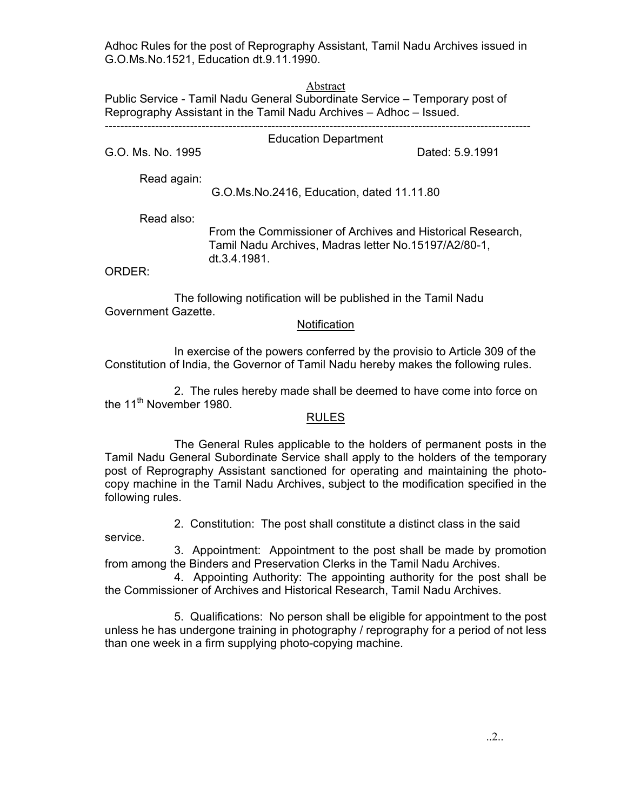Adhoc Rules for the post of Reprography Assistant, Tamil Nadu Archives issued in G.O.Ms.No.1521, Education dt.9.11.1990.

Abstract

Public Service - Tamil Nadu General Subordinate Service – Temporary post of Reprography Assistant in the Tamil Nadu Archives – Adhoc – Issued. --------------------------------------------------------------------------------------------------------------

Education Department

G.O. Ms. No. 1995 **Dated: 5.9.1991** 

Read again:

G.O.Ms.No.2416, Education, dated 11.11.80

Read also:

 From the Commissioner of Archives and Historical Research, Tamil Nadu Archives, Madras letter No.15197/A2/80-1, dt.3.4.1981.

ORDER:

 The following notification will be published in the Tamil Nadu Government Gazette.

## Notification

 In exercise of the powers conferred by the provisio to Article 309 of the Constitution of India, the Governor of Tamil Nadu hereby makes the following rules.

 2. The rules hereby made shall be deemed to have come into force on the 11<sup>th</sup> November 1980.

## RULES

 The General Rules applicable to the holders of permanent posts in the Tamil Nadu General Subordinate Service shall apply to the holders of the temporary post of Reprography Assistant sanctioned for operating and maintaining the photocopy machine in the Tamil Nadu Archives, subject to the modification specified in the following rules.

2. Constitution: The post shall constitute a distinct class in the said

service.

 3. Appointment: Appointment to the post shall be made by promotion from among the Binders and Preservation Clerks in the Tamil Nadu Archives.

 4. Appointing Authority: The appointing authority for the post shall be the Commissioner of Archives and Historical Research, Tamil Nadu Archives.

 5. Qualifications: No person shall be eligible for appointment to the post unless he has undergone training in photography / reprography for a period of not less than one week in a firm supplying photo-copying machine.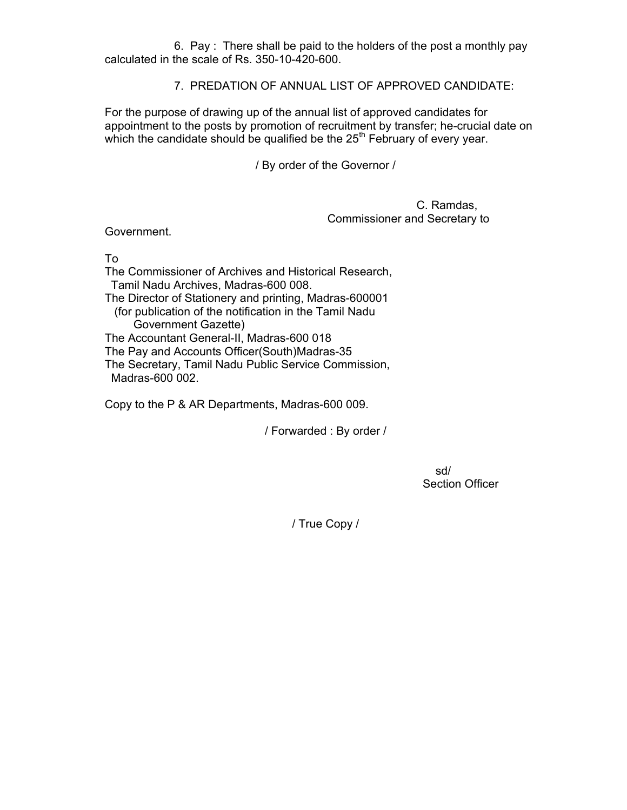6. Pay : There shall be paid to the holders of the post a monthly pay calculated in the scale of Rs. 350-10-420-600.

7. PREDATION OF ANNUAL LIST OF APPROVED CANDIDATE:

For the purpose of drawing up of the annual list of approved candidates for appointment to the posts by promotion of recruitment by transfer; he-crucial date on which the candidate should be qualified be the  $25<sup>th</sup>$  February of every year.

/ By order of the Governor /

 C. Ramdas, Commissioner and Secretary to

Government.

To

The Commissioner of Archives and Historical Research, Tamil Nadu Archives, Madras-600 008. The Director of Stationery and printing, Madras-600001 (for publication of the notification in the Tamil Nadu Government Gazette) The Accountant General-II, Madras-600 018 The Pay and Accounts Officer(South)Madras-35 The Secretary, Tamil Nadu Public Service Commission, Madras-600 002.

Copy to the P & AR Departments, Madras-600 009.

/ Forwarded : By order /

sd/second and the state of the state of the state of the state of the state of the state of the state of the s Section Officer

/ True Copy /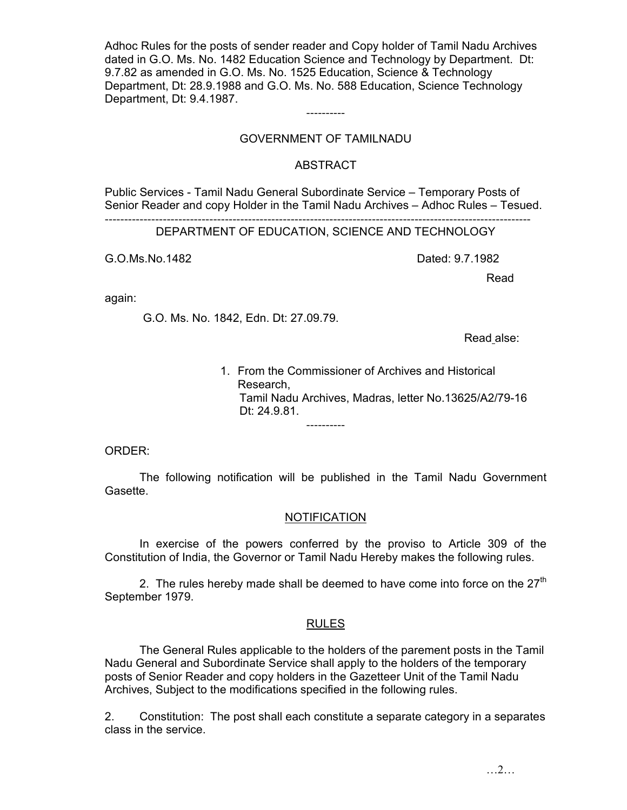Adhoc Rules for the posts of sender reader and Copy holder of Tamil Nadu Archives dated in G.O. Ms. No. 1482 Education Science and Technology by Department. Dt: 9.7.82 as amended in G.O. Ms. No. 1525 Education, Science & Technology Department, Dt: 28.9.1988 and G.O. Ms. No. 588 Education, Science Technology Department, Dt: 9.4.1987.

## GOVERNMENT OF TAMILNADU

----------

## ABSTRACT

Public Services - Tamil Nadu General Subordinate Service – Temporary Posts of Senior Reader and copy Holder in the Tamil Nadu Archives – Adhoc Rules – Tesued.

-------------------------------------------------------------------------------------------------------------- DEPARTMENT OF EDUCATION, SCIENCE AND TECHNOLOGY

G.O.Ms.No.1482 Dated: 9.7.1982

**Read in the contract of the contract of the contract of the contract of the contract of the contract of the contract of the contract of the contract of the contract of the contract of the contract of the contract of the c** 

again:

G.O. Ms. No. 1842, Edn. Dt: 27.09.79.

Read alse:

1. From the Commissioner of Archives and Historical Research, Tamil Nadu Archives, Madras, letter No.13625/A2/79-16 Dt: 24.9.81. ----------

ORDER:

 The following notification will be published in the Tamil Nadu Government Gasette.

## **NOTIFICATION**

 In exercise of the powers conferred by the proviso to Article 309 of the Constitution of India, the Governor or Tamil Nadu Hereby makes the following rules.

2. The rules hereby made shall be deemed to have come into force on the  $27<sup>th</sup>$ September 1979.

## RULES

 The General Rules applicable to the holders of the parement posts in the Tamil Nadu General and Subordinate Service shall apply to the holders of the temporary posts of Senior Reader and copy holders in the Gazetteer Unit of the Tamil Nadu Archives, Subject to the modifications specified in the following rules.

2. Constitution: The post shall each constitute a separate category in a separates class in the service.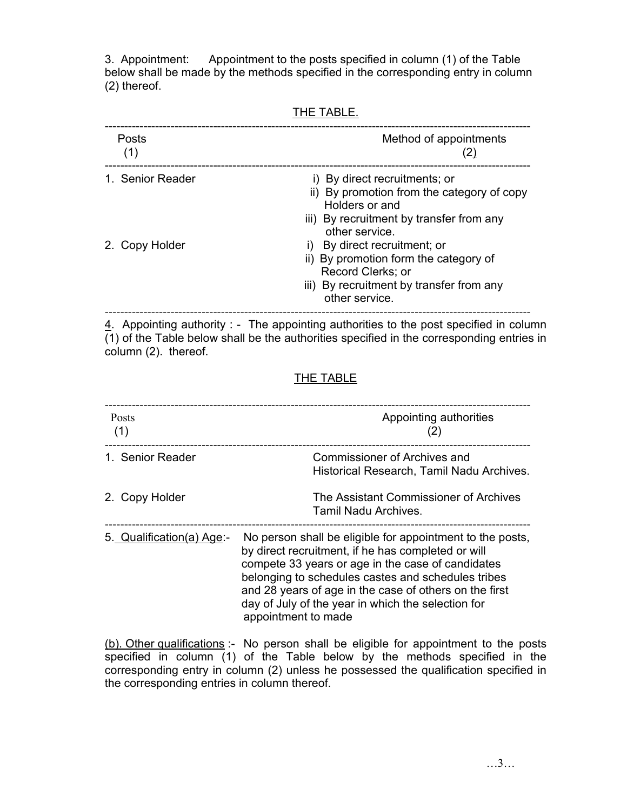3. Appointment: Appointment to the posts specified in column (1) of the Table below shall be made by the methods specified in the corresponding entry in column (2) thereof.

-------------------------------------------------------------------------------------------------------------- Posts **Posts** Method of appointments (1)  $(2)$ -------------------------------------------------------------------------------------------------------------- 1. Senior Reader i) By direct recruitments; or ii) By promotion from the category of copy Holders or and

| iii) By recruitment by transfer from any |
|------------------------------------------|
| other service.                           |

- 2. Copy Holder i) By direct recruitment; or
	- ii) By promotion form the category of Record Clerks; or
	- iii) By recruitment by transfer from any other service.

--------------------------------------------------------------------------------------------------------------

 $\frac{4}{1}$ . Appointing authority : - The appointing authorities to the post specified in column (1) of the Table below shall be the authorities specified in the corresponding entries in column (2). thereof.

# THE TABLE

| Posts<br>(1)              | Appointing authorities                                                                                                                                                                                                                                                                                                                                            |  |
|---------------------------|-------------------------------------------------------------------------------------------------------------------------------------------------------------------------------------------------------------------------------------------------------------------------------------------------------------------------------------------------------------------|--|
| 1. Senior Reader          | <b>Commissioner of Archives and</b><br>Historical Research, Tamil Nadu Archives.                                                                                                                                                                                                                                                                                  |  |
| 2. Copy Holder            | The Assistant Commissioner of Archives<br>Tamil Nadu Archives.                                                                                                                                                                                                                                                                                                    |  |
| 5. Qualification(a) Age:- | No person shall be eligible for appointment to the posts,<br>by direct recruitment, if he has completed or will<br>compete 33 years or age in the case of candidates<br>belonging to schedules castes and schedules tribes<br>and 28 years of age in the case of others on the first<br>day of July of the year in which the selection for<br>appointment to made |  |

(b). Other qualifications :- No person shall be eligible for appointment to the posts specified in column (1) of the Table below by the methods specified in the corresponding entry in column (2) unless he possessed the qualification specified in the corresponding entries in column thereof.

THE TABLE.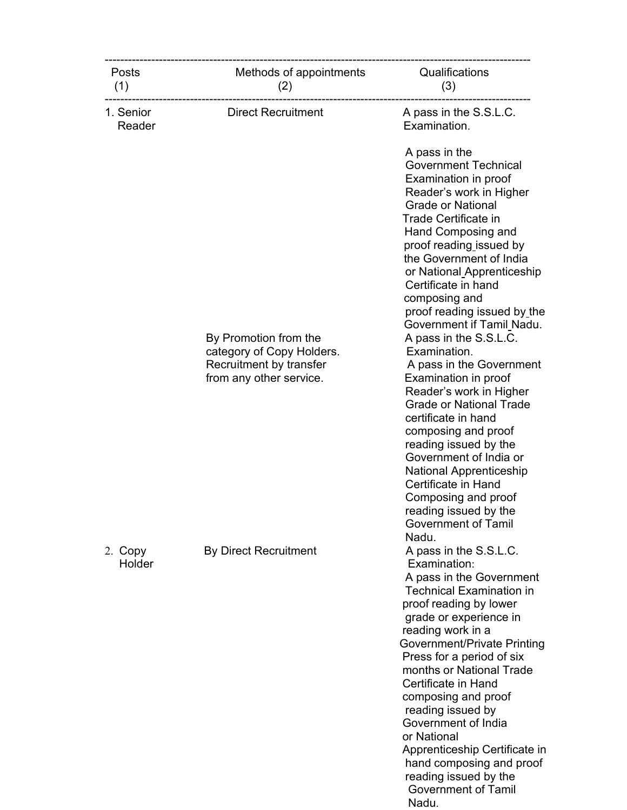| <b>Posts</b><br>(1) | Methods of appointments<br>(2)                                                                           | Qualifications<br>(3)                                                                                                                                                                                                                                                                                                                                                                                                                                                                               |
|---------------------|----------------------------------------------------------------------------------------------------------|-----------------------------------------------------------------------------------------------------------------------------------------------------------------------------------------------------------------------------------------------------------------------------------------------------------------------------------------------------------------------------------------------------------------------------------------------------------------------------------------------------|
| 1. Senior<br>Reader | <b>Direct Recruitment</b>                                                                                | A pass in the S.S.L.C.<br>Examination.                                                                                                                                                                                                                                                                                                                                                                                                                                                              |
|                     |                                                                                                          | A pass in the<br><b>Government Technical</b><br>Examination in proof<br>Reader's work in Higher<br><b>Grade or National</b><br>Trade Certificate in<br>Hand Composing and<br>proof reading issued by<br>the Government of India<br>or National Apprenticeship<br>Certificate in hand<br>composing and<br>proof reading issued by the                                                                                                                                                                |
|                     | By Promotion from the<br>category of Copy Holders.<br>Recruitment by transfer<br>from any other service. | Government if Tamil_Nadu.<br>A pass in the S.S.L.C.<br>Examination.<br>A pass in the Government<br>Examination in proof<br>Reader's work in Higher<br><b>Grade or National Trade</b><br>certificate in hand<br>composing and proof<br>reading issued by the<br>Government of India or<br><b>National Apprenticeship</b><br>Certificate in Hand<br>Composing and proof<br>reading issued by the<br><b>Government of Tamil</b><br>Nadu.                                                               |
| 2. Copy<br>Holder   | <b>By Direct Recruitment</b>                                                                             | A pass in the S.S.L.C.<br>Examination:<br>A pass in the Government<br><b>Technical Examination in</b><br>proof reading by lower<br>grade or experience in<br>reading work in a<br>Government/Private Printing<br>Press for a period of six<br>months or National Trade<br>Certificate in Hand<br>composing and proof<br>reading issued by<br>Government of India<br>or National<br>Apprenticeship Certificate in<br>hand composing and proof<br>reading issued by the<br><b>Government of Tamil</b> |

Nadu.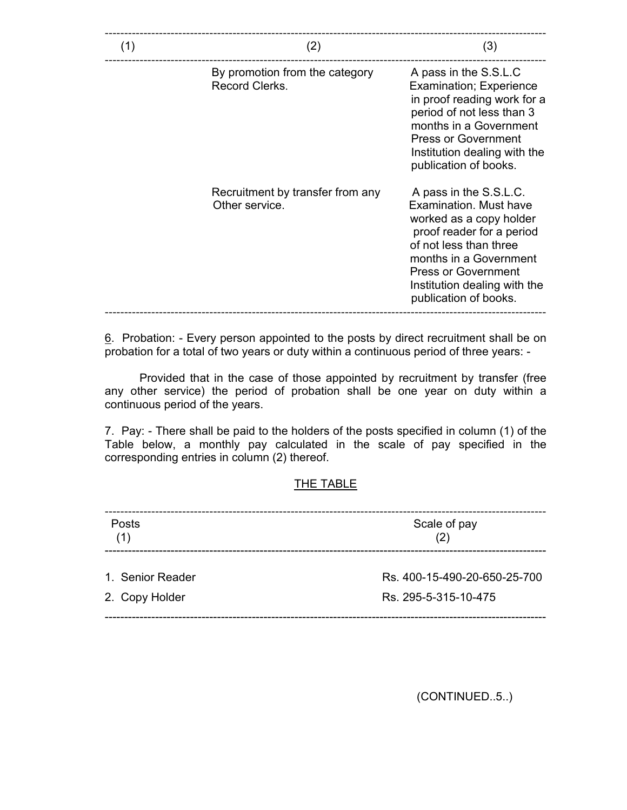| (1) | (2)                                                | (3)                                                                                                                                                                                                                                                 |
|-----|----------------------------------------------------|-----------------------------------------------------------------------------------------------------------------------------------------------------------------------------------------------------------------------------------------------------|
|     | By promotion from the category<br>Record Clerks.   | A pass in the S.S.L.C<br><b>Examination; Experience</b><br>in proof reading work for a<br>period of not less than 3<br>months in a Government<br><b>Press or Government</b><br>Institution dealing with the<br>publication of books.                |
|     | Recruitment by transfer from any<br>Other service. | A pass in the S.S.L.C.<br>Examination, Must have<br>worked as a copy holder<br>proof reader for a period<br>of not less than three<br>months in a Government<br><b>Press or Government</b><br>Institution dealing with the<br>publication of books. |

6. Probation: - Every person appointed to the posts by direct recruitment shall be on probation for a total of two years or duty within a continuous period of three years: -

 Provided that in the case of those appointed by recruitment by transfer (free any other service) the period of probation shall be one year on duty within a continuous period of the years.

7. Pay: - There shall be paid to the holders of the posts specified in column (1) of the Table below, a monthly pay calculated in the scale of pay specified in the corresponding entries in column (2) thereof.

## THE TABLE

| 1. Senior Reader<br>Rs. 400-15-490-20-650-25-700 |  |
|--------------------------------------------------|--|
| 2. Copy Holder<br>Rs. 295-5-315-10-475           |  |

(CONTINUED..5..)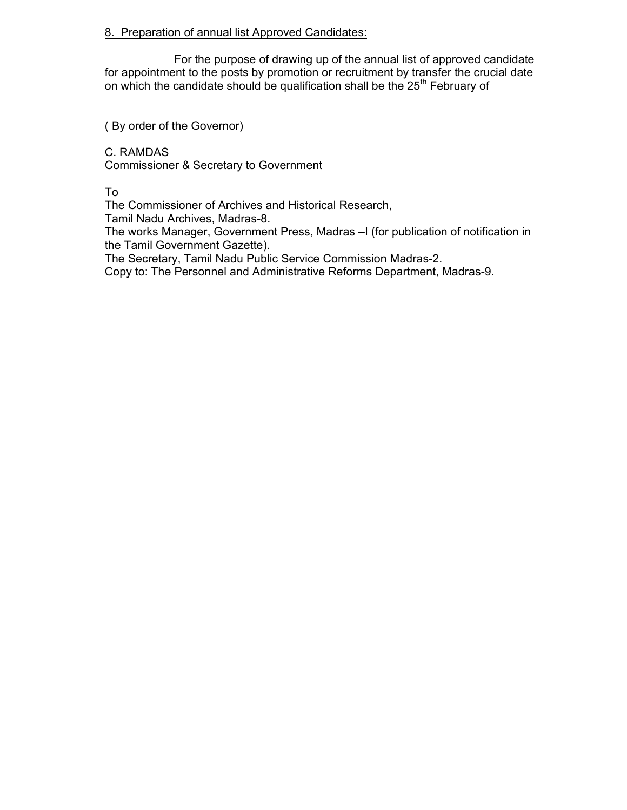## 8. Preparation of annual list Approved Candidates:

 For the purpose of drawing up of the annual list of approved candidate for appointment to the posts by promotion or recruitment by transfer the crucial date on which the candidate should be qualification shall be the  $25<sup>th</sup>$  February of

( By order of the Governor)

C. RAMDAS Commissioner & Secretary to Government

To

The Commissioner of Archives and Historical Research,

Tamil Nadu Archives, Madras-8.

The works Manager, Government Press, Madras –I (for publication of notification in the Tamil Government Gazette).

The Secretary, Tamil Nadu Public Service Commission Madras-2.

Copy to: The Personnel and Administrative Reforms Department, Madras-9.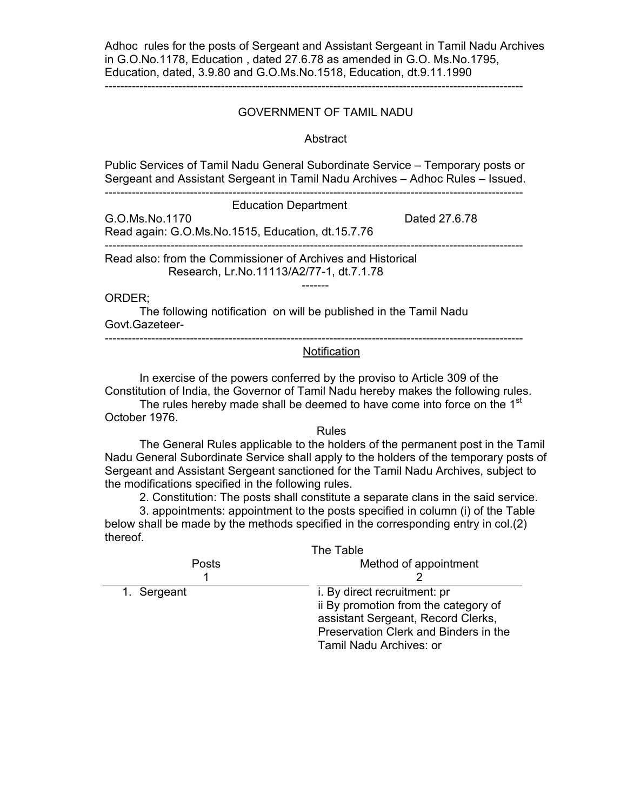Adhoc rules for the posts of Sergeant and Assistant Sergeant in Tamil Nadu Archives in G.O.No.1178, Education , dated 27.6.78 as amended in G.O. Ms.No.1795, Education, dated, 3.9.80 and G.O.Ms.No.1518, Education, dt.9.11.1990

------------------------------------------------------------------------------------------------------------

## GOVERNMENT OF TAMIL NADU

#### Abstract

Public Services of Tamil Nadu General Subordinate Service – Temporary posts or Sergeant and Assistant Sergeant in Tamil Nadu Archives – Adhoc Rules – Issued.

------------------------------------------------------------------------------------------------------------

-------

Education Department

G.O.Ms.No.1170 **Dated 27.6.78** Read again: G.O.Ms.No.1515, Education, dt.15.7.76 ------------------------------------------------------------------------------------------------------------

Read also: from the Commissioner of Archives and Historical Research, Lr.No.11113/A2/77-1, dt.7.1.78

ORDER;

The following notification on will be published in the Tamil Nadu Govt.Gazeteer-

------------------------------------------------------------------------------------------------------------

## Notification

In exercise of the powers conferred by the proviso to Article 309 of the Constitution of India, the Governor of Tamil Nadu hereby makes the following rules. The rules hereby made shall be deemed to have come into force on the 1<sup>st</sup>

October 1976.

#### Rules

 The General Rules applicable to the holders of the permanent post in the Tamil Nadu General Subordinate Service shall apply to the holders of the temporary posts of Sergeant and Assistant Sergeant sanctioned for the Tamil Nadu Archives, subject to the modifications specified in the following rules.

2. Constitution: The posts shall constitute a separate clans in the said service.

3. appointments: appointment to the posts specified in column (i) of the Table below shall be made by the methods specified in the corresponding entry in col.(2) thereof.

| The Table                             |  |
|---------------------------------------|--|
| Method of appointment                 |  |
|                                       |  |
| i. By direct recruitment: pr          |  |
| ii By promotion from the category of  |  |
| assistant Sergeant, Record Clerks,    |  |
| Preservation Clerk and Binders in the |  |
| Tamil Nadu Archives: or               |  |
|                                       |  |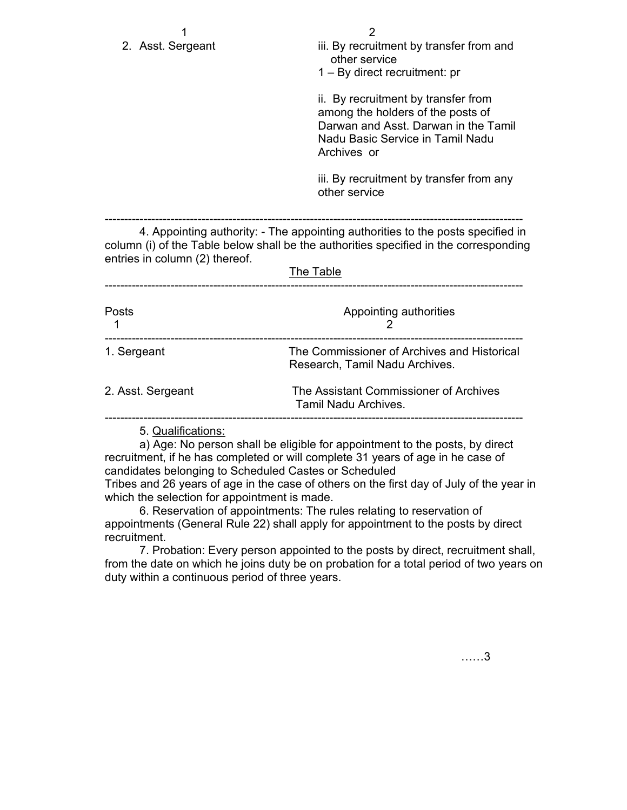| 2. Asst. Sergeant              | 2<br>iii. By recruitment by transfer from and<br>other service<br>$1 - By$ direct recruitment: pr                                                                                     |
|--------------------------------|---------------------------------------------------------------------------------------------------------------------------------------------------------------------------------------|
|                                | ii. By recruitment by transfer from<br>among the holders of the posts of<br>Darwan and Asst. Darwan in the Tamil<br>Nadu Basic Service in Tamil Nadu<br>Archives or                   |
|                                | iii. By recruitment by transfer from any<br>other service                                                                                                                             |
| entries in column (2) thereof. | 4. Appointing authority: - The appointing authorities to the posts specified in<br>column (i) of the Table below shall be the authorities specified in the corresponding<br>The Table |
| Posts                          | Appointing authorities<br>2                                                                                                                                                           |
| 1. Sergeant                    | The Commissioner of Archives and Historical<br>Research, Tamil Nadu Archives.                                                                                                         |
| 2. Asst. Sergeant              | The Assistant Commissioner of Archives<br>Tamil Nadu Archives.                                                                                                                        |
| 5. Qualifications:             |                                                                                                                                                                                       |

 a) Age: No person shall be eligible for appointment to the posts, by direct recruitment, if he has completed or will complete 31 years of age in he case of candidates belonging to Scheduled Castes or Scheduled

Tribes and 26 years of age in the case of others on the first day of July of the year in which the selection for appointment is made.

 6. Reservation of appointments: The rules relating to reservation of appointments (General Rule 22) shall apply for appointment to the posts by direct recruitment.

 7. Probation: Every person appointed to the posts by direct, recruitment shall, from the date on which he joins duty be on probation for a total period of two years on duty within a continuous period of three years.

……3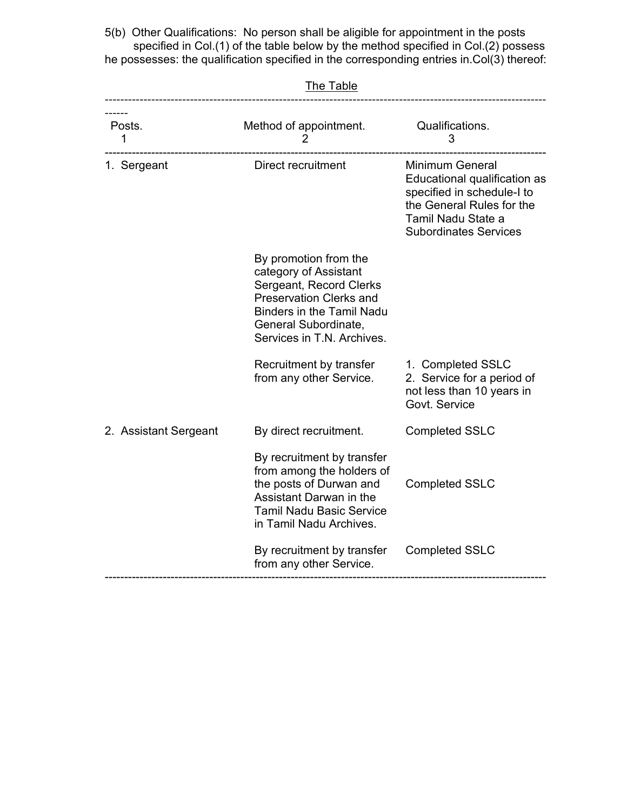5(b) Other Qualifications: No person shall be aligible for appointment in the posts specified in Col.(1) of the table below by the method specified in Col.(2) possess he possesses: the qualification specified in the corresponding entries in.Col(3) thereof:

| Posts.<br>1           | Method of appointment.<br>$\overline{2}$                                                                                                                                                              | Qualifications.<br>3                                                                                                                                             |
|-----------------------|-------------------------------------------------------------------------------------------------------------------------------------------------------------------------------------------------------|------------------------------------------------------------------------------------------------------------------------------------------------------------------|
| 1. Sergeant           | Direct recruitment                                                                                                                                                                                    | Minimum General<br>Educational qualification as<br>specified in schedule-I to<br>the General Rules for the<br>Tamil Nadu State a<br><b>Subordinates Services</b> |
|                       | By promotion from the<br>category of Assistant<br>Sergeant, Record Clerks<br><b>Preservation Clerks and</b><br><b>Binders in the Tamil Nadu</b><br>General Subordinate,<br>Services in T.N. Archives. |                                                                                                                                                                  |
|                       | Recruitment by transfer<br>from any other Service.                                                                                                                                                    | 1. Completed SSLC<br>2. Service for a period of<br>not less than 10 years in<br>Govt. Service                                                                    |
| 2. Assistant Sergeant | By direct recruitment.                                                                                                                                                                                | <b>Completed SSLC</b>                                                                                                                                            |
|                       | By recruitment by transfer<br>from among the holders of<br>the posts of Durwan and<br>Assistant Darwan in the<br><b>Tamil Nadu Basic Service</b><br>in Tamil Nadu Archives.                           | <b>Completed SSLC</b>                                                                                                                                            |
|                       | By recruitment by transfer<br>from any other Service.                                                                                                                                                 | <b>Completed SSLC</b>                                                                                                                                            |

The Table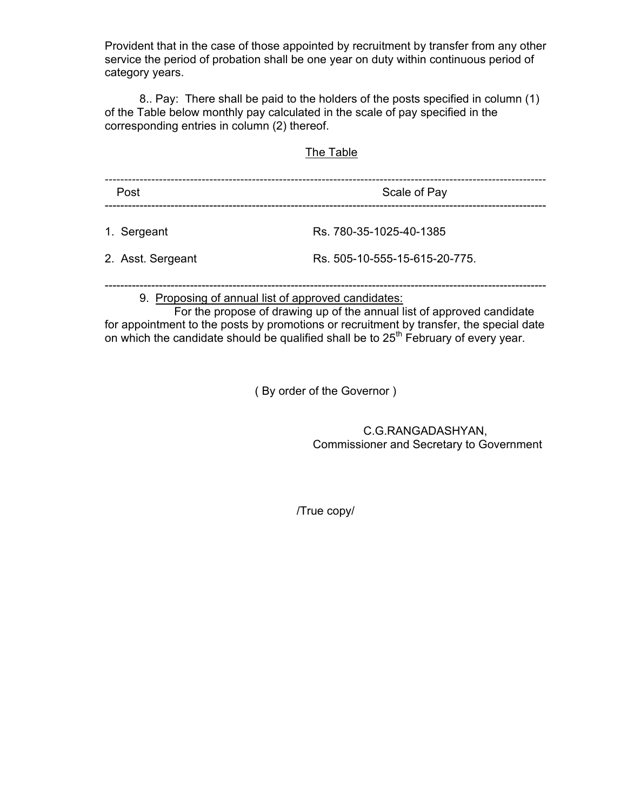Provident that in the case of those appointed by recruitment by transfer from any other service the period of probation shall be one year on duty within continuous period of category years.

 8.. Pay: There shall be paid to the holders of the posts specified in column (1) of the Table below monthly pay calculated in the scale of pay specified in the corresponding entries in column (2) thereof.

## The Table

| Post              | Scale of Pay                  |  |
|-------------------|-------------------------------|--|
| 1. Sergeant       | Rs. 780-35-1025-40-1385       |  |
| 2. Asst. Sergeant | Rs. 505-10-555-15-615-20-775. |  |
|                   |                               |  |

## 9. Proposing of annual list of approved candidates:

 For the propose of drawing up of the annual list of approved candidate for appointment to the posts by promotions or recruitment by transfer, the special date on which the candidate should be qualified shall be to 25<sup>th</sup> February of every year.

( By order of the Governor )

 C.G.RANGADASHYAN, Commissioner and Secretary to Government

/True copy/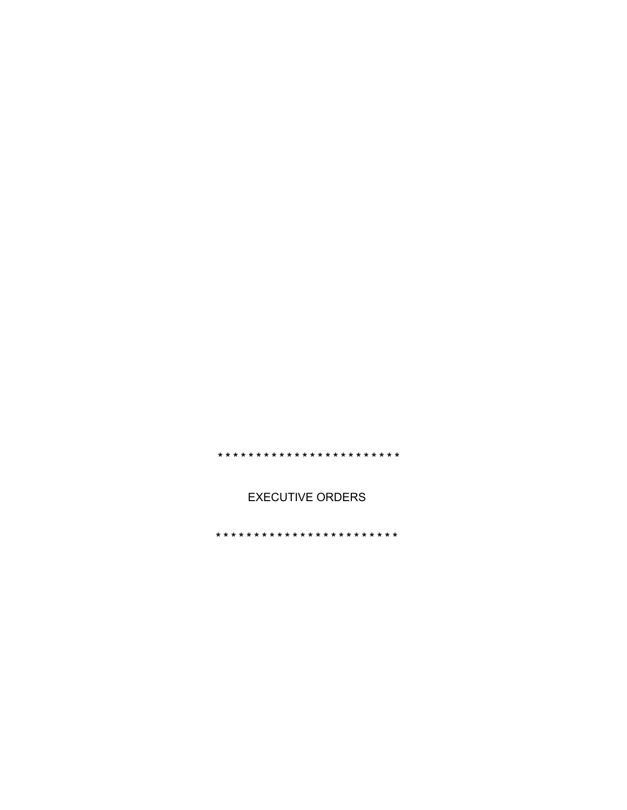**EXECUTIVE ORDERS**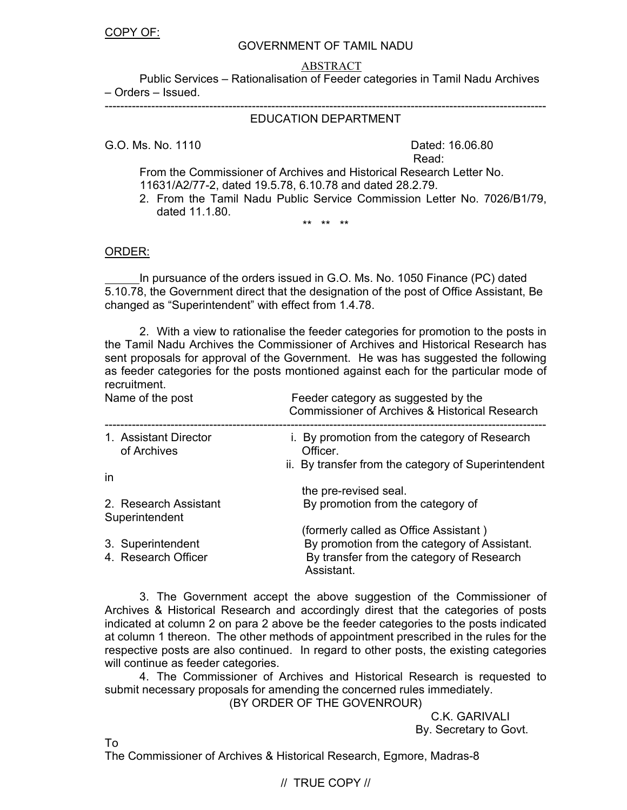#### GOVERNMENT OF TAMIL NADU

#### ABSTRACT

 Public Services – Rationalisation of Feeder categories in Tamil Nadu Archives – Orders – Issued.

#### ------------------------------------------------------------------------------------------------------------------ EDUCATION DEPARTMENT

G.O. Ms. No. 1110 **Dated: 16.06.80** 

**Read:** The contract of the contract of the contract of the Read:

From the Commissioner of Archives and Historical Research Letter No. 11631/A2/77-2, dated 19.5.78, 6.10.78 and dated 28.2.79.

2. From the Tamil Nadu Public Service Commission Letter No. 7026/B1/79, dated 11.1.80.

\*\* \*\* \*\*

ORDER:

In pursuance of the orders issued in G.O. Ms. No. 1050 Finance (PC) dated 5.10.78, the Government direct that the designation of the post of Office Assistant, Be changed as "Superintendent" with effect from 1.4.78.

2. With a view to rationalise the feeder categories for promotion to the posts in the Tamil Nadu Archives the Commissioner of Archives and Historical Research has sent proposals for approval of the Government. He was has suggested the following as feeder categories for the posts montioned against each for the particular mode of recruitment.

| Name of the post                         | Feeder category as suggested by the<br><b>Commissioner of Archives &amp; Historical Research</b>        |
|------------------------------------------|---------------------------------------------------------------------------------------------------------|
| 1. Assistant Director<br>of Archives     | i. By promotion from the category of Research<br>Officer.                                               |
| in                                       | ii. By transfer from the category of Superintendent                                                     |
|                                          | the pre-revised seal.                                                                                   |
| 2. Research Assistant<br>Superintendent  | By promotion from the category of                                                                       |
|                                          | (formerly called as Office Assistant)                                                                   |
| 3. Superintendent<br>4. Research Officer | By promotion from the category of Assistant.<br>By transfer from the category of Research<br>Assistant. |

3. The Government accept the above suggestion of the Commissioner of Archives & Historical Research and accordingly direst that the categories of posts indicated at column 2 on para 2 above be the feeder categories to the posts indicated at column 1 thereon. The other methods of appointment prescribed in the rules for the respective posts are also continued. In regard to other posts, the existing categories will continue as feeder categories.

4. The Commissioner of Archives and Historical Research is requested to submit necessary proposals for amending the concerned rules immediately.

(BY ORDER OF THE GOVENROUR)

 C.K. GARIVALI By. Secretary to Govt.

To

The Commissioner of Archives & Historical Research, Egmore, Madras-8

// TRUE COPY //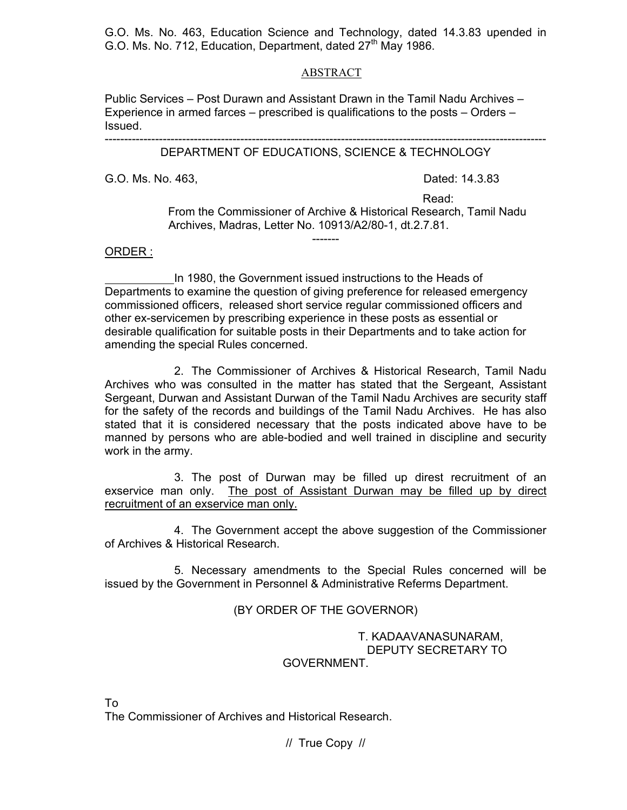G.O. Ms. No. 463, Education Science and Technology, dated 14.3.83 upended in G.O. Ms. No. 712, Education, Department, dated  $27<sup>th</sup>$  May 1986.

#### ABSTRACT

Public Services – Post Durawn and Assistant Drawn in the Tamil Nadu Archives – Experience in armed farces – prescribed is qualifications to the posts – Orders – Issued.

#### ------------------------------------------------------------------------------------------------------------------ DEPARTMENT OF EDUCATIONS, SCIENCE & TECHNOLOGY

G.O. Ms. No. 463, **Dated: 14.3.83** 

**Read:** The contract of the contract of the contract of the Read:

 From the Commissioner of Archive & Historical Research, Tamil Nadu Archives, Madras, Letter No. 10913/A2/80-1, dt.2.7.81.

#### ORDER :

 In 1980, the Government issued instructions to the Heads of Departments to examine the question of giving preference for released emergency commissioned officers, released short service regular commissioned officers and other ex-servicemen by prescribing experience in these posts as essential or desirable qualification for suitable posts in their Departments and to take action for amending the special Rules concerned.

-------

2. The Commissioner of Archives & Historical Research, Tamil Nadu Archives who was consulted in the matter has stated that the Sergeant, Assistant Sergeant, Durwan and Assistant Durwan of the Tamil Nadu Archives are security staff for the safety of the records and buildings of the Tamil Nadu Archives. He has also stated that it is considered necessary that the posts indicated above have to be manned by persons who are able-bodied and well trained in discipline and security work in the army.

3. The post of Durwan may be filled up direst recruitment of an exservice man only. The post of Assistant Durwan may be filled up by direct recruitment of an exservice man only.

4. The Government accept the above suggestion of the Commissioner of Archives & Historical Research.

5. Necessary amendments to the Special Rules concerned will be issued by the Government in Personnel & Administrative Referms Department.

## (BY ORDER OF THE GOVERNOR)

 T. KADAAVANASUNARAM, DEPUTY SECRETARY TO GOVERNMENT.

To The Commissioner of Archives and Historical Research.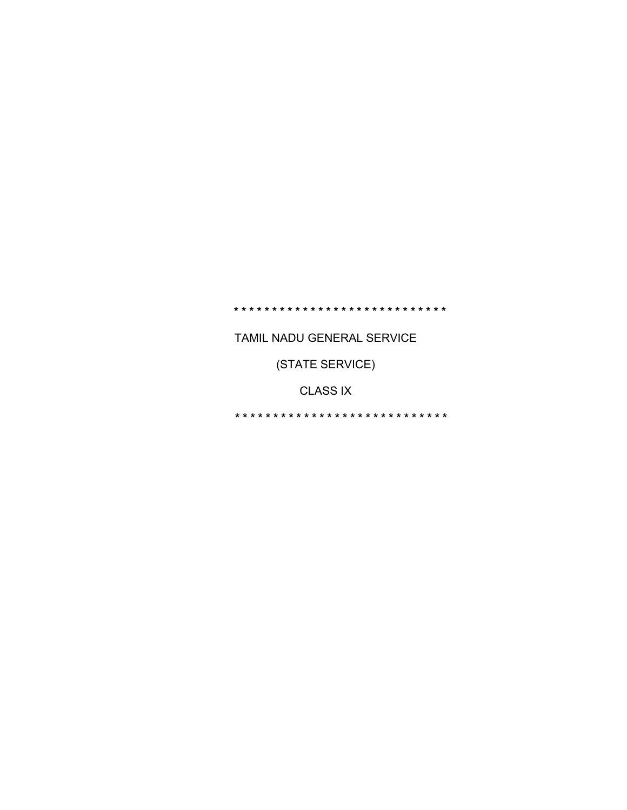# **\* \* \* \* \* \* \* \* \* \* \* \* \* \* \* \* \* \* \* \* \* \* \* \* \* \* \* \***

TAMIL NADU GENERAL SERVICE

(STATE SERVICE)

CLASS IX

**\* \* \* \* \* \* \* \* \* \* \* \* \* \* \* \* \* \* \* \* \* \* \* \* \* \* \* \***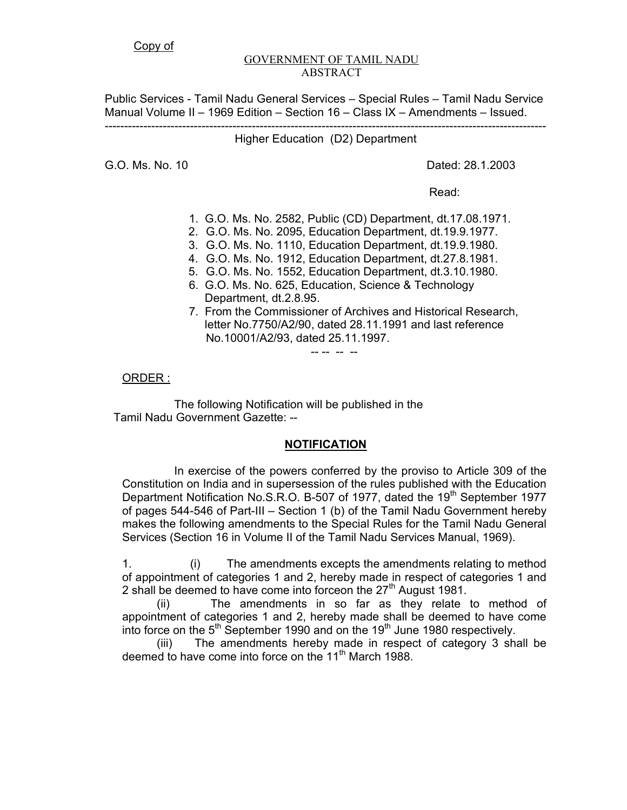#### GOVERNMENT OF TAMIL NADU ABSTRACT

Public Services - Tamil Nadu General Services – Special Rules – Tamil Nadu Service Manual Volume II – 1969 Edition – Section 16 – Class IX – Amendments – Issued. ------------------------------------------------------------------------------------------------------------------

Higher Education (D2) Department

G.O. Ms. No. 10 Dated: 28.1.2003

**Read:** The contract of the contract of the contract of the contract of the contract of the contract of the contract of the contract of the contract of the contract of the contract of the contract of the contract of the co

1. G.O. Ms. No. 2582, Public (CD) Department, dt.17.08.1971.

2. G.O. Ms. No. 2095, Education Department, dt.19.9.1977.

3. G.O. Ms. No. 1110, Education Department, dt.19.9.1980.

4. G.O. Ms. No. 1912, Education Department, dt.27.8.1981.

5. G.O. Ms. No. 1552, Education Department, dt.3.10.1980.

- 6. G.O. Ms. No. 625, Education, Science & Technology Department, dt.2.8.95.
- 7. From the Commissioner of Archives and Historical Research, letter No.7750/A2/90, dated 28.11.1991 and last reference No.10001/A2/93, dated 25.11.1997.

-- -- -- --

# ORDER :

 The following Notification will be published in the Tamil Nadu Government Gazette: --

# **NOTIFICATION**

 In exercise of the powers conferred by the proviso to Article 309 of the Constitution on India and in supersession of the rules published with the Education Department Notification No.S.R.O. B-507 of 1977, dated the 19<sup>th</sup> September 1977 of pages 544-546 of Part-III – Section 1 (b) of the Tamil Nadu Government hereby makes the following amendments to the Special Rules for the Tamil Nadu General Services (Section 16 in Volume II of the Tamil Nadu Services Manual, 1969).

1. (i) The amendments excepts the amendments relating to method of appointment of categories 1 and 2, hereby made in respect of categories 1 and 2 shall be deemed to have come into forceon the  $27<sup>th</sup>$  August 1981.

(ii) The amendments in so far as they relate to method of appointment of categories 1 and 2, hereby made shall be deemed to have come into force on the  $5<sup>th</sup>$  September 1990 and on the 19<sup>th</sup> June 1980 respectively.

(iii) The amendments hereby made in respect of category 3 shall be deemed to have come into force on the 11<sup>th</sup> March 1988.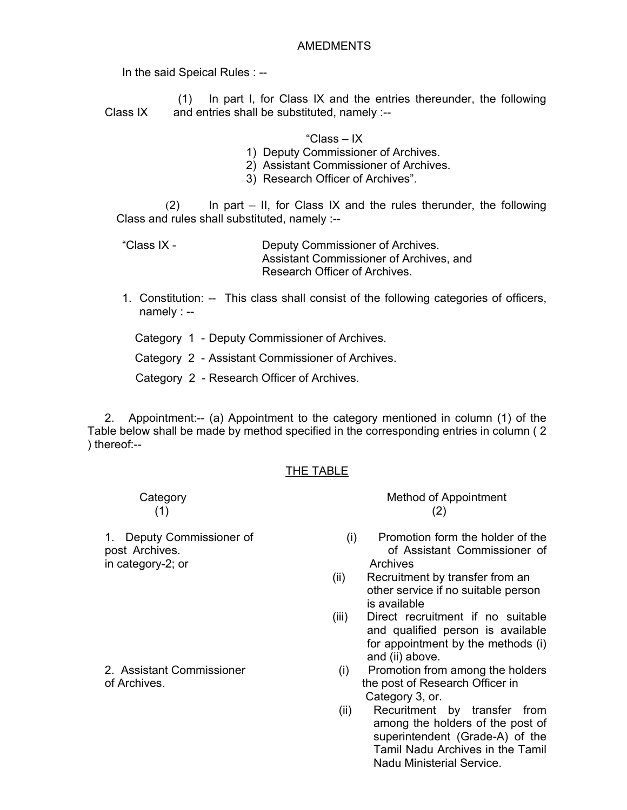#### AMEDMENTS

In the said Speical Rules : --

 (1) In part I, for Class IX and the entries thereunder, the following Class  $IX$  and entries shall be substituted, namely  $:-$ 

#### "Class – IX

- 1) Deputy Commissioner of Archives.
- 2) Assistant Commissioner of Archives.
- 3) Research Officer of Archives".

 $(2)$  In part – II, for Class IX and the rules therunder, the following Class and rules shall substituted, namely :--

"Class IX - Deputy Commissioner of Archives. Assistant Commissioner of Archives, and Research Officer of Archives.

1. Constitution: -- This class shall consist of the following categories of officers, namely : --

Category 1 - Deputy Commissioner of Archives.

Category 2 - Assistant Commissioner of Archives.

Category 2 - Research Officer of Archives.

 2. Appointment:-- (a) Appointment to the category mentioned in column (1) of the Table below shall be made by method specified in the corresponding entries in column ( 2 ) thereof:--

#### THE TABLE

in category-2; or Archives

Category **Method of Appointment**  $(1)$  (2)

- 1. Deputy Commissioner of (i) Promotion form the holder of the post Archives. **Commissioner of Assistant Commissioner of** 
	- (ii) Recruitment by transfer from an other service if no suitable person is available
	- (iii) Direct recruitment if no suitable and qualified person is available for appointment by the methods (i) and (ii) above.
- 2. Assistant Commissioner (i) Promotion from among the holders of Archives. the post of Research Officer in Category 3, or.
	- (ii) Recuritment by transfer from among the holders of the post of superintendent (Grade-A) of the Tamil Nadu Archives in the Tamil Nadu Ministerial Service.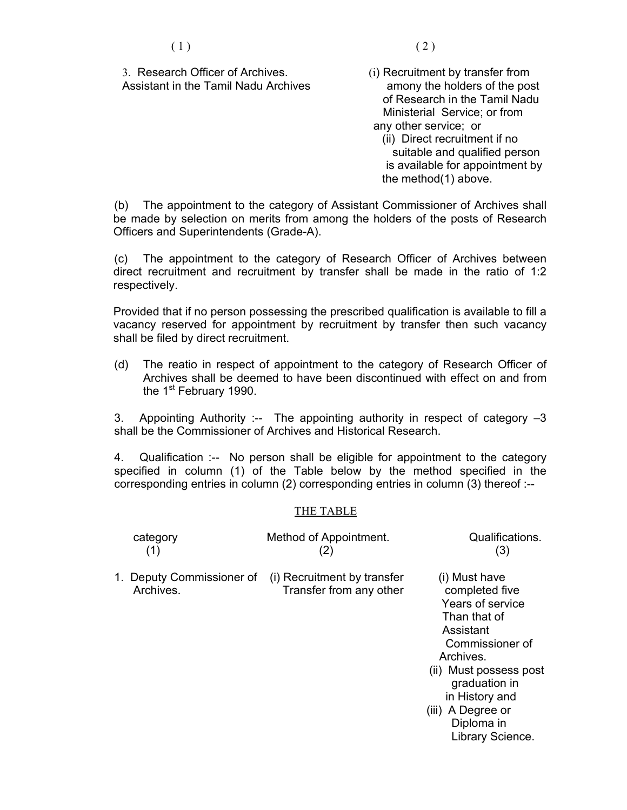3. Research Officer of Archives. (i) Recruitment by transfer from Assistant in the Tamil Nadu Archives amony the holders of the post

- of Research in the Tamil Nadu Ministerial Service; or from any other service; or
	- (ii) Direct recruitment if no suitable and qualified person is available for appointment by the method(1) above.

(b) The appointment to the category of Assistant Commissioner of Archives shall be made by selection on merits from among the holders of the posts of Research Officers and Superintendents (Grade-A).

(c) The appointment to the category of Research Officer of Archives between direct recruitment and recruitment by transfer shall be made in the ratio of 1:2 respectively.

Provided that if no person possessing the prescribed qualification is available to fill a vacancy reserved for appointment by recruitment by transfer then such vacancy shall be filed by direct recruitment.

(d) The reatio in respect of appointment to the category of Research Officer of Archives shall be deemed to have been discontinued with effect on and from the 1<sup>st</sup> February 1990.

3. Appointing Authority :-- The appointing authority in respect of category –3 shall be the Commissioner of Archives and Historical Research.

4. Qualification :-- No person shall be eligible for appointment to the category specified in column (1) of the Table below by the method specified in the corresponding entries in column (2) corresponding entries in column (3) thereof :--

#### THE TABLE

| category<br>(1)                        | Method of Appointment.<br>(2)                          | Qualifications.<br>(3)                                                                                                                                                                                                               |
|----------------------------------------|--------------------------------------------------------|--------------------------------------------------------------------------------------------------------------------------------------------------------------------------------------------------------------------------------------|
| 1. Deputy Commissioner of<br>Archives. | (i) Recruitment by transfer<br>Transfer from any other | (i) Must have<br>completed five<br>Years of service<br>Than that of<br>Assistant<br>Commissioner of<br>Archives.<br>(ii) Must possess post<br>graduation in<br>in History and<br>(iii) A Degree or<br>Diploma in<br>Library Science. |
|                                        |                                                        |                                                                                                                                                                                                                                      |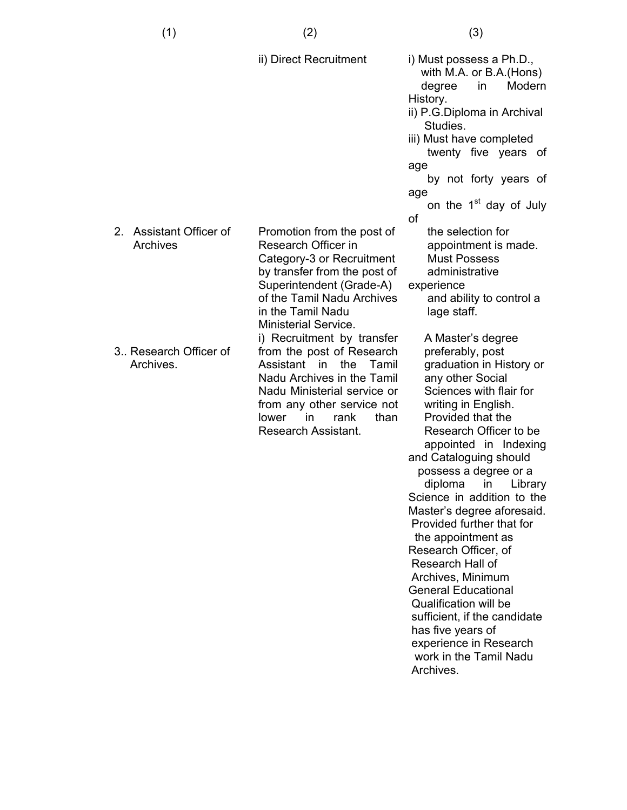(1)

2. Assistant Officer of Archives 3.. Research Officer of Archives. ii) Direct Recruitment Promotion from the post of Research Officer in Category-3 or Recruitment by transfer from the post of Superintendent (Grade-A) of the Tamil Nadu Archives in the Tamil Nadu Ministerial Service. i) Recruitment by transfer from the post of Research Assistant in the Tamil Nadu Archives in the Tamil Nadu Ministerial service or from any other service not lower in rank than Research Assistant. i) Must possess a Ph.D., with M.A. or B.A.(Hons) degree in Modern History. ii) P.G.Diploma in Archival Studies. iii) Must have completed twenty five years of age by not forty years of age on the  $1<sup>st</sup>$  day of July of the selection for appointment is made. Must Possess administrative experience and ability to control a lage staff. A Master's degree preferably, post graduation in History or any other Social Sciences with flair for writing in English. Provided that the Research Officer to be appointed in Indexing and Cataloguing should possess a degree or a diploma in Library Science in addition to the Master's degree aforesaid. Provided further that for the appointment as Research Officer, of Research Hall of Archives, Minimum General Educational Qualification will be sufficient, if the candidate has five years of

> work in the Tamil Nadu Archives.

> experience in Research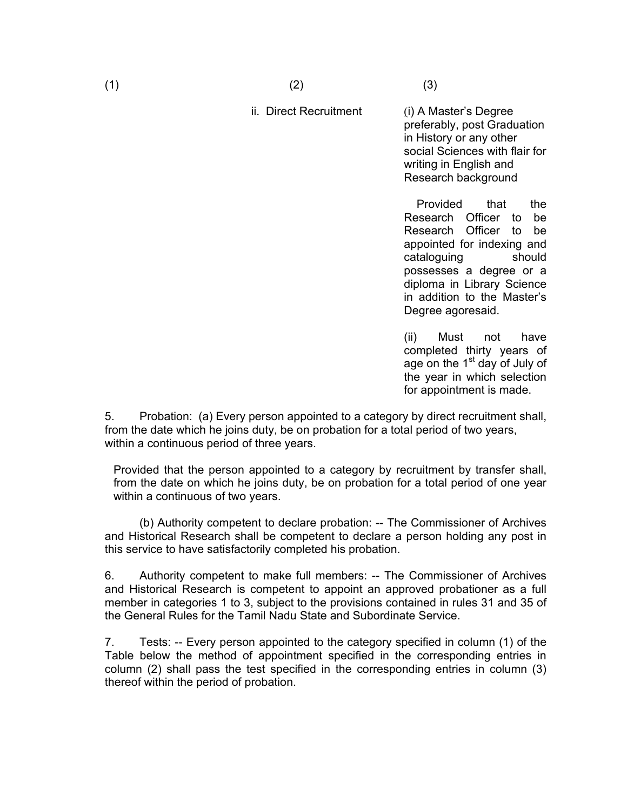$(1)$  (2)

#### ii. Direct Recruitment

(i) A Master's Degree preferably, post Graduation in History or any other social Sciences with flair for writing in English and Research background

 Provided that the Research Officer to be Research Officer to be appointed for indexing and cataloguing should possesses a degree or a diploma in Library Science in addition to the Master's Degree agoresaid.

(ii) Must not have completed thirty years of age on the  $1<sup>st</sup>$  day of July of the year in which selection for appointment is made.

5. Probation: (a) Every person appointed to a category by direct recruitment shall, from the date which he joins duty, be on probation for a total period of two years, within a continuous period of three years.

Provided that the person appointed to a category by recruitment by transfer shall, from the date on which he joins duty, be on probation for a total period of one year within a continuous of two years.

 (b) Authority competent to declare probation: -- The Commissioner of Archives and Historical Research shall be competent to declare a person holding any post in this service to have satisfactorily completed his probation.

6. Authority competent to make full members: -- The Commissioner of Archives and Historical Research is competent to appoint an approved probationer as a full member in categories 1 to 3, subject to the provisions contained in rules 31 and 35 of the General Rules for the Tamil Nadu State and Subordinate Service.

7. Tests: -- Every person appointed to the category specified in column (1) of the Table below the method of appointment specified in the corresponding entries in column (2) shall pass the test specified in the corresponding entries in column (3) thereof within the period of probation.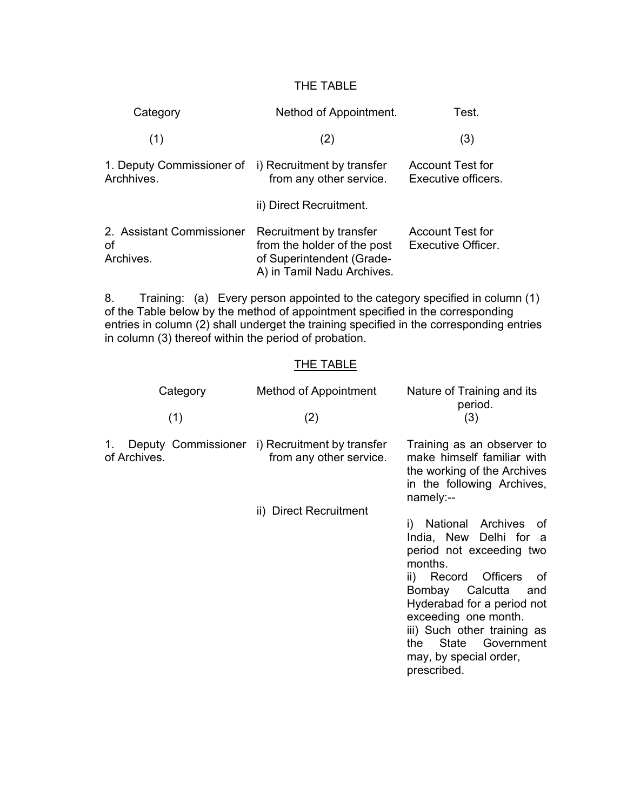## THE TABLE

| Category                                     | Nethod of Appointment.                                                                                            | Test.                                          |
|----------------------------------------------|-------------------------------------------------------------------------------------------------------------------|------------------------------------------------|
| (1)                                          | (2)                                                                                                               | (3)                                            |
| 1. Deputy Commissioner of<br>Archhives.      | i) Recruitment by transfer<br>from any other service.                                                             | <b>Account Test for</b><br>Executive officers. |
|                                              | ii) Direct Recruitment.                                                                                           |                                                |
| 2. Assistant Commissioner<br>οf<br>Archives. | Recruitment by transfer<br>from the holder of the post<br>of Superintendent (Grade-<br>A) in Tamil Nadu Archives. | <b>Account Test for</b><br>Executive Officer.  |

8. Training: (a) Every person appointed to the category specified in column (1) of the Table below by the method of appointment specified in the corresponding entries in column (2) shall underget the training specified in the corresponding entries in column (3) thereof within the period of probation.

## THE TABLE

| Method of Appointment   | Nature of Training and its<br>period.                                                                                                                                                                                                                                                                                 |
|-------------------------|-----------------------------------------------------------------------------------------------------------------------------------------------------------------------------------------------------------------------------------------------------------------------------------------------------------------------|
|                         | (3)                                                                                                                                                                                                                                                                                                                   |
| from any other service. | Training as an observer to<br>make himself familiar with<br>the working of the Archives<br>in the following Archives,<br>namely:--                                                                                                                                                                                    |
| ii) Direct Recruitment  |                                                                                                                                                                                                                                                                                                                       |
|                         | i) National Archives of<br>India, New Delhi for a<br>period not exceeding two<br>months.<br><b>Officers</b><br>ii) Record<br>of<br>Calcutta<br>Bombay<br>and<br>Hyderabad for a period not<br>exceeding one month.<br>iii) Such other training as<br>State Government<br>the<br>may, by special order,<br>prescribed. |
|                         | (2)<br>Deputy Commissioner i) Recruitment by transfer                                                                                                                                                                                                                                                                 |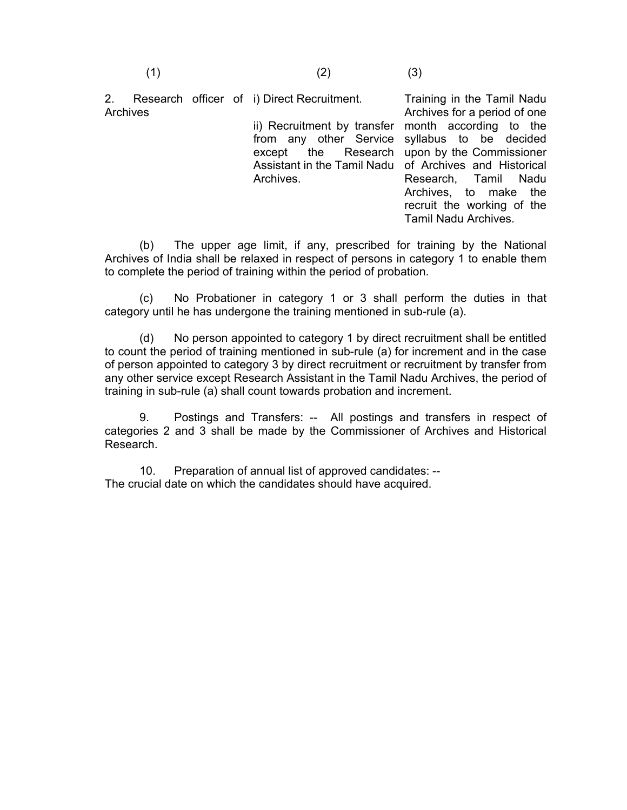2. Research officer of i) Direct Recruitment. Archives ii) Recruitment by transfer month according to the from any other Service syllabus to be decided except the Research Assistant in the Tamil Nadu of Archives and Historical Archives. Training in the Tamil Nadu Archives for a period of one upon by the Commissioner Research, Tamil Nadu Archives, to make the

 (b) The upper age limit, if any, prescribed for training by the National Archives of India shall be relaxed in respect of persons in category 1 to enable them to complete the period of training within the period of probation.

recruit the working of the Tamil Nadu Archives.

 (c) No Probationer in category 1 or 3 shall perform the duties in that category until he has undergone the training mentioned in sub-rule (a).

 (d) No person appointed to category 1 by direct recruitment shall be entitled to count the period of training mentioned in sub-rule (a) for increment and in the case of person appointed to category 3 by direct recruitment or recruitment by transfer from any other service except Research Assistant in the Tamil Nadu Archives, the period of training in sub-rule (a) shall count towards probation and increment.

 9. Postings and Transfers: -- All postings and transfers in respect of categories 2 and 3 shall be made by the Commissioner of Archives and Historical Research.

 10. Preparation of annual list of approved candidates: -- The crucial date on which the candidates should have acquired.

(1)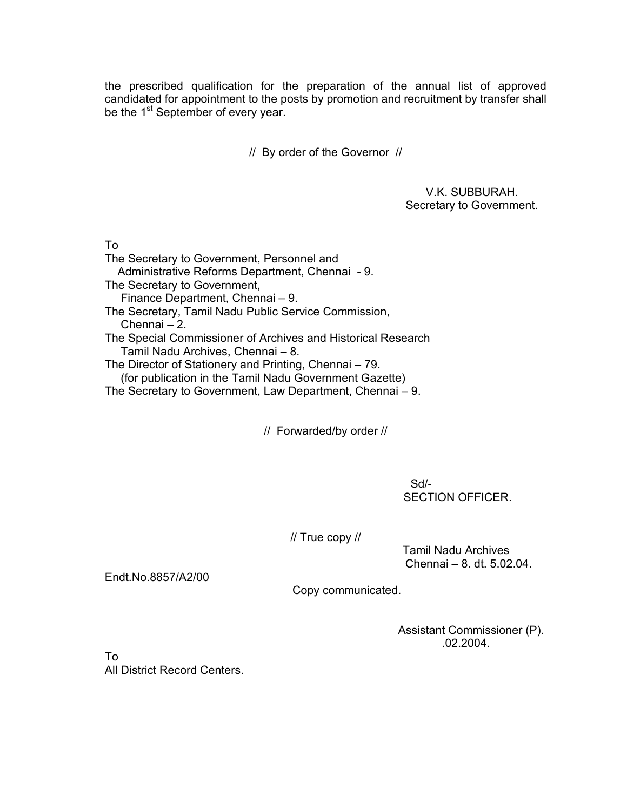the prescribed qualification for the preparation of the annual list of approved candidated for appointment to the posts by promotion and recruitment by transfer shall be the 1<sup>st</sup> September of every year.

// By order of the Governor //

 V.K. SUBBURAH. Secretary to Government.

To

The Secretary to Government, Personnel and Administrative Reforms Department, Chennai - 9. The Secretary to Government, Finance Department, Chennai – 9. The Secretary, Tamil Nadu Public Service Commission, Chennai – 2. The Special Commissioner of Archives and Historical Research Tamil Nadu Archives, Chennai – 8. The Director of Stationery and Printing, Chennai – 79. (for publication in the Tamil Nadu Government Gazette) The Secretary to Government, Law Department, Chennai – 9.

// Forwarded/by order //

**Sd/-** Solution of the Solution of the Solution of the Solution of the Solution of the Solution of the Solution of the Solution of the Solution of the Solution of the Solution of the Solution of the Solution of the Solutio SECTION OFFICER.

// True copy //

 Tamil Nadu Archives Chennai – 8. dt. 5.02.04.

Endt.No.8857/A2/00

Copy communicated.

 Assistant Commissioner (P).  $.02.2004.$ 

To All District Record Centers.